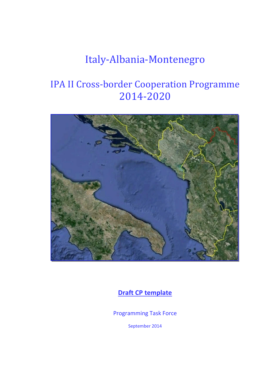# Italy-Albania-Montenegro

# IPA II Cross-border Cooperation Programme 2014-2020



**Draft CP template** 

Programming Task Force

September 2014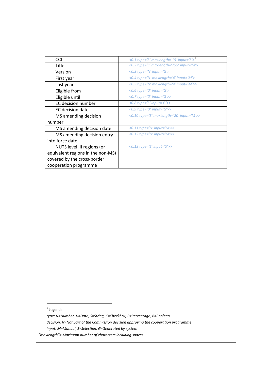| <b>CCI</b>                        | <0.1 type='S' maxlength='15' input='S'> $1$                 |
|-----------------------------------|-------------------------------------------------------------|
| Title                             | <0.2 type='S' maxlength='255' input='M'>                    |
| Version                           | <0.3 type='N' input='G'>                                    |
| First year                        | <0.4 type='N' maxlength='4' input='M'>                      |
| Last year                         | <0.5 type='N' maxlength='4' input='M'>>                     |
| Eligible from                     | <0.6 type= $'D'$ input= $'G'$ >                             |
| Eligible until                    | <0.7 type='D' input='G'>>                                   |
| EC decision number                | <0.8 type='S' input='G'>>                                   |
| EC decision date                  | <0.9 type='D' input='G'>>                                   |
| MS amending decision              | <0.10 type='S' maxlength='20' input='M'>>                   |
| number                            |                                                             |
| MS amending decision date         | <0.11 type='D' input=' $M'$ >>                              |
| MS amending decision entry        | $\langle 0.12 \text{ type} = D' \text{ input} = M' \rangle$ |
| into force date                   |                                                             |
| NUTS level III regions (or        | <0.13 type='S' input='S'>>                                  |
| equivalent regions in the non-MS) |                                                             |
| covered by the cross-border       |                                                             |
| cooperation programme             |                                                             |

<sup>1</sup> Legend:

l

*type: N=Number, D=Date, S=String, C=Checkbox, P=Percentage, B=Boolean decision: N=Not part of the Commission decision approving the cooperation programme input: M=Manual, S=Selection, G=Generated by system*

*"maxlength"= Maximum number of characters including spaces.*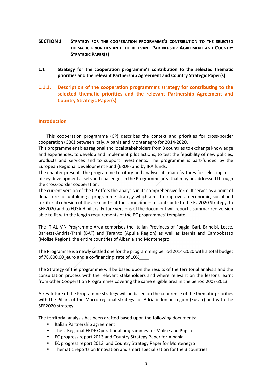- **SECTION 1 STRATEGY FOR THE COOPERATION PROGRAMME'S CONTRIBUTION TO THE SELECTED THEMATIC PRIORITIES AND THE RELEVANT PARTNERSHIP AGREEMENT AND COUNTRY STRATEGIC PAPER(S)**
- **1.1 Strategy for the cooperation programme's contribution to the selected thematic priorities and the relevant Partnership Agreement and Country Strategic Paper(s)**
- **1.1.1. Description of the cooperation programme's strategy for contributing to the selected thematic priorities and the relevant Partnership Agreement and Country Strategic Paper(s)**

## **Introduction**

This cooperation programme (CP) describes the context and priorities for cross-border cooperation (CBC) between Italy, Albania and Montenegro for 2014-2020.

This programme enables regional and local stakeholders from 3 countries to exchange knowledge and experiences, to develop and implement pilot actions, to test the feasibility of new policies, products and services and to support investments. The programme is part-funded by the European Regional Development Fund (ERDF) and by IPA funds.

The chapter presents the programme territory and analyses its main features for selecting a list of key development assets and challenges in the Programme area that may be addressed through the cross-border cooperation.

The current version of the CP offers the analysis in its comprehensive form. It serves as a point of departure for unfolding a programme strategy which aims to improve an economic, social and territorial cohesion of the area and – at the same time – to contribute to the EU2020 Strategy, to SEE2020 and to EUSAIR pillars. Future versions of the document will report a summarized version able to fit with the length requirements of the EC programmes' template.

The IT-AL-MN Programme Area comprises the Italian Provinces of Foggia, Bari, Brindisi, Lecce, Barletta-Andria-Trani (BAT) and Taranto (Apulia Region) as well as Isernia and Campobasso (Molise Region), the entire countries of Albania and Montenegro.

The Programme is a newly settled one for the programming period 2014-2020 with a total budget of 78.800,00\_euro and a co-financing rate of 10%

The Strategy of the programme will be based upon the results of the territorial analysis and the consultation process with the relevant stakeholders and where relevant on the lessons learnt from other Cooperation Programmes covering the same eligible area in the period 2007-2013.

A key future of the Programme strategy will be based on the coherence of the thematic priorities with the Pillars of the Macro-regional strategy for Adriatic Ionian region (Eusair) and with the SEE2020 strategy.

The territorial analysis has been drafted based upon the following documents:

- Italian Partnership agreement
- The 2 Regional ERDF Operational programmes for Molise and Puglia
- EC progress report 2013 and Country Strategy Paper for Albania
- EC progress report 2013 and Country Strategy Paper for Montenegro
- Thematic reports on Innovation and smart specialization for the 3 countries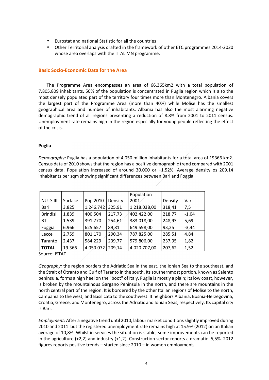- Eurostat and national Statistic for all the countries
- Other Territorial analysis drafted in the framework of other ETC programmes 2014-2020 whose area overlaps with the IT AL MN programme.

# **Basic Socio-Economic Data for the Area**

The Programme Area encompasses an area of 66.365km2 with a total population of 7.805.809 inhabitants. 50% of the population is concentrated in Puglia region which is also the most densely populated part of the territory four times more than Montenegro. Albania covers the largest part of the Programme Area (more than 40%) while Molise has the smallest geographical area and number of inhabitants. Albania has also the most alarming negative demographic trend of all regions presenting a reduction of 8.8% from 2001 to 2011 census. Unemployment rate remains high in the region especially for young people reflecting the effect of the crisis.

## **Puglia**

*Demography:* Puglia has a population of 4,050 million inhabitants for a total area of 19366 km2. Census data of 2010 shows that the region has a positive demographic trend compared with 2001 census data. Population increased of around 30.000 or +1.52%. Average density os 209.14 inhabitants per sqm showing significant differences between Bari and Foggia.

|                 |         |           |         | Population   |         |         |
|-----------------|---------|-----------|---------|--------------|---------|---------|
| <b>NUTS III</b> | Surface | Pop 2010  | Density | 2001         | Density | Var     |
| Bari            | 3.825   | 1.246.742 | 325,91  | 1,218.038,00 | 318,41  | 7,5     |
| <b>Brindisi</b> | 1.839   | 400.504   | 217,73  | 402.422,00   | 218,77  | $-1,04$ |
| <b>BT</b>       | 1.539   | 391.770   | 254,61  | 383.018,00   | 248,93  | 5,69    |
| Foggia          | 6.966   | 625.657   | 89,81   | 649.598,00   | 93,25   | $-3,44$ |
| Lecce           | 2.759   | 801.170   | 290,34  | 787.825,00   | 285,51  | 4,84    |
| Taranto         | 2.437   | 584.229   | 239,77  | 579.806,00   | 237,95  | 1,82    |
| <b>TOTAL</b>    | 19.366  | 4.050.072 | 209,14  | 4.020.707,00 | 207,62  | 1,52    |

Source: ISTAT

*Geography:* the region borders the Adriatic Sea in the east, the Ionian Sea to the southeast, and the Strait of Òtranto and Gulf of Taranto in the south. Its southernmost portion, known as Salento peninsula, forms a high heel on the "boot" of Italy. Puglia is mostly a plain; its low coast, however, is broken by the mountainous Gargano Peninsula in the north, and there are mountains in the north central part of the region. It is bordered by the other Italian regions of Molise to the north, Campania to the west, and Basilicata to the southwest. It neighbors Albania, Bosnia-Herzegovina, Croatia, Greece, and Montenegro, across the Adriatic and Ionian Seas, respectively. Its capital city is Bari.

*Employment:* After a negative trend until 2010, labour market conditions slightly improved during 2010 and 2011 but the registered unemployment rate remains high at 15.9% (2012) on an Italian average of 10,8%. Whilst in services the situation is stable, some improvements can be reported in the agriculture (+2,2) and industry (+1,2). Construction sector reports a dramatic -5,5%. 2012 figures reports positive trends – started since 2010 – in women employment.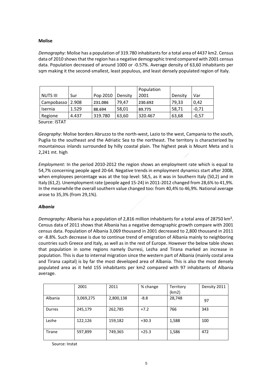## **Molise**

*Demography:* Molise has a population of 319.780 inhabitants for a total area of 4437 km2. Census data of 2010 shows that the region has a negative demographic trend compared with 2001 census data. Population decreased of around 1000 or -0.57%. Average density of 63,60 inhabitants per sqm making it the second-smallest, least populous, and least densely populated region of Italy.

| <b>NUTS III</b> | Sur   | Pop 2010 | Density | Population<br>2001 | Density | Var     |
|-----------------|-------|----------|---------|--------------------|---------|---------|
| Campobasso      | 2.908 | 231.086  | 79.47   | 230.692            | 79.33   | 0.42    |
| Isernia         | 1.529 | 88.694   | 58,01   | 89.775             | 58,71   | $-0,71$ |
| Regione         | 4.437 | 319.780  | 63,60   | 320.467            | 63,68   | $-0,57$ |

Source: ISTAT

*Geography*: Molise borders Abruzzo to the north-west, Lazio to the west, Campania to the south, Puglia to the southeast and the Adriatic Sea to the northeast. The territory is characterized by mountainous inlands surrounded by hilly coastal plain. The highest peak is Mount Meta and is 2,241 mt. high

*Employment:* In the period 2010-2012 the region shows an employment rate which is equal to 54,7% concerning people aged 20-64. Negative trends in employment dynamics start after 2008, when employees percentage was at the top level: 58,5, as it was in Southern Italy (50,2) and in Italy (61,2). Unemployment rate (people aged 15-24) in 2011-2012 changed from 28,6% to 41,9%. In the meanwhile the overall southern value changed too: from 40,4% to 46,9%. National average arose to 35,3% (from 29,1%).

## *Albania*

*Demography:* Albania has a population of 2,816 million inhabitants for a total area of 28750 km². Census data of 2011 shows that Albania has a negative demographic growth compare with 2001 census data. Population of Albania 3,069 thousand in 2001 decreased to 2,800 thousand in 2011 or -8.8%. Such decrease is due to continue trend of emigration of Albania mainly to neighboring countries such Greece and Italy, as well as in the rest of Europe. However the below table shows that population in some regions namely Durresi, Lezha and Tirana marked an increase in population. This is due to internal migration since the western part of Albania (mainly costal area and Tirana capital) is by far the most developed area of Albania. This is also the most densely populated area as it held 155 inhabitants per km2 compared with 97 inhabitants of Albania average.

|               | 2001      | 2011      | % change | Territory<br>(km2) | Density 2011 |
|---------------|-----------|-----------|----------|--------------------|--------------|
| Albania       | 3,069,275 | 2,800,138 | $-8.8$   | 28,748             | 97           |
| <b>Durres</b> | 245,179   | 262,785   | $+7.2$   | 766                | 343          |
| Lezhe         | 122,126   | 159,182   | $+30.3$  | 1,588              | 100          |
| Tirane        | 597,899   | 749,365   | $+25.3$  | 1,586              | 472          |

Source: Instat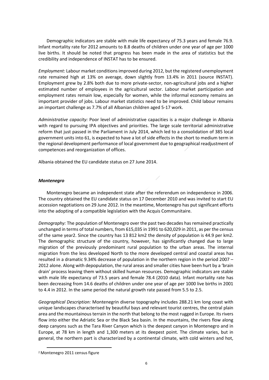Demographic indicators are stable with male life expectancy of 75.3 years and female 76.9. Infant mortality rate for 2012 amounts to 8.8 deaths of children under one year of age per 1000 live births. It should be noted that progress has been made in the area of statistics but the credibility and independence of INSTAT has to be ensured.

*Employment:* Labour market conditions improved during 2012, but the registered unemployment rate remained high at 13% on average, down slightly from 13.4% in 2011 (source INSTAT). Employment grew by 2.8% both due to more private-sector, non-agricultural jobs and a higher estimated number of employees in the agricultural sector. Labour market participation and employment rates remain low, especially for women, while the informal economy remains an important provider of jobs. Labour market statistics need to be improved. Child labour remains an important challenge as 7.7% of all Albanian children aged 5-17 work.

*Administrative capacity:* Poor level of administrative capacities is a major challenge in Albania with regard to pursuing IPA objectives and priorities. The large scale territorial administrative reform that just passed in the Parliament in July 2014, which led to a consolidation of 385 local government units into 61, is expected to have a lot of side effects in the short to medium term in the regional development performance of local government due to geographical readjustment of competences and reorganization of offices.

Albania obtained the EU candidate status on 27 June 2014.

## *Montenegro*

Montenegro became an independent state after the referendum on independence in 2006. The country obtained the EU candidate status on 17 December 2010 and was invited to start EU accession negotiations on 29 June 2012. In the meantime, Montenegro has put significant efforts into the adopting of a compatible legislation with the Acquis Communitaire.

*Demography:* The population of Montenegro over the past two decades has remained practically unchanged in terms of total numbers, from 615,035 in 1991 to 620,029 in 2011, as per the census of the same year2. Since the country has 13 812 km2 the density of population is 44.9 per km2. The demographic structure of the country, however, has significantly changed due to large migration of the previously predominant rural population to the urban areas. The internal migration from the less developed North to the more developed central and coastal areas has resulted in a dramatic 9.34% decrease of population in the northern region in the period 2007 – 2012 alone. Along with depopulation, the rural areas and smaller cities have been hurt by a 'brain drain' process leaving them without skilled human resources. Demographic indicators are stable with male life expectancy of 73.5 years and female 78.4 (2010 data). Infant mortality rate has been decreasing from 14.6 deaths of children under one year of age per 1000 live births in 2001 to 4.4 in 2012. In the same period the natural growth rate passed from 5.5 to 2.5.

*Geographical Description:* Montenegrin diverse topography includes 288.21 km long coast with unique landscapes characterised by beautiful bays and relevant tourist centres, the central plain area and the mountainous terrain in the north that belong to the most rugged in Europe. Its rivers flow into either the Adriatic Sea or the Black Sea basin. In the mountains, the rivers flow along deep canyons such as the Tara River Canyon which is the deepest canyon in Montenegro and in Europe, at 78 km in length and 1,300 meters at its deepest point. The climate varies, but in general, the northern part is characterized by a continental climate, with cold winters and hot,

l

<sup>2</sup> Montenegro 2011 census figure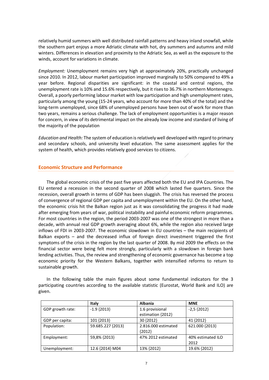relatively humid summers with well distributed rainfall patterns and heavy inland snowfall, while the southern part enjoys a more Adriatic climate with hot, dry summers and autumns and mild winters. Differences in elevation and proximity to the Adriatic Sea, as well as the exposure to the winds, account for variations in climate.

*Employment:* Unemployment remains very high at approximately 20%, practically unchanged since 2010. In 2012, labour market participation improved marginally to 50% compared to 49% a year before. Regional disparities are significant: in the coastal and central regions, the unemployment rate is 10% and 15.6% respectively, but it rises to 36.7% in northern Montenegro. Overall, a poorly performing labour market with low participation and high unemployment rates, particularly among the young (15-24 years, who account for more than 40% of the total) and the long-term unemployed, since 68% of unemployed persons have been out of work for more than two years, remains a serious challenge. The lack of employment opportunities is a major reason for concern, in view of its detrimental impact on the already low income and standard of living of the majority of the population

*Education and Health:* The system of education is relatively well developed with regard to primary and secondary schools, and university level education. The same assessment applies for the system of health, which provides relatively good services to citizens.

# **Economic Structure and Performance**

The global economic crisis of the past five years affected both the EU and IPA Countries. The EU entered a recession in the second quarter of 2008 which lasted five quarters. Since the recession, overall growth in terms of GDP has been sluggish. The crisis has reversed the process of convergence of regional GDP per capita and unemployment within the EU. On the other hand, the economic crisis hit the Balkan region just as it was consolidating the progress it had made after emerging from years of war, political instability and painful economic reform programmes. For most countries in the region, the period 2003-2007 was one of the strongest in more than a decade, with annual real GDP growth averaging about 6%, while the region also received large inflows of FDI in 2003-2007. The economic slowdown in EU countries – the main recipients of Balkan exports – and the decreased influx of foreign direct investment triggered the first symptoms of the crisis in the region by the last quarter of 2008. By mid 2009 the effects on the financial sector were being felt more strongly, particularly with a slowdown in foreign bank lending activities. Thus, the review and strengthening of economic governance has become a top economic priority for the Western Balkans, together with intensified reforms to return to sustainable growth.

In the following table the main figures about some fundamental indicators for the 3 participating countries according to the available statistic (Eurostat, World Bank and ILO) are given.

|                  | <b>Italy</b>      | <b>Albania</b>      | <b>MNE</b>        |
|------------------|-------------------|---------------------|-------------------|
| GDP growth rate: | $-1.9$ {2013}     | 1.6 provisional     | $-2,5$ {2012}     |
|                  |                   | estimation {2012}   |                   |
| GDP per capita:  | 101 {2013}        | 30 {2012}           | 41 {2012}         |
| Population:      | 59.685.227 {2013} | 2.816.000 estimated | 621.000 {2013}    |
|                  |                   | ${2012}$            |                   |
| Employment:      | 59,8% {2013}      | 47% 2012 estimated  | 40% estimated ILO |
|                  |                   |                     | 2012              |
| Unemployment:    | 12.6 {2014} M04   | 13% {2012}          | 19.6% {2012}      |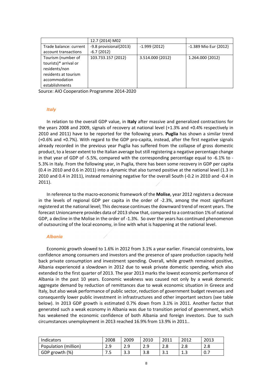|                        | 12.7 {2014} M02        |                  |                       |
|------------------------|------------------------|------------------|-----------------------|
| Trade balance: current | -9.8 provisional{2013} | $-1.999$ {2012}  | -1.389 Mio Eur {2012} |
| account transactions   | $-6.7$ {2012}          |                  |                       |
| Tourism (number of     | 103.733.157 {2012}     | 3.514.000 {2012} | 1.264.000 {2012}      |
| tourists)* arrival or  |                        |                  |                       |
| residents/non          |                        |                  |                       |
| residents at tourism   |                        |                  |                       |
| accommodation          |                        |                  |                       |
| establishments         |                        |                  |                       |

Source: AIO Cooperation Programme 2014-2020

## *Italy*

In relation to the overall GDP value, in **Italy** after massive and generalized contractions for the years 2008 and 2009, signals of recovery at national level (+1.3% and +0.4% respectively in 2010 and 2011) have to be reported for the following years. **Puglia** has shown a similar trend (+0.6% and +0.7%). With regard to the GDP pro-capita, instead, after the first negative signals already recorded in the previous year Puglia has suffered from the collapse of gross domestic product, to a lesser extent to the Italian average but still registering a negative percentage change in that year of GDP of -5.5%, compared with the corresponding percentage equal to -6.1% to - 5.3% in Italy. From the following year, in Puglia, there has been some recovery in GDP per capita (0.4 in 2010 and 0.6 in 2011) into a dynamic that also turned positive at the national level (1.3 in 2010 and 0.4 in 2011), instead remaining negative for the overall South (-0.2 in 2010 and -0.4 in 2011).

In reference to the macro-economic framework of the **Molise**, year 2012 registers a decrease in the levels of regional GDP per capita in the order of -2.3%, among the most significant registered at the national level; This decrease continues the downward trend of recent years. The forecast Unioncamere provides data of 2013 show that, compared to a contraction 1% of national GDP, a decline in the Molise in the order of -1.3%. So over the years has continued phenomenon of outsourcing of the local economy, in line with what is happening at the national level.

## *Albania*

Economic growth slowed to 1.6% in 2012 from 3.1% a year earlier. Financial constraints, low confidence among consumers and investors and the presence of spare production capacity held back private consumption and investment spending. Overall, while growth remained positive, Albania experienced a slowdown in 2012 due to weak private domestic spending, which also extended to the first quarter of 2013. The year 2013 marks the lowest economic performance of Albania in the past 10 years. Economic weakness was caused not only by a weak domestic aggregate demand by reduction of remittances due to weak economic situation in Greece and Italy, but also weak performance of public sector, reduction of government budget revenues and consequently lower public investment in infrastructures and other important sectors (see table below). In 2013 GDP growth is estimated 0.7% down from 3.1% in 2011. Another factor that generated such a weak economy in Albania was due to transition period of government, which has weakened the economic confidence of both Albania and foreign investors. Due to such circumstances unemployment in 2013 reached 16.9% from 13.9% in 2011..

| Indicators           | 2008 | 2009       | 2010      | 2011                   | 2012 | 2013 |
|----------------------|------|------------|-----------|------------------------|------|------|
| Population (million) | 2.9  | າ ດ<br>د.ء | っぺ<br>2.J | 2.8                    | ۵.۵  | 2.8  |
| GDP growth (%)       | ر ،  | د.د        | 3.8       | 2 <sub>1</sub><br>⊥. د | ر    | 0.7  |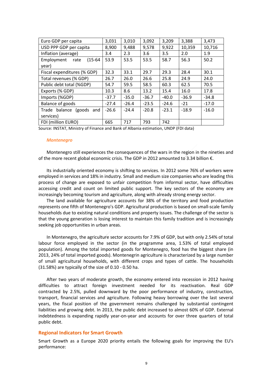| Euro GDP per capita             | 3,031   | 3,010   | 3,092   | 3,209   | 3,388   | 3,473   |
|---------------------------------|---------|---------|---------|---------|---------|---------|
| USD PPP GDP per capita          | 8,900   | 9,488   | 9,578   | 9,922   | 10,359  | 10,716  |
| Inflation (average)             | 3.4     | 2.3     | 3.6     | 3.5     | 2.0     | 1.9     |
| $(15-64)$<br>Employment<br>rate | 53.9    | 53.5    | 53.5    | 58.7    | 56.3    | 50.2    |
| year)                           |         |         |         |         |         |         |
| Fiscal expenditures (% GDP)     | 32.3    | 33.1    | 29.7    | 29.3    | 28.4    | 30.1    |
| Total revenues (% GDP)          | 26.7    | 26.0    | 26.6    | 25.8    | 24.9    | 24.0    |
| Public debt total (%GDP)        | 54.7    | 59.5    | 58.5    | 60.3    | 62.5    | 70.5    |
| Exports (% GDP)                 | 10.3    | 8.6     | 13.2    | 15.4    | 16.0    | 17.8    |
| Imports (%GDP)                  | $-37.7$ | $-35.0$ | $-36.7$ | $-40.0$ | $-36.9$ | $-34.8$ |
| Balance of goods                | $-27.4$ | $-26.4$ | $-23.5$ | $-24.6$ | $-21$   | $-17.0$ |
| balance<br>Trade<br>(goods and  | $-26.6$ | $-24.4$ | $-20.8$ | $-23.1$ | $-18.9$ | $-16.0$ |
| services)                       |         |         |         |         |         |         |
| FDI (million EURO)              | 665     | 717     | 793     | 742     |         |         |

Source: INSTAT, Ministry of Finance and Bank of Albania estimation, UNDP (FDI data)

#### *Montenegro*

Montenegro still experiences the consequences of the wars in the region in the nineties and of the more recent global economic crisis. The GDP in 2012 amounted to 3.34 billion €.

Its industrially oriented economy is shifting to services. In 2012 some 76% of workers were employed in services and 18% in industry. Small and medium size companies who are leading this process of change are exposed to unfair competition from informal sector, have difficulties accessing credit and count on limited public support. The key sectors of the economy are increasingly becoming tourism and agriculture, along with already strong energy sector.

The land available for agriculture accounts for 38% of the territory and food production represents one fifth of Montenegro's GDP. Agricultural production is based on small-scale family households due to existing natural conditions and property issues. The challenge of the sector is that the young generation is losing interest to maintain this family tradition and is increasingly seeking job opportunities in urban areas.

In Montenegro, the agriculture sector accounts for 7.9% of GDP, but with only 2.54% of total labour force employed in the sector (in the programme area, 1.53% of total employed population). Among the total imported goods for Montenegro, food has the biggest share (in 2013, 24% of total imported goods). Montenegrin agriculture is characterized by a large number of small agricultural households, with different crops and types of cattle. The households (31.58%) are typically of the size of 0.10 - 0.50 ha.

After two years of moderate growth, the economy entered into recession in 2012 having difficulties to attract foreign investment needed for its reactivation. Real GDP contracted by 2.5%, pulled downward by the poor performance of industry, construction, transport, financial services and agriculture. Following heavy borrowing over the last several years, the fiscal position of the government remains challenged by substantial contingent liabilities and growing debt. In 2013, the public debt increased to almost 60% of GDP. External indebtedness is expanding rapidly year-on-year and accounts for over three quarters of total public debt.

## **Regional Indicators for Smart Growth**

Smart Growth as a Europe 2020 priority entails the following goals for improving the EU's performance: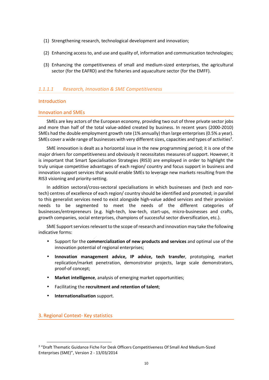- (1) Strengthening research, technological development and innovation;
- (2) Enhancing access to, and use and quality of, information and communication technologies;
- (3) Enhancing the competitiveness of small and medium-sized enterprises, the agricultural sector (for the EAFRD) and the fisheries and aquaculture sector (for the EMFF).

# *1.1.1.1 Research, Innovation & SME Competitiveness*

# Introduction

# Innovation and SMEs

SMEs are key actors of the European economy, providing two out of three private sector jobs and more than half of the total value-added created by business. In recent years (2000-2010) SMEs had the double employment growth rate (1% annually) than large enterprises (0.5% a year). SMEs cover a wide range of businesses with very different sizes, capacities and types of activities<sup>3</sup>.

SME innovation is dealt as a horizontal issue in the new programming period; it is one of the major drivers for competitiveness and obviously it necessitates measures of support. However, it is important that Smart Specialisation Strategies (RIS3) are employed in order to highlight the truly unique competitive advantages of each region/ country and focus support in business and innovation support services that would enable SMEs to leverage new markets resulting from the RIS3 visioning and priority-setting.

In addition sectoral/cross-sectoral specialisations in which businesses and (tech and nontech) centres of excellence of each region/ country should be identified and promoted; in parallel to this generalist services need to exist alongside high-value added services and their provision needs to be segmented to meet  $/$  the needs of the different categories of businesses/entrepreneurs (e.g. high-tech, low-tech, start-ups, micro-businesses and crafts, growth companies, social enterprises, champions of successful sector diversification, etc.).

SME Support services relevant to the scope of research and innovation may take the following indicative forms:

- Support for the **commercialization of new products and services** and optimal use of the innovation potential of regional enterprises;
- **Innovation management advice, IP advice, tech transfer**, prototyping, market replication/market penetration, demonstrator projects, large scale demonstrators, proof-of concept;
- **Market intelligence**, analysis of emerging market opportunities;
- Facilitating the **recruitment and retention of talent**;
- **Internationalisation** support.

# 3. Regional Context- Key statistics

 $\overline{a}$ 

<sup>&</sup>lt;sup>3</sup> "Draft Thematic Guidance Fiche For Desk Officers Competitiveness Of Small And Medium-Sized Enterprises (SME)", Version 2 - 13/03/2014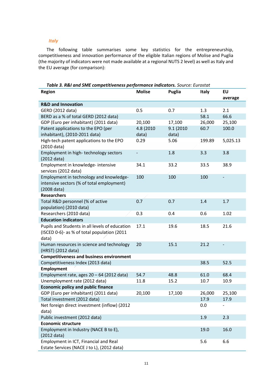## *Italy*

The following table summarises some key statistics for the entrepreneurship, competitiveness and innovation performance of the eligible Italian regions of Molise and Puglia (the majority of indicators were not made available at a regional NUTS 2 level) as well as Italy and the EU average (for comparison):

| <b>Region</b>                                                                                          | <b>Molise</b>            | <b>Puglia</b>      | <b>Italy</b> | EU<br>average |
|--------------------------------------------------------------------------------------------------------|--------------------------|--------------------|--------------|---------------|
| <b>R&amp;D and Innovation</b>                                                                          |                          |                    |              |               |
| GERD (2012 data)                                                                                       | 0.5                      | 0.7                | 1.3          | 2.1           |
| BERD as a % of total GERD (2012 data)                                                                  |                          |                    | 58.1         | 66.6          |
| GDP (Euro per inhabitant) (2011 data)                                                                  | 20,100                   | 17,100             | 26,000       | 25,100        |
| Patent applications to the EPO (per<br>inhabitant), (2010-2011 data)                                   | 4.8 (2010<br>data)       | 9.1 (2010<br>data) | 60.7         | 100.0         |
| High-tech patent applications to the EPO<br>(2010 data)                                                | 0.29                     | 5.06               | 199.89       | 5,025.13      |
| Employment in high-technology sectors<br>$(2012 \text{ data})$                                         | $\overline{\phantom{0}}$ | 1.8                | 3.3          | 3.8           |
| Employment in knowledge- intensive<br>services (2012 data)                                             | 34.1                     | 33.2               | 33.5         | 38.9          |
| Employment in technology and knowledge-<br>intensive sectors (% of total employment)<br>(2008 data)    | 100                      | 100                | 100          |               |
| <b>Researchers</b>                                                                                     |                          |                    |              |               |
| Total R&D personnel (% of active<br>population) (2010 data)                                            | 0.7                      | 0.7                | 1.4          | 1.7           |
| Researchers (2010 data)                                                                                | 0.3                      | 0.4                | 0.6          | 1.02          |
| <b>Education indicators</b>                                                                            |                          |                    |              |               |
| Pupils and Students in all levels of education<br>(ISCED 0-6)- as % of total population (2011<br>data) | 17.1                     | 19.6               | 18.5         | 21.6          |
| Human resources in science and technology<br>(HRST) (2012 data)                                        | 20                       | 15.1               | 21.2         |               |
| <b>Competitiveness and business environment</b>                                                        |                          |                    |              |               |
| Competitiveness Index (2013 data)                                                                      |                          |                    | 38.5         | 52.5          |
| <b>Employment</b>                                                                                      |                          |                    |              |               |
| Employment rate, ages 20 - 64 (2012 data)                                                              | 54.7                     | 48.8               | 61.0         | 68.4          |
| Unemployment rate (2012 data)                                                                          | 11.8                     | 15.2               | 10.7         | 10.9          |
| <b>Economic policy and public finance</b>                                                              |                          |                    |              |               |
| GDP (Euro per inhabitant) (2011 data)                                                                  | 20,100                   | 17,100             | 26,000       | 25,100        |
| Total investment (2012 data)                                                                           |                          |                    | 17.9         | 17.9          |
| Net foreign direct investment (inflow) (2012<br>data)                                                  |                          |                    | 0.0          |               |
| Public investment (2012 data)                                                                          |                          |                    | 1.9          | 2.3           |
| <b>Economic structure</b>                                                                              |                          |                    |              |               |
| Employment in Industry (NACE B to E),<br>(2012 data)                                                   |                          |                    | 19.0         | 16.0          |
| Employment in ICT, Financial and Real<br>Estate Services (NACE J to L), (2012 data)                    |                          |                    | 5.6          | 6.6           |

*Table 3. R&I and SME competitiveness performance indicators. Source: Eurostat*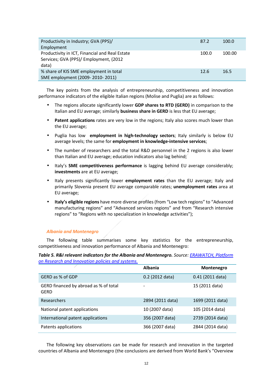| Productivity in Industry; GVA (PPS)/           | 87.2  | 100.0  |
|------------------------------------------------|-------|--------|
| Employment                                     |       |        |
| Productivity in ICT, Financial and Real Estate | 100.0 | 100.00 |
| Services; GVA (PPS)/ Employment, (2012         |       |        |
| data)                                          |       |        |
| % share of KIS SME employment in total         | 12.6  | 16.5   |
| SME employment (2009-2010-2011)                |       |        |

The key points from the analysis of entrepreneurship, competitiveness and innovation performance indicators of the eligible Italian regions (Molise and Puglia) are as follows:

- The regions allocate significantly lower **GDP shares to RTD (GERD)** in comparison to the Italian and EU average; similarly **business share in GERD** is less that EU average;
- **Patent applications** rates are very low in the regions; Italy also scores much lower than the EU average;
- Puglia has low **employment in high-technology sectors**; Italy similarly is below EU average levels; the same for **employment in knowledge-intensive services**;
- The number of researchers and the total R&D personnel in the 2 regions is also lower than Italian and EU average; education indicators also lag behind;
- Italy's **SME competitiveness performance** is lagging behind EU average considerably; **investments** are at EU average;
- Italy presents significantly lower **employment rates** than the EU average; Italy and primarily Slovenia present EU average comparable rates; **unemployment rates** area at EU average;
- **Italy's eligible regions** have more diverse profiles (from "Low tech regions" to "Advanced manufacturing regions" and "Advanced services regions" and from "Research intensive regions" to "Regions with no specialization in knowledge activities");

## *Albania and Montenegro*

The following table summarises some key statistics for the entrepreneurship, competitiveness and innovation performance of Albania and Montenegro:

*Table 5. R&I relevant indicators for the Albania and Montenegro. Source: ERAWATCH, Platform on Research and Innovation policies and systems.*

|                                               | <b>Albania</b>    | Montenegro         |
|-----------------------------------------------|-------------------|--------------------|
| GERD as % of GDP                              | $0.2$ (2012 data) | $0.41$ (2011 data) |
| GERD financed by abroad as % of total<br>GFRD |                   | 15 (2011 data)     |
| Researchers                                   | 2894 (2011 data)  | 1699 (2011 data)   |
| National patent applications                  | 10 (2007 data)    | 105 (2014 data)    |
| International patent applications             | 356 (2007 data)   | 2739 (2014 data)   |
| Patents applications                          | 366 (2007 data)   | 2844 (2014 data)   |

The following key observations can be made for research and innovation in the targeted countries of Albania and Montenegro (the conclusions are derived from World Bank's "Overview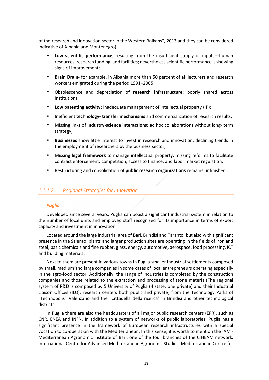of the research and innovation sector in the Western Balkans", 2013 and they can be considered indicative of Albania and Montenegro):

- **Low scientific performance**, resulting from the insufficient supply of inputs—human resources, research funding, and facilities; nevertheless scientific performance is showing signs of improvement;
- **Brain Drain** for example, in Albania more than 50 percent of all lecturers and research workers emigrated during the period 1991–2005;
- Obsolescence and depreciation of **research infrastructure**; poorly shared across institutions;
- **Low patenting activity**; inadequate management of intellectual property (IP);
- Inefficient **technology- transfer mechanisms** and commercialization of research results;
- Missing links of **industry-science interactions**; ad hoc collaborations without long- term strategy;
- **Businesses** show little interest to invest in research and innovation; declining trends in the employment of researchers by the business sector;
- Missing **legal framework** to manage intellectual property; missing reforms to facilitate contract enforcement, competition, access to finance, and labor market regulation;
- Restructuring and consolidation of **public research organizations** remains unfinished.

## *1.1.1.2 Regional Strategies for Innovation*

## *Puglia*

Developed since several years, Puglia can boast a significant industrial system in relation to the number of local units and employed staff recognized for its importance in terms of export capacity and investment in innovation.

Located around the large industrial area of Bari, Brindisi and Taranto, but also with significant presence in the Salento, plants and larger production sites are operating in the fields of iron and steel, basic chemicals and fine rubber, glass, energy, automotive, aerospace, food processing, ICT and building materials.

Next to them are present in various towns in Puglia smaller industrial settlements composed by small, medium and large companies in some cases of local entrepreneurs operating especially in the agro-food sector. Additionally, the range of industries is completed by the construction companies and those related to the extraction and processing of stone materialsThe regional system of R&D is composed by 5 University of Puglia (4 state, one private) and their Industrial Liaison Offices (ILO), research centers both public and private, from the Technology Parks of "Technopolis" Valenzano and the "Cittadella della ricerca" in Brindisi and other technological districts.

In Puglia there are also the headquarters of all major public research centers (EPR), such as CNR, ENEA and INFN. In addition to a system of networks of public laboratories, Puglia has a significant presence in the framework of European research infrastructures with a special vocation to co-operation with the Mediterranean. In this sense, it is worth to mention the IAM - Mediterranean Agronomic Institute of Bari, one of the four branches of the CIHEAM network, International Centre for Advanced Mediterranean Agronomic Studies, Mediterranean Centre for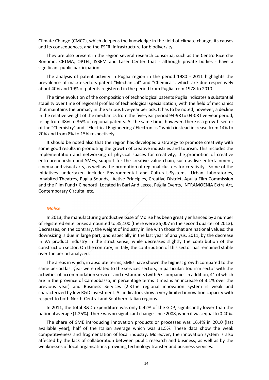Climate Change (CMCC), which deepens the knowledge in the field of climate change, its causes and its consequences, and the ESFRI infrastructure for biodiversity.

They are also present in the region several research consortia, such as the Centro Ricerche Bonomo, CETMA, OPTEL, ISBEM and Laser Center that - although private bodies - have a significant public participation.

The analysis of patent activity in Puglia region in the period 1980 - 2011 highlights the prevalence of macro-sectors patent "Mechanical" and "Chemical", which are due respectively about 40% and 19% of patents registered in the period from Puglia from 1978 to 2010.

The time evolution of the composition of technological patents Puglia indicates a substantial stability over time of regional profiles of technological specialization, with the field of mechanics that maintains the primacy in the various five-year periods. It has to be noted, however, a decline in the relative weight of the mechanics from the five-year period 94-98 to 04-08 five-year period, rising from 48% to 36% of regional patents. At the same time, however, there is a growth sector of the "Chemistry" and '"Electrical Engineering / Electronics," which instead increase from 14% to 20% and from 8% to 15% respectively.

It should be noted also that the region has developed a strategy to promote creativity with some good results in promoting the growth of creative industries and tourism. This includes the implementation and networking of physical spaces for creativity, the promotion of creative entrepreneurship and SMEs, support for the creative value chain, such as live entertainment, cinema and visual arts, as well as the promotion of regional clusters for creativity. Some of the initiatives undertaken include: Environmental and Cultural Systems, Urban Laboratories, Inhabited Theatres, Puglia Sounds, Active Principles, Creative District, Apulia Film Commission and the Film Fund• Cineporti, Located In Bari And Lecce, Puglia Events, INTRAMOENIA Extra Art, Contemporary Circuita, etc.

#### *Molise*

In 2013, the manufacturing productive base of Molise has been greatly enhanced by a number of registered enterprises amounted to 35,100 (there were 35,007 in the second quarter of 2013). Decreases, on the contrary, the weight of industry in line with those that are national values: the downsizing is due in large part, and especially in the last year of analysis, 2011, by the decrease in VA product industry in the strict sense, while decreases slightly the contribution of the construction sector. On the contrary, in Italy, the contribution of this sector has remained stable over the period analyzed.

The areas in which, in absolute terms, SMEs have shown the highest growth compared to the same period last year were related to the services sectors, in particular: tourism sector with the activities of accommodation services and restaurants (with 67 companies in addition, 41 of which are in the province of Campobasso, in percentage terms it means an increase of 3.1% over the previous year) and Business Services (2.3The regional innovation system is weak and characterized by low R&D investment. All indicators show a very limited innovation capacity with respect to both North-Central and Southern Italian regions.

In 2011, the total R&D expenditure was only 0.42% of the GDP, significantly lower than the national average (1.25%). There was no significant change since 2008, when it was equal to 0.40%.

The share of SME introducing innovation products or processes was 16.4% in 2010 (last available year), half of the Italian average which was 31.5%. These data show the weak competitiveness and fragmentation of local industry. Moreover, the innovation system is also affected by the lack of collaboration between public research and business, as well as by the weaknesses of local organisations providing technology transfer and business services.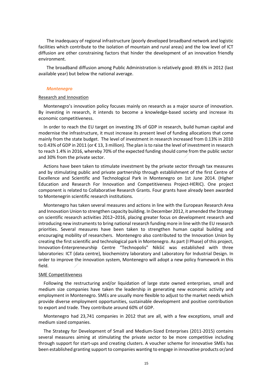The inadequacy of regional infrastructure (poorly developed broadband network and logistic facilities which contribute to the isolation of mountain and rural areas) and the low level of ICT diffusion are other constraining factors that hinder the development of an innovation friendly environment.

The broadband diffusion among Public Administration is relatively good: 89.6% in 2012 (last available year) but below the national average.

#### *Montenegro*

#### Research and Innovation

Montenegro's innovation policy focuses mainly on research as a major source of innovation. By investing in research, it intends to become a knowledge-based society and increase its economic competitiveness.

In order to reach the EU target on investing 3% of GDP in research, build human capital and modernise the infrastructure, it must increase its present level of funding allocations that come mainly from the state budget. The level of investment in research increased from 0.13% in 2010 to 0.43% of GDP in 2011 (or € 13, 3 million). The plan is to raise the level of investment in research to reach 1.4% in 2016, whereby 70% of the expected funding should come from the public sector and 30% from the private sector.

Actions have been taken to stimulate investment by the private sector through tax measures and by stimulating public and private partnership through establishment of the first Centre of Excellence and Scientific and Technological Park in Montenegro on 1st June 2014. (Higher Education and Research For Innovation and Competitiveness Project-HERIC). One project component is related to Collaborative Research Grants. Four grants have already been awarded to Montenegrin scientific research institutions.

Montenegro has taken several measures and actions in line with the European Research Area and Innovation Union to strengthen capacity building. In December 2012, it amended the Strategy on scientific research activities 2012–2016, placing greater focus on development research and introducing new instruments to bring national research funding more in line with the EU research priorities. Several measures have been taken to strengthen human capital building and encouraging mobility of researchers. Montenegro also contributed to the Innovation Union by creating the first scientific and technological park in Montenegro. As part (I Phase) of this project, Innovation-Enterpreneurship Centre "Technopolis" Nikšić was established with three laboratories: ICT (data centre), biochemistry laboratory and Laboratory for Industrial Design. In order to improve the innovation system, Montenegro will adopt a new policy framework in this field.

#### SME Competitiveness

Following the restructuring and/or liquidation of large state owned enterprises, small and medium size companies have taken the leadership in generating new economic activity and employment in Montenegro. SMEs are usually more flexible to adjust to the market needs which provide diverse employment opportunities, sustainable development and positive contribution to export and trade. They contribute around 60% of GDP.

Montenegro had 23,741 companies in 2012 that are all, with a few exceptions, small and medium sized companies.

The Strategy for Development of Small and Medium-Sized Enterprises (2011-2015) contains several measures aiming at stimulating the private sector to be more competitive including through support for start-ups and creating clusters. A voucher scheme for innovative SMEs has been established granting support to companies wanting to engage in innovative products or/and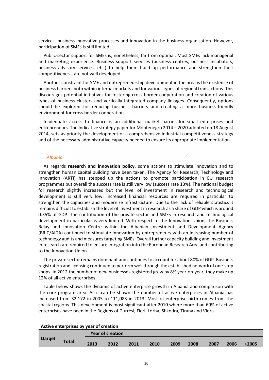services, business innovative processes and innovation in the business organisation. However, participation of SMEs is still limited.

Public-sector support for SMEs is, nonetheless, far from optimal. Most SMEs lack managerial and marketing experience. Business support services (business centres, business incubators, business advisory services, etc.) to help them build up performance and strengthen their competitiveness, are not well developed.

Another constraint for SME and entrepreneurship development in the area is the existence of business barriers both within internal markets and for various types of regional transactions. This discourages potential initiatives for fostering cross border cooperation and creation of various types of business clusters and vertically integrated company linkages. Consequently, options should be explored for reducing business barriers and creating a more business-friendly environment for cross border cooperation.

Inadequate access to finance is an additional market barrier for small enterprises and entrepreneurs. The Indicative strategy paper for Montenegro 2014 – 2020 adopted on 18 August 2014, sets as priority the development of a comprehensive industrial competitiveness strategy and of the necessary administrative capacity needed to ensure its appropriate implementation.

#### *Albania*

As regards **research and innovation policy**, some actions to stimulate innovation and to strengthen human capital building have been taken. The Agency for Research, Technology and Innovation (ARTI) has stepped up the actions to promote participation in EU research programmes but overall the success rate is still very low (success rate 13%). The national budget for research slightly increased but the level of investment in research and technological development is still very low. Increased financial resources are required in particular to strengthen the capacities and modernize infrastructure. Due to the lack of reliable statistics it remains difficult to establish the level of investment in research as a share of GDP which is around 0.35% of GDP. The contribution of the private sector and SMEs in research and technological development in particular is very limited. With respect to the Innovation Union, the Business Relay and Innovation Centre within the Albanian Investment and Development Agency (BRIC/AIDA) continued to stimulate innovation by entrepreneurs with an increasing number of technology audits and measures targeting SMEs. Overall further capacity building and investment in research are required to ensure integration into the European Research Area and contributing to the Innovation Union.

The private sector remains dominant and continues to account for about 80% of GDP. Business registration and licensing continued to perform well through the established network of one-stop shops. In 2012 the number of new businesses registered grew by 8% year-on-year; they make up 12% of all active enterprises.

Table below shows the dynamic of active enterprise growth in Albania and comparison with the core program area. As it can be shown the number of active enterprises in Albania has increased from 32,172 in 2005 to 111,083 in 2013. Most of enterprise birth comes from the coastal regions. This development is most significant after 2010 where more than 60% of active enterprises have been in the Regions of Durresi, Fieri, Lezha, Shkodra, Tirana and Vlora.

| Active enterprises by year of creation |              |      |                         |      |      |      |      |      |      |             |
|----------------------------------------|--------------|------|-------------------------|------|------|------|------|------|------|-------------|
|                                        |              |      | <b>Year of creation</b> |      |      |      |      |      |      |             |
| Qarget                                 | <b>Total</b> | 2013 | 2012                    | 2011 | 2010 | 2009 | 2008 | 2007 | 2006 | $\div 2005$ |

## **Active enterprises by year of creation**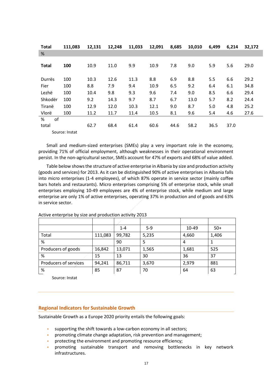| <b>Total</b>     | 111,083        | 12,131 | 12,248 | 11,033 | 12,091 | 8,685 | 10,010 | 6,499 | 6,214 | 32,172 |
|------------------|----------------|--------|--------|--------|--------|-------|--------|-------|-------|--------|
| %                |                |        |        |        |        |       |        |       |       |        |
| <b>Total</b>     | 100            | 10.9   | 11.0   | 9.9    | 10.9   | 7.8   | 9.0    | 5.9   | 5.6   | 29.0   |
| Durrës           | 100            | 10.3   | 12.6   | 11.3   | 8.8    | 6.9   | 8.8    | 5.5   | 6.6   | 29.2   |
| Fier             | 100            | 8.8    | 7.9    | 9.4    | 10.9   | 6.5   | 9.2    | 6.4   | 6.1   | 34.8   |
| Lezhë            | 100            | 10.4   | 9.8    | 9.3    | 9.6    | 7.4   | 9.0    | 8.5   | 6.6   | 29.4   |
| Shkodër          | 100            | 9.2    | 14.3   | 9.7    | 8.7    | 6.7   | 13.0   | 5.7   | 8.2   | 24.4   |
| Tiranë           | 100            | 12.9   | 12.0   | 10.3   | 12.1   | 9.0   | 8.7    | 5.0   | 4.8   | 25.2   |
| Vlorë            | 100            | 11.2   | 11.7   | 11.4   | 10.5   | 8.1   | 9.6    | 5.4   | 4.6   | 27.6   |
| %<br>of<br>total | Source: Instat | 62.7   | 68.4   | 61.4   | 60.6   | 44.6  | 58.2   | 36.5  | 37.0  |        |

Small and medium-sized enterprises (SMEs) play a very important role in the economy, providing 71% of official employment, although weaknesses in their operational environment persist. In the non-agricultural sector, SMEs account for 47% of exports and 68% of value added.

Table below shows the structure of active enterprise in Albania by size and production activity (goods and services) for 2013. As it can be distinguished 90% of active enterprises in Albania falls into micro enterprises (1-4 employees), of which 87% operate in service sector (mainly coffee bars hotels and restaurants). Micro enterprises comprising 5% of enterprise stock, while small enterprises employing 10-49 employees are 4% of enterprise stock, while medium and large enterprise are only 1% of active enterprises, operating 37% in production and of goods and 63% in service sector.

|                       |         | $1 - 4$ | $5-9$ | 10-49 | $50+$ |
|-----------------------|---------|---------|-------|-------|-------|
| Total                 | 111,083 | 99,782  | 5,235 | 4,660 | 1,406 |
| %                     |         | 90      | 5     | 4     |       |
| Producers of goods    | 16,842  | 13,071  | 1,565 | 1,681 | 525   |
| %                     | 15      | 13      | 30    | 36    | 37    |
| Producers of services | 94,241  | 86,711  | 3,670 | 2,979 | 881   |
| %                     | 85      | 87      | 70    | 64    | 63    |

Active enterprise by size and production activity 2013

Source: Instat

# **Regional Indicators for Sustainable Growth**

Sustainable Growth as a Europe 2020 priority entails the following goals:

- supporting the shift towards a low-carbon economy in all sectors;
- promoting climate change adaptation, risk prevention and management;
- protecting the environment and promoting resource efficiency;
- promoting sustainable transport and removing bottlenecks in key network infrastructures.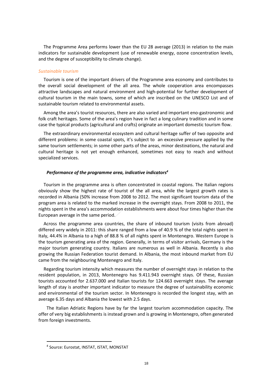The Programme Area performs lower than the EU 28 average (2013) in relation to the main indicators for sustainable development (use of renewable energy, ozone concentration levels, and the degree of susceptibility to climate change).

#### *Sustainable tourism*

Tourism is one of the important drivers of the Programme area economy and contributes to the overall social development of the all area. The whole cooperation area encompasses attractive landscapes and natural environment and high-potential for further development of cultural tourism in the main towns, some of which are inscribed on the UNESCO List and of sustainable tourism related to environmental assets.

Among the area's tourist resources, there are also varied and important eno-gastronomic and folk craft heritages. Some of the area's region have in fact a long culinary tradition and in some case the typical products (agricultural and crafts) originate an important domestic tourism flow.

The extraordinary environmental ecosystem and cultural heritage suffer of two opposite and different problems: in some coastal spots, it's subject to an excessive pressure applied by the same tourism settlements; in some other parts of the areas, minor destinations, the natural and cultural heritage is not yet enough enhanced, sometimes not easy to reach and without specialized services.

#### *Performance of the programme area, indicative indicators<sup>4</sup>*

Tourism in the programme area is often concentrated in coastal regions. The Italian regions obviously show the highest rate of tourist of the all area, while the largest growth rates is recorded in Albania (50% increase from 2008 to 2012. The most significant tourism data of the program area is related to the marked increase in the overnight stays. From 2008 to 2011, the nights spent in the area's accommodation establishments were about four times higher than the European average in the same period.

Across the programme area countries, the share of inbound tourism (visits from abroad) differed very widely in 2011: this share ranged from a low of 40.9 % of the total nights spent in Italy, 44.4% in Albania to a high of 88.8 % of all nights spent in Montenegro. Western Europe is the tourism generating area of the region. Generally, in terms of visitor arrivals, Germany is the major tourism generating country. Italians are numerous as well in Albania. Recently is also growing the Russian Federation tourist demand. In Albania, the most inbound market from EU came from the neighbouring Montenegro and Italy.

Regarding tourism intensity which measures the number of overnight stays in relation to the resident population, in 2013, Montenegro has 9.411.943 overnight stays. Of these, Russian tourists accounted for 2.637.000 and Italian tourists for 124.663 overnight stays. The average length of stay is another important indicator to measure the degree of sustainability economic and environmental of the tourism sector. In Montenegro is recorded the longest stay, with an average 6.35 days and Albania the lowest with 2.5 days.

The Italian Adriatic Regions have by far the largest tourism accommodation capacity. The offer of very big establishments is instead grown and is growing in Montenegro, often generated from foreign investments.

 $\overline{a}$ 

<sup>4</sup> Source: Eurostat, INSTAT, ISTAT, MONSTAT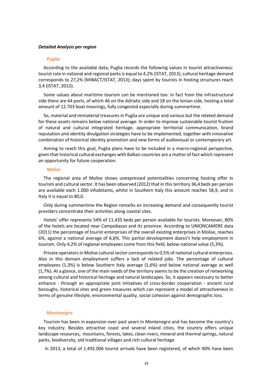## *Detailed Analysis per region*

#### *Puglia*

According to the available data, Puglia records the following values in tourist attractiveness: tourist rate in national and regional parks is equal to 4,2% (ISTAT, 2013); cultural heritage demand corresponds to 27,2% (MIBACT/ISTAT, 2013); days spent by tourists in hosting structures reach 3,4 (ISTAT, 2013).

Some values about maritime tourism can be mentioned too: in fact from the infrastructural side there are 64 ports, of which 46 on the Adriatic side and 18 on the Ionian side, hosting a total amount of 12.703 boat moorings, fully congested especially during summertime.

So, material and immaterial treasures in Puglia are unique and various but the related demand for these assets remains below national average. In order to improve sustainable tourist fruition of natural and cultural integrated heritage, appropriate territorial communication, brand reputation and identity divulgation strategies have to be implemented, together with innovative combination of historical identity promotion and new forms of audiovisual or contemporary art.

Aiming to reach this goal, Puglia plans have to be included in a macro-regional perspective, given that historical cultural exchanges with Balkan countries are a matter of fact which represent an opportunity for future cooperation.

#### *Molise*

The regional area of Molise shows unexpressed potentialities concerning hosting offer in tourism and cultural sector. It has been observed (2012) that in this territory 36,4 beds per person are available each 1.000 inhabitants, whilst in Southern Italy this amount reaches 58,9, and in Italy it is equal to 80,0.

Only during summertime the Region remarks an increasing demand and consequently tourist providers concentrate their activities along coastal sites.

Hotels' offer represents 54% of 11.435 beds per person available for tourists. Moreover, 80% of the hotels are located near Campobasso and its province. According to UNIONCAMERE data (2011) the percentage of tourist enterprises of the overall existing enterprises in Molise, reaches 6%, against a national average of 6,6%. This partial development doesn't help employment in tourism. Only 4,2% of regional employees come from this field, below national value (5,3%).

Private operators in Molise cultural sector corresponds to 0,5% of national cultural enterprises. Also in this domain employment suffers a lack of related jobs. The percentage of cultural employees (1,3%) is below Southern Italy average (1,6%) and below national average as well (1,7%). At a glance, one of the main needs of the territory seems to be the creation of networking among cultural and historical heritage and natural landscapes. So, it appears necessary to better enhance - through an appropriate joint initiatives of cross-border cooperation - ancient rural boroughs, historical sites and green treasures which can represent a model of attractiveness in terms of genuine lifestyle, environmental quality, social cohesion against demographic loss.

#### *Montenegro*

Tourism has been in expansion over past years in Montenegro and has become the country's key industry. Besides attractive coast and several inland cities, the country offers unique landscape resources, mountains, forests, lakes, clean rivers, mineral and thermal springs, natural parks, biodiversity, old traditional villages and rich cultural heritage.

In 2013, a total of 1.492.006 tourist arrivals have been registered, of which 90% have been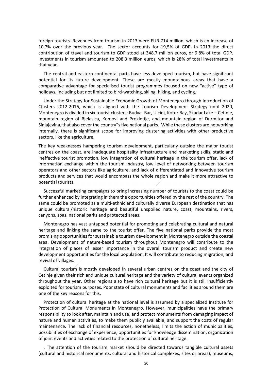foreign tourists. Revenues from tourism in 2013 were EUR 714 million, which is an increase of 10,7% over the previous year. The sector accounts for 19,5% of GDP. In 2013 the direct contribution of travel and tourism to GDP stood at 348.7 million euros, or 9.8% of total GDP. Investments in tourism amounted to 208.3 million euros, which is 28% of total investments in that year.

The central and eastern continental parts have less developed tourism, but have significant potential for its future development. These are mostly mountainous areas that have a comparative advantage for specialised tourist programmes focused on new "active" type of holidays, including but not limited to bird-watching, skiing, hiking, and cycling.

Under the Strategy for Sustainable Economic Growth of Montenegro through Introduction of Clusters 2012-2016, which is aligned with the Tourism Development Strategy until 2020, Montenegro is divided in six tourist clusters: Budva- Bar, Ulcinj, Kotor Bay, Skadar Lake – Cetinje, mountain region of Bjelasica, Komovi and Prokletije, and mountain region of Durmitor and Sinjajevina, that also cover the country"s five national parks. While these clusters are networking internally, there is significant scope for improving clustering activities with other productive sectors, like the agriculture.

The key weaknesses hampering tourism development, particularly outside the major tourist centres on the coast, are inadequate hospitality infrastructure and marketing skills, static and ineffective tourist promotion, low integration of cultural heritage in the tourism offer, lack of information exchange within the tourism industry, low level of networking between tourism operators and other sectors like agriculture, and lack of differentiated and innovative tourism products and services that would encompass the whole region and make it more attractive to potential tourists.

Successful marketing campaigns to bring increasing number of tourists to the coast could be further enhanced by integrating in them the opportunities offered by the rest of the country. The same could be promoted as a multi-ethnic and culturally diverse European destination that has unique cultural/historic heritage and beautiful unspoiled nature, coast, mountains, rivers, canyons, spas, national parks and protected areas.

Montenegro has vast untapped potential for promoting and celebrating cultural and natural heritage and linking the same to the tourist offer. The five national parks provide the most promising opportunities for sustainable tourism development in Montenegro outside the coastal area. Development of nature-based tourism throughout Montenegro will contribute to the integration of places of lesser importance in the overall tourism product and create new development opportunities for the local population. It will contribute to reducing migration, and revival of villages.

Cultural tourism is mostly developed in several urban centres on the coast and the city of Cetinje given their rich and unique cultural heritage and the variety of cultural events organized throughout the year. Other regions also have rich cultural heritage but it is still insufficiently exploited for tourism purposes. Poor state of cultural monuments and facilities around them are one of the key reasons for this.

Protection of cultural heritage at the national level is assumed by a specialized Institute for Protection of Cultural Monuments in Montenegro. However, municipalities have the primary responsibility to look after, maintain and use, and protect monuments from damaging impact of nature and human activities, to make them publicly available, and support the costs of regular maintenance. The lack of financial resources, nonetheless, limits the action of municipalities, possibilities of exchange of experience, opportunities for knowledge dissemination, organization of joint events and activities related to the protection of cultural heritage.

. The attention of the tourism market should be directed towards tangible cultural assets (cultural and historical monuments, cultural and historical complexes, sites or areas), museums,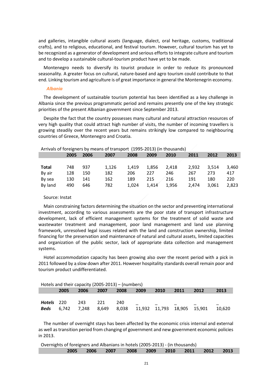and galleries, intangible cultural assets (language, dialect, oral heritage, customs, traditional crafts), and to religious, educational, and festival tourism. However, cultural tourism has yet to be recognized as a generator of development and serious efforts to integrate culture and tourism and to develop a sustainable cultural-tourism product have yet to be made.

Montenegro needs to diversify its tourist produce in order to reduce its pronounced seasonality. A greater focus on cultural, nature-based and agro tourism could contribute to that end. Linking tourism and agriculture is of great importance in general the Montenegrin economy.

#### *Albania*

The development of sustainable tourism potential has been identified as a key challenge in Albania since the previous programmatic period and remains presently one of the key strategic priorities of the present Albanian government since September 2013.

Despite the fact that the country possesses many cultural and natural attraction resources of very high quality that could attract high number of visits, the number of incoming travellers is growing steadily over the recent years but remains strikingly low compared to neighbouring countries of Greece, Montenegro and Croatia.

 $\overline{\phantom{a}}$ 

|         | Arrivals of foreigners by means of transport (1995-2013) (in thousands) |      |       |       |       |       |       |       |       |  |  |
|---------|-------------------------------------------------------------------------|------|-------|-------|-------|-------|-------|-------|-------|--|--|
|         | 2005                                                                    | 2006 | 2007  | 2008  | 2009  | 2010  | 2011  | 2012  | 2013  |  |  |
|         |                                                                         |      |       |       |       |       |       |       |       |  |  |
| Total   | 748                                                                     | 937  | 1.126 | 1.419 | 1.856 | 2.418 | 2.932 | 3.514 | 3.460 |  |  |
| By air  | 128                                                                     | 150  | 182   | 206   | 227   | 246   | 267   | 273   | 417   |  |  |
| By sea  | 130                                                                     | 141  | 162   | 189   | 215   | 216   | 191   | 180   | 220   |  |  |
| By land | 490                                                                     | 646  | 782   | 1.024 | 1,414 | 1.956 | 2.474 | 3.061 | 2.823 |  |  |
|         |                                                                         |      |       |       |       |       |       |       |       |  |  |

## Source: Instat

Main constraining factors determining the situation on the sector and preventing international investment, according to various assessments are the poor state of transport infrastructure development, lack of efficient management systems for the treatment of solid waste and wastewater treatment and management, poor land management and land use planning framework, unresolved legal issues related with the land and construction ownership, limited financing for the preservation and maintenance of natural and cultural assets, limited capacities and organization of the public sector, lack of appropriate data collection and management systems.

Hotel accommodation capacity has been growing also over the recent period with a pick in 2011 followed by a slow down after 2011. However hospitality standards overall remain poor and tourism product undifferentiated.

| Hotels and their capacity (2005-2013) – (numbers) |       |                   |      |      |      |      |                             |      |        |
|---------------------------------------------------|-------|-------------------|------|------|------|------|-----------------------------|------|--------|
|                                                   | 2005  | 2006              | 2007 | 2008 | 2009 | 2010 | 2011                        | 2012 | 2013   |
|                                                   |       |                   |      |      |      |      |                             |      |        |
| Hotels 220                                        |       | 243               | 221  | 240  |      |      |                             |      |        |
| <b>Beds</b>                                       | 6.742 | 7.248 8.649 8.038 |      |      |      |      | 11,932 11,793 18,905 15,901 |      | 10.620 |

The number of overnight stays has been affected by the economic crisis internal and external as well as transition period from changing of government and new government economic policies in 2013.

| Overnights of foreigners and Albanians in hotels (2005-2013) - (in thousands) |  |  |                                              |  |  |  |  |  |
|-------------------------------------------------------------------------------|--|--|----------------------------------------------|--|--|--|--|--|
|                                                                               |  |  | 2005 2006 2007 2008 2009 2010 2011 2012 2013 |  |  |  |  |  |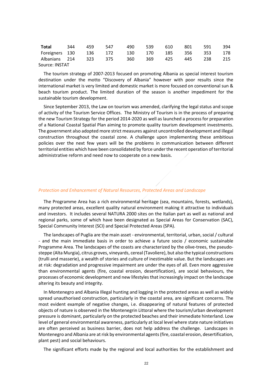| Total                                          | 344 | 459 | 547 |  | 490 539 610 | 801   | 591 | 394 |
|------------------------------------------------|-----|-----|-----|--|-------------|-------|-----|-----|
| Foreigners 130 136 172 130 170 185 356 353 178 |     |     |     |  |             |       |     |     |
| Albanians 214 323 375 360 369 425              |     |     |     |  |             | 445 — | 238 | 215 |
| Source: INSTAT                                 |     |     |     |  |             |       |     |     |

The tourism strategy of 2007-2013 focused on promoting Albania as special interest tourism destination under the motto "Discovery of Albania" however with poor results since the international market is very limited and domestic market is more focused on conventional sun & beach tourism product. The limited duration of the season is another impediment for the sustainable tourism development.

Since September 2013, the Law on tourism was amended, clarifying the legal status and scope of activity of the Tourism Service Offices. The Ministry of Tourism is in the process of preparing the new Tourism Strategy for the period 2014-2020 as well as launched a process for preparation of a National Coastal Spatial Plan aiming to promote quality tourism development investments. The government also adopted more strict measures against uncontrolled development and illegal construction throughout the coastal zone. A challenge upon implementing these ambitious policies over the next few years will be the problems in communication between different territorial entities which have been consolidated by force under the recent operation of territorial administrative reform and need now to cooperate on a new basis.

## *Protection and Enhancement of Natural Resources, Protected Areas and Landscape*

The Programme Area has a rich environmental heritage (sea, mountains, forests, wetlands), many protected areas, excellent quality natural environment making it attractive to individuals and investors. It includes several NATURA 2000 sites on the Italian part as well as national and regional parks, some of which have been designated as Special Areas for Conservation (SAC), Special Community Interest (SCI) and Special Protected Areas (SPA).

The landscapes of Puglia are the main asset - environmental, territorial, urban, social / cultural - and the main immediate basis in order to achieve a future socio / economic sustainable Programme Area. The landscapes of the coasts are characterized by the olive-trees, the pseudosteppe (Alta Murgia), citrus groves, vineyards, cereal (Tavoliere), but also the typical constructions (trulli and masserie), a wealth of stories and culture of inestimable value. But the landscapes are at risk: degradation and progressive impairment are under the eyes of all. Even more aggressive than environmental agents (fire, coastal erosion, desertification), are social behaviours, the processes of economic development and new lifestyles that increasingly impact on the landscape altering its beauty and integrity.

In Montenegro and Albania Illegal hunting and logging in the protected areas as well as widely spread unauthorised construction, particularly in the coastal area, are significant concerns. The most evident example of negative changes, i.e. disappearing of natural features of protected objects of nature is observed in the Montenegrin Littoral where the tourism/urban development pressure is dominant, particularly on the protected beaches and their immediate hinterland. Low level of general environmental awareness, particularly at local level where state nature initiatives are often perceived as business barrier, does not help address the challenge. Landscapes in Montenegro and Albania are at risk by environmental agents (fire, coastal erosion, desertification, plant pest) and social behaviours.

The significant efforts made by the regional and local authorities for the establishment and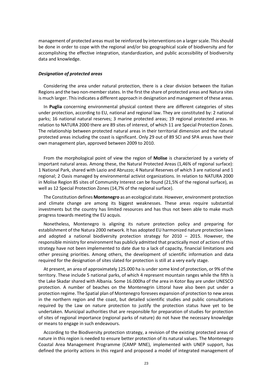management of protected areas must be reinforced by interventions on a larger scale. This should be done in order to cope with the regional and/or bio geographical scale of biodiversity and for accomplishing the effective integration, standardization, and public accessibility of biodiversity data and knowledge.

## *Designation of protected areas*

Considering the area under natural protection, there is a clear division between the Italian Regions and the two non-member states. In the first the share of protected areas and Natura sites is much larger. This indicates a different approach in designation and management of these areas.

In **Puglia** concerning environmental physical context there are different categories of sites under protection, according to EU, national and regional law. They are constituted by: 2 national parks; 16 national natural reserves; 3 marine protected areas; 19 regional protected areas. In relation to NATURA 2000 there are 89 sites of interest, of which 11 are Special Protection Zones. The relationship between protected natural areas in their territorial dimension and the natural protected areas including the coast is significant. Only 29 out of 89 SCI and SPA areas have their own management plan, approved between 2009 to 2010.

From the morphological point of view the region of **Molise** is characterized by a variety of important natural areas. Among these, the Natural Protected Areas (1,46% of regional surface): 1 National Park, shared with Lazio and Abruzzo; 4 Natural Reserves of which 3 are national and 1 regional; 2 Oasis managed by environmental activist organizations. In relation to NATURA 2000 in Molise Region 85 sites of Community Interest can be found (21,5% of the regional surface), as well as 12 Special Protection Zones (14,7% of the regional surface).

The Constitution defines **Montenegro** as an ecological state. However, environment protection and climate change are among its biggest weaknesses. These areas require substantial investments but the country has limited resources and has thus not been able to make much progress towards meeting the EU acquis.

Nonetheless, Montenegro is aligning its nature protection policy and preparing for establishment of the Natura 2000 network. It has adopted EU harmonized nature protection laws and adopted a national biodiversity protection strategy for 2010 – 2015. However, the responsible ministry for environment has publicly admitted that practically most of actions of this strategy have not been implemented to date due to a lack of capacity, financial limitations and other pressing priorities. Among others, the development of scientific information and data required for the designation of sites slated for protection is still at a very early stage.

At present, an area of approximately 125.000 ha is under some kind of protection, or 9% of the territory. These include 5 national parks, of which 4 represent mountain ranges while the fifth is the Lake Skadar shared with Albania. Some 16.000ha of the area in Kotor Bay are under UNESCO protection. A number of beaches on the Montenegrin Littoral have also been put under a protection regime. The Spatial plan of Montenegro foresees expansion of protection to new areas in the northern region and the coast, but detailed scientific studies and public consultations required by the Law on nature protection to justify the protection status have yet to be undertaken. Municipal authorities that are responsible for preparation of studies for protection of sites of regional importance (regional parks of nature) do not have the necessary knowledge or means to engage in such endeavours.

According to the Biodiversity protection strategy, a revision of the existing protected areas of nature in this region is needed to ensure better protection of its natural values. The Montenegro Coastal Area Management Programme (CAMP MNE), implemented with UNEP support, has defined the priority actions in this regard and proposed a model of integrated management of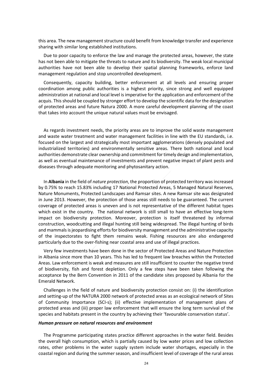this area. The new management structure could benefit from knowledge transfer and experience sharing with similar long established institutions.

Due to poor capacity to enforce the law and manage the protected areas, however, the state has not been able to mitigate the threats to nature and its biodiversity. The weak local municipal authorities have not been able to develop their spatial planning frameworks, enforce land management regulation and stop uncontrolled development.

Consequently, capacity building, better enforcement at all levels and ensuring proper coordination among public authorities is a highest priority, since strong and well equipped administration at national and local level is imperative for the application and enforcement of the acquis. This should be coupled by stronger effort to develop the scientific data for the designation of protected areas and future Natura 2000. A more careful development planning of the coast that takes into account the unique natural values must be envisaged.

As regards investment needs, the priority areas are to improve the solid waste management and waste water treatment and water management facilities in line with the EU standards, i.e. focused on the largest and strategically most important agglomerations (densely populated and industrialized territories) and environmentally sensitive areas. There both national and local authorities demonstrate clear ownership and commitment for timely design and implementation, as well as eventual maintenance of investments and prevent negative impact of plant pests and diseases through adequate monitoring and phytosanitary action.

In **Albania** in the field of *nature protection*, the proportion of protected territory was increased by 0.75% to reach 15.83% including 17 National Protected Areas, 5 Managed Natural Reserves, Nature Monuments, Protected Landscapes and Ramsar sites. A new Ramsar site was designated in June 2013. However, the protection of those areas still needs to be guaranteed. The current coverage of protected areas is uneven and is not representative of the different habitat types which exist in the country. The national network is still small to have an effective long-term impact on biodiversity protection. Moreover, protection is itself threatened by informal construction, woodcutting and illegal hunting still being widespread. The illegal hunting of birds and mammals is jeopardising efforts for biodiversity management and the administrative capacity of the inspectorates to fight them remains weak. Fishing resources are also endangered particularly due to the over-fishing near coastal area and use of illegal practices.

Very few investments have been done in the sector of Protected Areas and Nature Protection in Albania since more than 10 years. This has led to frequent law breaches within the Protected Areas. Law enforcement is weak and measures are still insufficient to counter the negative trend of biodiversity, fish and forest depletion. Only a few steps have been taken following the acceptance by the Bern Convention in 2011 of the candidate sites proposed by Albania for the Emerald Network.

Challenges in the field of nature and biodiversity protection consist on: (i) the identification and setting-up of the NATURA 2000 network of protected areas as an ecological network of Sites of Community Importance (SCI-s); (ii) effective implementation of management plans of protected areas and (iii) proper law enforcement that will ensure the long term survival of the species and habitats present in the country by achieving their 'favourable conservation status'.

#### *Human pressure on natural resources and environment*

The Programme participating states practice different approaches in the water field. Besides the overall high consumption, which is partially caused by low water prices and low collection rates, other problems in the water supply system include water shortages, especially in the coastal region and during the summer season, and insufficient level of coverage of the rural areas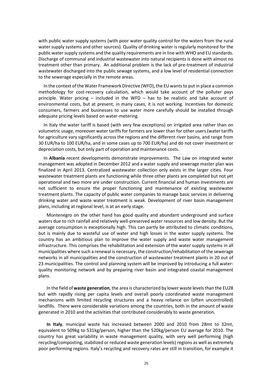with public water supply systems (with poor water quality control for the waters from the rural water supply systems and other sources). Quality of drinking water is regularly monitored for the public water supply systems and the quality requirements are in line with WHO and EU standards. Discharge of communal and industrial wastewater into natural recipients is done with almost no treatment other than primary. An additional problem is the lack of pre-treatment of industrial wastewater discharged into the public sewage systems, and a low level of residential connection to the sewerage especially in the remote areas.

In the context of the Water Framework Directive (WFD), the EU wants to put in place a common methodology for cost-recovery calculation, which would take account of the polluter pays principle. Water pricing – included in the WFD – has to be realistic and take account of environmental costs, but at present, in many cases, it is not working. Incentives for domestic consumers, farmers and businesses to use water more carefully should be installed through adequate pricing levels based on water-metering.

In Italy the water tariff is based (with very few exceptions) on irrigated area rather than on volumetric usage, moreover water tariffs for farmers are lower than for other users (water tariffs for agriculture vary significantly across the regions and the different river basins, and range from 30 EUR/ha to 100 EUR/ha, and in some cases up to 700 EUR/ha) and do not cover investment or depreciation costs, but only part of operation and maintenance costs.

In **Albania** recent developments demonstrate improvements. The Law on integrated water management was adopted in December 2012 and a water supply and sewerage master plan was finalized in April 2013. Centralized wastewater collection only exists in the larger cities. Four wastewater treatment plants are functioning while three other plants are completed but not yet operational and two more are under construction. Current financial and human investments are not sufficient to ensure the proper functioning and maintenance of existing wastewater treatment plants. The capacity of public water companies to manage basic services in delivering drinking water and waste water treatment is weak. Development of river basin management plans, including at regional level, is at an early stage.

Montenegro on the other hand has good quality and abundant underground and surface waters due to rich rainfall and relatively well-preserved water resources and low density. But the average consumption is exceptionally high. This can partly be attributed to climatic conditions, but is mainly due to wasteful use of water and high losses in the water supply systems. The country has an ambitious plan to improve the water supply and waste water management infrastructure. This comprises the rehabilitation and extension of the water supply systems in all municipalities where such a renewal is necessary, the construction/rehabilitation of the sewerage networks in all municipalities and the construction of wastewater treatment plants in 20 out of 23 municipalities. The control and planning system will be improved by introducing a full waterquality monitoring network and by preparing river basin and integrated coastal management plans.

In the field of **waste generation**, the area is characterized by lower waste levels than the EU28 but with rapidly rising per capita levels and overall poorly coordinated waste management mechanisms with limited recycling structures and a heavy reliance on (often uncontrolled) landfills. There were considerable variations among the countries, both in the amount of waste generated in 2010 and the activities that contributed considerably to waste generation.

**In Italy**, municipal waste has increased between 2000 and 2010 from 28mt to 32mt, equivalent to 509kg to 531kg/person, higher than the 520kg/person EU average for 2010. The country has great variability in waste management quality, with very well performing (high recycling/composting, stabilized or reduced waste generation levels) regions as well as extremely poor performing regions. Italy's recycling and recovery rates are still in transition, for example it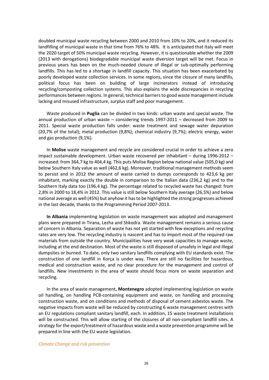doubled municipal waste recycling between 2000 and 2010 from 10% to 20%, and it reduced its landfilling of municipal waste in that time from 76% to 48%. It is anticipated that Italy will meet the 2020 target of 50% municipal waste recycling. However, it is questionable whether the 2009 (2013 with derogations) biodegradable municipal waste diversion target will be met. Focus in previous years has been on the much-needed closure of illegal or sub-optimally performing landfills. This has led to a shortage in landfill capacity. This situation has been exacerbated by poorly developed waste collection services. In some regions, since the closure of many landfills, political focus has been on building of large incinerators instead of introducing recycling/composting collection systems. This also explains the wide discrepancies in recycling performances between regions. In general, technical barriers to good waste management include lacking and misused infrastructure, surplus staff and poor management.

Waste produced in **Puglia** can be divided in two kinds: urban waste and special waste. The annual production of urban waste – considering trends 1997-2011 – decreased from 2009 to 2011. Special waste production falls under: waste treatment and sewage water depuration (20,7% of the total); metal production (9,8%); chemical industry (9,7%); electric energy, water and gas production (9,1%).

In **Molise** waste management and recycle are considered crucial in order to achieve a zero impact sustainable development. Urban waste recovered per inhabitant – during 1996-2012 – increased: from 364,7 kg to 404,4 kg. This puts Molise Region below national value (505,0 kg) and below Southern Italy value as well (462,6 kg). Moreover, traditional management methods seem to persist and in 2012 the amount of waste carried to dumps corresponds to 423,6 kg per inhabitant, marking exactly the double in comparison to the Italian data (236,2 kg) and to the Southern Italy data too (196,4 kg). The percentage related to recycled waste has changed: from 2,8% in 2000 to 18,4% in 2012. This value is still below Southern Italy average (26,5%) and below national average as well (45%) but anyhow it has to be highlighted the strong progresses achieved in the last decade, thanks to the Programming Period 2007-2013.

**In Albania** implementing legislation on waste management was adopted and management plans were prepared in Tirana, Lezha and Shkodra. Waste management remains a serious cause of concern in Albania. Separation of waste has not yet started with few exceptions and recycling rates are very low. The recycling industry is nascent and has to import most of the required raw materials from outside the country. Municipalities have very weak capacities to manage waste, including at the end destination. Most of the waste is still disposed of unsafely in legal and illegal dumpsites or burned. To date, only two sanitary landfills complying with EU standards exist. The construction of one landfill in Korça is under way. There are still no facilities for hazardous, medical and construction waste, and no clear procedure for the management and control of landfills. New investments in the area of waste should focus more on waste separation and recycling.

In the area of waste management**, Montenegro** adopted implementing legislation on waste oil handling, on handling PCB-containing equipment and waste, on handling and processing construction waste, and on conditions and methods of disposal of cement asbestos waste. The negative impacts from waste will be reduced by constructing 6 waste management centres with an EU regulations compliant sanitary landfill, each. In addition, 15 waste treatment installations will be constructed. This will allow starting of the closures of all non-compliant landfill sites. A strategy for the export/treatment of hazardous waste and a waste prevention programme will be prepared in line with the EU waste legislation.

#### *Climate Change and risk prevention*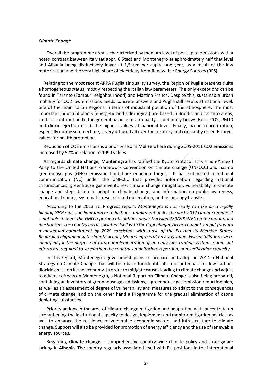#### *Climate Change*

Overall the programme area is characterized by medium level of per capita emissions with a noted contrast between Italy (at appr. 6.5teq) and Montenegro at approximately half that level and Albania being distinctively lower at 1,5 teq per capita and year, as a result of the low motorization and the very high share of electricity from Renewable Energy Sources (RES).

Relating to the most recent ARPA Puglia air quality survey, the Region of **Puglia** presents quite a homogeneous status, mostly respecting the Italian law parameters. The only exceptions can be found in Taranto (Tamburi neighbourhood) and Martina Franca. Despite this, sustainable urban mobility for CO2 low emissions needs concrete answers and Puglia still results at national level, one of the main Italian Regions in terms of industrial pollution of the atmosphere. The most important industrial plants (energetic and siderurgical) are based in Brindisi and Taranto areas, so their contribution to the general balance of air quality, is definitely heavy. Here, CO2, PM10 and dioxin ejection reach the highest values at national level. Finally, ozone concentration, especially during summertime, is very diffused all over the territory and constantly exceeds target values for health protection.

Reduction of CO2 emissions is a priority also in **Molise** where during 2005-2011 CO2 emissions increased by 57% in relation to 1990 values.

As regards **climate change**, **Montenegro** has ratified the Kyoto Protocol. It is a non-Annex I Party to the United Nations Framework Convention on climate change (UNFCCC) and has no greenhouse gas (GHG) emission limitation/reduction target. It has submitted a national communication (NC) under the UNFCCC that provides information regarding national circumstances, greenhouse gas inventories, climate change mitigation, vulnerability to climate change and steps taken to adapt to climate change, and information on public awareness, education, training, systematic research and observation, and technology transfer.

According to the 2013 EU Progress report: *Montenegro is not ready to take on a legally binding GHG emission limitation or reduction commitment under the post-2012 climate regime. It is not able to meet the GHG reporting obligations under Decision 280/2004/EC on the monitoring mechanism. The country has associated itself with the Copenhagen Accord but not yet put forward a mitigation commitment by 2020 consistent with those of the EU and its Member States. Regarding alignment with climate acquis, Montenegro is at an early stage. Five installations were identified for the purpose of future implementation of an emissions trading system. Significant efforts are required to strengthen the country's monitoring, reporting, and verification capacity.* 

In this regard, Montenegrin government plans to prepare and adopt in 2014 a National Strategy on Climate Change that will be a base for identification of potentials for low carbondioxide emission in the economy. In order to mitigate causes leading to climate change and adjust to adverse effects on Montenegro, a National Report on Climate Change is also being prepared, containing an inventory of greenhouse gas emissions, a greenhouse gas emission reduction plan, as well as an assessment of degree of vulnerability and measures to adapt to the consequences of climate change, and on the other hand a Programme for the gradual elimination of ozone depleting substances.

Priority actions in the area of climate change mitigation and adaptation will concentrate on strengthening the institutional capacity to design, implement and monitor mitigation policies, as well to enhance the resilience of vulnerable economic sectors and infrastructure to climate change. Support will also be provided for promotion of energy efficiency and the use of renewable energy sources.

Regarding **climate change**, a comprehensive country-wide climate policy and strategy are lacking in **Albania**. The country regularly associated itself with EU positions in the international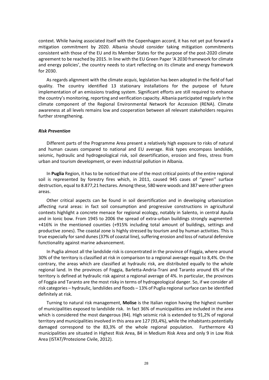context. While having associated itself with the Copenhagen accord, it has not yet put forward a mitigation commitment by 2020. Albania should consider taking mitigation commitments consistent with those of the EU and its Member States for the purpose of the post-2020 climate agreement to be reached by 2015. In line with the EU Green Paper 'A 2030 framework for climate and energy policies', the country needs to start reflecting on its climate and energy framework for 2030.

As regards alignment with the climate *acquis*, legislation has been adopted in the field of fuel quality. The country identified 13 stationary installations for the purpose of future implementation of an emissions trading system. Significant efforts are still required to enhance the country's monitoring, reporting and verification capacity. Albania participated regularly in the climate component of the Regional Environmental Network for Accession (RENA). Climate awareness at all levels remains low and cooperation between all relevant stakeholders requires further strengthening.

## *Risk Prevention*

Different parts of the Programme Area present a relatively high exposure to risks of natural and human causes compared to national and EU average. Risk types encompass landslide, seismic, hydraulic and hydrogeological risk, soil desertification, erosion and fires, stress from urban and tourism development, or even industrial pollution in Albania.

In **Puglia** Region, it has to be noticed that one of the most critical points of the entire regional soil is represented by forestry fires which, in 2011, caused 945 cases of "green" surface destruction, equal to 8.877,21 hectares. Among these, 580 were woods and 387 were other green areas.

Other critical aspects can be found in soil desertification and in developing urbanization affecting rural areas: in fact soil consumption and progressive constructions in agricultural contexts highlight a concrete menace for regional ecology, notably in Salento, in central Apulia and in Ionic bow. From 1945 to 2006 the spread of extra-urban buildings strongly augmented: +416% in the mentioned counties (+915% including total amount of buildings, settings and productive zones). The coastal zone is highly stressed by tourism and by human activities. This is true especially for sand dunes (37% of coastal line), suffering erosion and loss of natural defensive functionality against marine advancement.

In Puglia almost all the landslide risk is concentrated in the province of Foggia, where around 30% of the territory is classified at risk in comparison to a regional average equal to 8,4%. On the contrary, the areas which are classified at hydraulic risk, are distributed equally to the whole regional land. In the provinces of Foggia, Barletta-Andria-Trani and Taranto around 6% of the territory is defined at hydraulic risk against a regional average of 4%. In particular, the provinces of Foggia and Taranto are the most risky in terms of hydrogeological danger. So, if we consider all risk categories – hydraulic, landslides and floods – 13% of Puglia regional surface can be identified definitely at risk.

Turning to natural risk management, **Molise** is the Italian region having the highest number of municipalities exposed to landslide risk. In fact 36% of municipalities are included in the area which is considered the most dangerous (R4). High seismic risk is extended to 91,2% of regional territory and municipalities involved in this area are 127 (93,4%), while the inhabitants potentially damaged correspond to the 83,3% of the whole regional population. Furthermore 43 municipalities are situated in Highest Risk Area, 84 in Medium Risk Area and only 9 in Low Risk Area (ISTAT/Protezione Civile, 2012).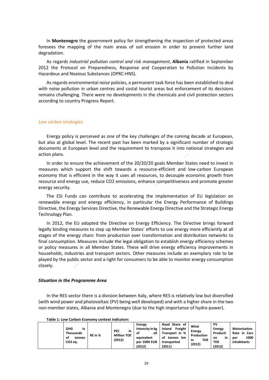In **Montenegro** the government policy for strengthening the inspection of protected areas foresees the mapping of the main areas of soil erosion in order to prevent further land degradation.

As regards *industrial pollution control and risk management*, **Albania** ratified in September 2012 the Protocol on Preparedness, Response and Cooperation to Pollution Incidents by Hazardous and Noxious Substances (OPRC-HNS).

As regards environmental *noise* policies, a permanent task force has been established to deal with noise pollution in urban centres and costal tourist areas but enforcement of its decisions remains challenging. There were no developments in the chemicals and civil protection sectors according to country Progress Report.

#### *Low carbon strategies*

Energy policy is perceived as one of the key challenges of the coming decade at European, but also at global level. The recent past has been marked by a significant number of strategic documents at European level and the requirement to transpose it into national strategies and action plans.

In order to ensure the achievement of the 20/20/20 goals Member States need to invest in measures which support the shift towards a resource-efficient and low-carbon European economy that is efficient in the way it uses all resources, to decouple economic growth from resource and energy use, reduce CO2 emissions, enhance competitiveness and promote greater energy security.

The ESI Funds can contribute to accelerating the implementation of EU legislation on renewable energy and energy efficiency, in particular the Energy Performance of Buildings Directive, the Energy Services Directive, the Renewable Energy Directive and the Strategic Energy Technology Plan.

In 2012, the EU adopted the Directive on Energy Efficiency. The Directive brings forward legally binding measures to step up Member States' efforts to use energy more efficiently at all stages of the energy chain: from production over transformation and distribution networks to final consumption. Measures include the legal obligation to establish energy efficiency schemes or policy measures in all Member States. These will drive energy efficiency improvements in households, industries and transport sectors. Other measures include an exemplary role to be played by the public sector and a right for consumers to be able to monitor energy consumption closely.

#### *Situation in the Programme Area*

In the RES sector there is a division between Italy, where RES is relatively low but diversified (with wind power and photovoltaic (PV) being well developed) and with a higher share in the two non-member states, Albania and Montenegro (due to the high importance of hydro-power).

**Table 1: Low Carbon Economy context indicators**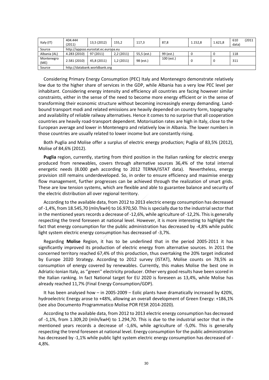| Italy (IT)         | 404.444<br>(2011)             | 13,5 (2012)                         | 155,2     | 117,3       | 87,8       | 1.152.8 | 1.621,8 | (2011<br>610<br>data) |  |  |  |
|--------------------|-------------------------------|-------------------------------------|-----------|-------------|------------|---------|---------|-----------------------|--|--|--|
| Source             |                               | http://appsso.eurostat.ec.europa.eu |           |             |            |         |         |                       |  |  |  |
| Albania (AL)       | 4.283 (2010)                  | 97 (2011)                           | 2,2(2011) | 55,5 (est.) | 99 (est.)  |         |         | 118                   |  |  |  |
| Montenegro<br>(ME) | 2.581 (2010)                  | 45,8 (2011)                         | 1,2(2011) | 98 (est.)   | 100 (est.) |         |         | 311                   |  |  |  |
| Source             | http://databank.worldbank.org |                                     |           |             |            |         |         |                       |  |  |  |

Considering Primary Energy Consumption (PEC) Italy and Montenegro demonstrate relatively low due to the higher share of services in the GDP, while Albania has a very low PEC level per inhabitant. Considering energy intensity and efficiency all countries are facing however similar constraints, either in the sense of the need to become more energy efficient or in the sense of transforming their economic structure without becoming increasingly energy demanding. Landbound transport modi and related emissions are heavily depended on country form, topography and availability of reliable railway alternatives. Hence it comes to no surprise that all cooperation countries are heavily road-transport dependent. Motorisation rates are high in Italy, close to the European average and lower in Montenegro and relatively low in Albania. The lower numbers in those countries are usually related to lower income but are constantly rising.

Both Puglia and Molise offer a surplus of electric energy production; Puglia of 83,5% (2012), Molise of 84,6% (2012).

**Puglia** region, currently, starting from third position in the Italian ranking for electric energy produced from renewables, covers through alternative sources 36,4% of the total internal energetic needs (8.000 gwh according to 2012 TERNA/ISTAT data). Nevertheless, energy provision still remains underdeveloped. So, in order to ensure efficiency and maximise energy flow management, further progresses can be achieved through the realization of smart grids. These are low tension systems, which are flexible and able to guarantee balance and security of the electric distribution all over regional territory.

According to the available data, from 2012 to 2013 electric energy consumption has decreased of -1,4%, from 18.545,70 (mln/kwH) to 16.970,50. This is specially due to the industrial sector that in the mentioned years records a decrease of -12,6%, while agriculture of -12,2%. This is generally respecting the trend foreseen at national level. However, it is more interesting to highlight the fact that energy consumption for the public administration has decreased by -4.8% while public light system electric energy consumption has decreased of -3,7%.

Regarding **Molise** Region, it has to be underlined that in the period 2005-2011 it has significantly improved its production of electric energy from alternative sources. In 2011 the concerned territory reached 67,4% of this production, thus overtaking the 20% target indicated by Europe 2020 Strategy. According to 2012 survey (ISTAT), Molise counts on 78,5% as consumption of energy covered by renewables. Currently, this makes Molise the best one in Adriatic-Ionian Italy, as ''green'' electricity producer. Other very good results have been scored in the Italian ranking. In fact National target for EU 2020 is foreseen as 13,4%, while Molise has already reached 11,7% (Final Energy Consumption/GDP).

It has been analysed how – in 2005-2009 – Eolic plants have dramatically increased by 420%, hydroelectric Energy arose to +48%, allowing an overall development of Green Energy: +186,1% (see also Documento Programmatico Molise POR FESR 2014-2020).

According to the available data, from 2012 to 2013 electric energy consumption has decreased of -1,1%, from 1.309,20 (mln/kwH) to 1.294,70. This is due to the industrial sector that in the mentioned years records a decrease of -1,6%, while agriculture of -5,0%. This is generally respecting the trend foreseen at national level. Energy consumption for the public administration has decreased by -1,1% while public light system electric energy consumption has decreased of -4,8%.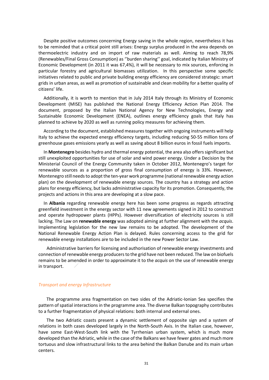Despite positive outcomes concerning Energy saving in the whole region, nevertheless it has to be reminded that a critical point still arises: Energy surplus produced in the area depends on thermoelectric industry and on import of raw materials as well. Aiming to reach 78,9% (Renewables/Final Gross Consumption) as ''burden sharing'' goal, indicated by Italian Ministry of Economic Development (in 2011 it was 67,4%), it will be necessary to mix sources, enforcing in particular forestry and agricultural biomasses utilization. In this perspective some specific initiatives related to public and private building energy efficiency are considered strategic: smart grids in urban areas, as well as promotion of sustainable and clean mobility for a better quality of citizens' life.

Additionally, it is worth to mention that in July 2014 Italy through its Ministry of Economic Development (MISE) has published the National Energy Efficiency Action Plan 2014. The document, proposed by the Italian National Agency for New Technologies, Energy and Sustainable Economic Development (ENEA), outlines energy efficiency goals that Italy has planned to achieve by 2020 as well as running policy measures for achieving them.

According to the document, established measures together with ongoing instruments will help Italy to achieve the expected energy efficiency targets, including reducing 50-55 million tons of greenhouse gases emissions yearly as well as saving about 8 billion euros in fossil fuels imports.

In **Montenegro** besides hydro and thermal energy potential, the area also offers significant but still unexploited opportunities for use of solar and wind power energy. Under a Decision by the Ministerial Council of the Energy Community taken in October 2012, Montenegro's target for renewable sources as a proportion of gross final consumption of energy is 33%. However, Montenegro still needs to adopt the ten-year work programme (national renewable energy action plan) on the development of renewable energy sources. The country has a strategy and action plans for energy efficiency, but lacks administrative capacity for its promotion. Consequently, the projects and actions in this area are developing at a slow pace.

In **Albania** regarding renewable energy here has been some progress as regards attracting greenfield investment in the energy sector with 11 new agreements signed in 2012 to construct and operate hydropower plants (HPPs). However diversification of electricity sources is still lacking. The Law on **renewable energy** was adopted aiming at further alignment with the *acquis*. Implementing legislation for the new law remains to be adopted. The development of the National Renewable Energy Action Plan is delayed. Rules concerning access to the grid for renewable energy installations are to be included in the new Power Sector Law.

Administrative barriers for licensing and authorisation of renewable energy investments and connection of renewable energy producers to the grid have not been reduced. The law on biofuels remains to be amended in order to approximate it to the *acquis* on the use of renewable energy in transport.

#### *Transport and energy Infrastructure*

The programme area fragmentation on two sides of the Adriatic-Ionian Sea specifies the pattern of spatial interactions in the programme area. The diverse Balkan topography contributes to a further fragmentation of physical relations: both internal and external ones.

The two Adriatic coasts present a dynamic settlement of opposite sign and a system of relations in both cases developed largely in the North-South Axis. In the Italian case, however, have some East-West-South link with the Tyrrhenian urban system, which is much more developed than the Adriatic, while in the case of the Balkans we have fewer gates and much more tortuous and slow infrastructural links to the area behind the Balkan Danube and its main urban centers.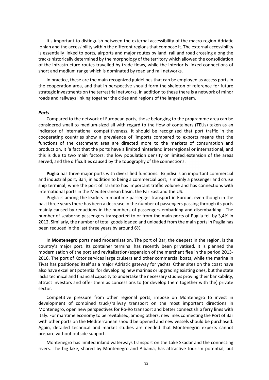It's important to distinguish between the external accessibility of the macro region Adriatic Ionian and the accessibility within the different regions that compose it. The external accessibility is essentially linked to ports, airports and major routes by land, rail and road crossing along the tracks historically determined by the morphology of the territory which allowed the consolidation of the infrastructure routes travelled by trade flows, while the interior is linked connections of short and medium range which is dominated by road and rail networks.

In practice, these are the main recognized guidelines that can be employed as access ports in the cooperation area, and that in perspective should form the skeleton of reference for future strategic investments on the terrestrial networks. In addition to these there is a network of minor roads and railways linking together the cities and regions of the larger system.

#### *Ports*

Compared to the network of European ports, those belonging to the programme area can be considered small to medium-sized all with regard to the flow of containers (TEUs) taken as an indicator of international competitiveness. It should be recognized that port traffic in the cooperating countries show a prevalence of 'imports compared to exports means that the functions of the catchment area are directed more to the markets of consumption and production. It 'a fact that the ports have a limited hinterland interregional or international, and this is due to two main factors: the low population density or limited extension of the areas served, and the difficulties caused by the topography of the connections.

**Puglia** has three major ports with diversified functions. Brindisi is an important commercial and industrial port, Bari, in addition to being a commercial port, is mainly a passenger and cruise ship terminal, while the port of Taranto has important traffic volume and has connections with international ports in the Mediterranean basin, the Far East and the US.

Puglia is among the leaders in maritime passenger transport in Europe, even though in the past three years there has been a decrease in the number of passengers passing through its ports mainly caused by reductions in the numbers of passengers embarking and disembarking. The number of seaborne passengers transported to or from the main ports of Puglia fell by 3,4% in 2012. Similarly, the number of total goods loaded and unloaded from the main ports in Puglia has been reduced in the last three years by around 6%.

In **Montenegro** ports need modernisation. The port of Bar, the deepest in the region, is the country's major port. Its container terminal has recently been privatised. It is planned the modernisation of the port and revitalisation/expansion of the merchant flee in the period 2013- 2016. The port of Kotor services large cruisers and other commercial boats, while the marina in Tivat has positioned itself as a major Adriatic gateway for yachts. Other sites on the coast have also have excellent potential for developing new marinas or upgrading existing ones, but the state lacks technical and financial capacity to undertake the necessary studies proving their bankability, attract investors and offer them as concessions to (or develop them together with the) private sector.

Competitive pressure from other regional ports, impose on Montenegro to invest in development of combined truck/railway transport on the most important directions in Montenegro, open new perspectives for Ro-Ro transport and better connect ship ferry lines with Italy. For maritime economy to be revitalised, among others, new lines connecting the Port of Bar with other ports on the Mediterranean should be opened and new vessels should be purchased. Again, detailed technical and market studies are needed that Montenegrin experts cannot prepare without outside support.

Montenegro has limited inland waterways transport on the Lake Skadar and the connecting rivers. The big lake, shared by Montenegro and Albania, has attractive tourism potential, but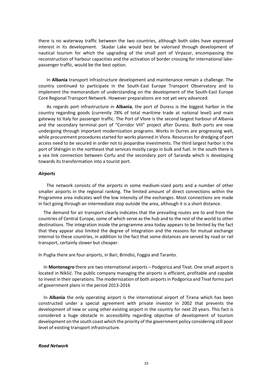there is no waterway traffic between the two countries, although both sides have expressed interest in its development. Skadar Lake would best be valorised through development of nautical tourism for which the upgrading of the small port of Virpazar, encompassing the reconstruction of harbour capacities and the activation of border crossing for international lakepassenger traffic, would be the best option.

In **Albania** transport infrastructure development and maintenance remain a challenge. The country continued to participate in the South-East Europe Transport Observatory and to implement the memorandum of understanding on the development of the South-East Europe Core Regional Transport Network. However preparations are not yet very advanced.

As regards port infrastructure in **Albania**, the port of Duress is the biggest harbor in the country regarding goods (currently 78% of total maritime trade at national level) and main gateway to Italy for passenger traffic. The Port of Vlore is the second largest harbour of Albania and the secondary terminal port of "Corridor VIII" project after Duress. Both ports are now undergoing through important modernization programs. Works in Durres are progressing well, while procurement procedures started for works planned in Vlora. Resources for dredging of port access need to be secured in order not to jeopardise investments. The third largest harbor is the port of Shëngjin in the northeast that services mostly cargo in bulk and fuel. In the south there is a sea link connection between Corfu and the secondary port of Saranda which is developing towards its transformation into a tourist port.

#### *Airports*

The network consists of the airports in some medium-sized ports and a number of other smaller airports in the regional ranking. The limited amount of direct connections within the Programme area indicates well the low intensity of the exchanges. Most connections are made in fact going through an intermediate stop outside the area, although it is a short distance.

The demand for air transport clearly indicates that the prevailing routes are to and from the countries of Central Europe, some of which serve as the hub and to the rest of the world to other destinations. The integration inside the programme area today appears to be limited by the fact that they appear also limited the degree of integration and the reasons for mutual exchange internal to these countries, in addition to the fact that some distances are served by road or rail transport, certainly slower but cheaper.

In Puglia there are four airports, in Bari, Brindisi, Foggia and Taranto.

In **Montenegro** there are two international airports – Podgorica and Tivat. One small airport is located in Nikšić. The public company managing the airports is efficient, profitable and capable to invest in their operations. The modernization of both airports in Podgorica and Tivat forms part of government plans in the period 2013-2016

In **Albania** the only operating airport is the international airport of Tirana which has been constructed under a special agreement with private investor in 2002 that prevents the development of new or using other existing airport in the country for next 20 years. This fact is considered a huge obstacle in accessibility regarding objective of development of tourism development on the south coast which the priority of the government policy considering still poor level of existing transport infrastructure.

#### *Road Network*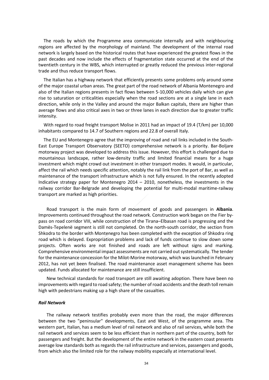The roads by which the Programme area communicate internally and with neighbouring regions are affected by the morphology of mainland. The development of the internal road network is largely based on the historical routes that have experienced the greatest flows in the past decades and now include the effects of fragmentation state occurred at the end of the twentieth century in the WBS, which interrupted or greatly reduced the previous inter-regional trade and thus reduce transport flows.

The Italian has a highway network that efficiently presents some problems only around some of the major coastal urban areas. The great part of the road network of Albania Montenegro and also of the Italian regions presents in fact flows between 5-10,000 vehicles daily which can give rise to saturation or criticalities especially when the road sections are at a single lane in each direction, while only in the Valley and around the major Balkan capitals, there are higher than average flows and also critical axes in two or three lanes in each direction due to greater traffic intensity.

With regard to road freight transport Molise in 2011 had an impact of 19.4 (T/km) per 10,000 inhabitants compared to 14.7 of Southern regions and 22.8 of overall Italy.

The EU and Montenegro agree that the improving of road and rail links included in the South-East Europe Transport Observatory (SEETO) comprehensive network is a priority. Bar-Boljare motorway project was developed to address this issue. However, this effort is challenged due to mountainous landscape, rather low-density traffic and limited financial means for a huge investment which might crowd out investment in other transport modes. It would, in particular, affect the rail which needs specific attention, notably the rail link from the port of Bar, as well as maintenance of the transport infrastructure which is not fully ensured. In the recently adopted Indicative strategy paper for Montenegro 2014 – 2010, nonetheless, the investments in the railway corridor Bar-Belgrade and developing the potential for multi-modal maritime-railway transport are marked as high priorities.

Road transport is the main form of movement of goods and passengers in **Albania**. Improvements continued throughout the road network. Construction work began on the Fier bypass on road corridor VIII, while construction of the Tirana–Elbasan road is progressing and the Damës-Tepelenë segment is still not completed. On the north-south corridor, the section from Shkodra to the border with Montenegro has been completed with the exception of Shkodra ring road which is delayed. Expropriation problems and lack of funds continue to slow down some projects. Often works are not finished and roads are left without signs and marking. Comprehensive environmental impact assessments are not carried out systematically. The tender for the maintenance concession for the Milot-Morine motorway, which was launched in February 2012, has not yet been finalised. The road maintenance asset management scheme has been updated. Funds allocated for maintenance are still insufficient.

New technical standards for road transport are still awaiting adoption. There have been no improvements with regard to road safety; the number of road accidents and the death toll remain high with pedestrians making up a high share of the casualties.

#### *Rail Network*

The railway network testifies probably even more than the road, the major differences between the two "peninsular" developments, East and West, of the programme area. The western part, Italian, has a medium level of rail network and also of rail services, while both the rail network and services seem to be less efficient than in northern part of the country, both for passengers and freight. But the development of the entire network in the eastern coast presents average low standards both as regards the rail infrastructure and services, passengers and goods, from which also the limited role for the railway mobility especially at international level.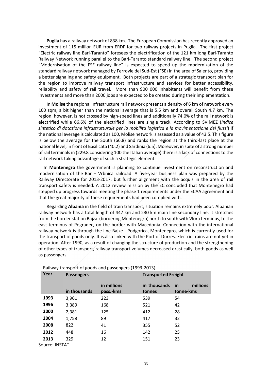**Puglia** has a railway network of 838 km. The European Commission has recently approved an investment of 115 million EUR from ERDF for two railway projects in Puglia. The first project "Electric railway line Bari-Taranto" foresees the electrification of the 121 km long Bari-Taranto Railway Network running parallel to the Bari-Taranto standard railway line. The second project "Modernisation of the FSE railway line" is expected to speed up the modernization of the standard railway network managed by Ferrovie del Sud-Est (FSE) in the area of Salento, providing a better signaling and safety equipment. Both projects are part of a strategic transport plan for the region to improve railway transport infrastructure and services for better accessibility, reliability and safety of rail travel. More than 900 000 inhabitants will benefit from these investments and more than 2000 jobs are expected to be created during their implementation.

In **Molise** the regional infrastructure rail network presents a density of 6 km of network every 100 sqm, a bit higher than the national average that is 5.5 km and overall South 4.7 km. The region, however, is not crossed by high-speed lines and additionally 74.0% of the rail network is electrified while 66.6% of the electrified lines are single track. According to SVIMEZ (*Indice sintetico di dotazione infrastrutturale per la mobilità logistica e la movimentazione dei flussi*) if the national average is calculated as 100, Molise network is assessed as a value of 43.5. This figure is below the average for the South (66.8) and ranks the region at the third-last place at the national level, in front of Basilicata (40.2) and Sardinia (6.5). Moreover, in spite of a strong number of rail terminals in (229.8 considering 100 the Italian average) there is a lack of connections to the rail network taking advantage of such a strategic element.

In **Montenegro** the government is planning to continue investment on reconstruction and modernisation of the Bar – Vrbnica railroad. A five-year business plan was prepared by the Railway Directorate for 2013-2017, but further alignment with the acquis in the area of rail transport safety is needed. A 2012 review mission by the EC concluded that Montenegro had stepped up progress towards meeting the phase 1 requirements under the ECAA agreement and that the great majority of these requirements had been complied with.

Regarding **Albania** in the field of train transport, situation remains extremely poor. Albanian railway network has a total length of 447 km and 230 km main line secondary line. It stretches from the border station Bajza (bordering Montenegro) north to south with Vlora terminus, to the east terminus of Pogradec, on the border with Macedonia. Connection with the international railway network is through the line Bajze - Podgorica, Montenegro, which is currently used for the transport of goods only. It is also linked with the Port of Durres. Electric trains are not yet in operation. After 1990, as a result of changing the structure of production and the strengthening of other types of transport, railway transport volumes decreased drastically, both goods as well as passengers.

| Year           | <b>Passengers</b> |                          | <b>Transported Freight</b> |                                    |  |  |
|----------------|-------------------|--------------------------|----------------------------|------------------------------------|--|--|
|                | in thousands      | in millions<br>pass.-kms | in thousands<br>tonnes     | millions<br><u>in</u><br>tonne-kms |  |  |
| 1993           | 3,961             | 223                      | 539                        | 54                                 |  |  |
| 1996           | 3,389             | 168                      | 521                        | 42                                 |  |  |
| 2000           | 2,381             | 125                      | 412                        | 28                                 |  |  |
| 2004           | 1,758             | 89                       | 417                        | 32                                 |  |  |
| 2008           | 822               | 41                       | 355                        | 52                                 |  |  |
| 2012           | 448               | 16                       | 142                        | 25                                 |  |  |
| 2013           | 329               | 12                       | 151                        | 23                                 |  |  |
| Source: INSTAT |                   |                          |                            |                                    |  |  |

Railway transport of goods and passengers (1993-2013)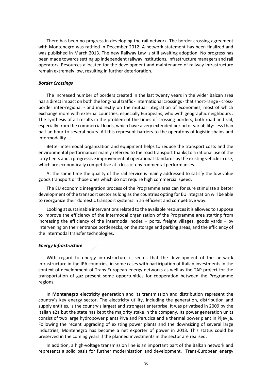There has been no progress in developing the rail network. The border crossing agreement with Montenegro was ratified in December 2012. A network statement has been finalized and was published in March 2013. The new Railway Law is still awaiting adoption. No progress has been made towards setting up independent railway institutions, infrastructure managers and rail operators. Resources allocated for the development and maintenance of railway infrastructure remain extremely low, resulting in further deterioration.

#### *Border Crossings*

The increased number of borders created in the last twenty years in the wider Balcan area has a direct impact on both the long-haul traffic - international crossings - that short-range - crossborder inter-regional - and indirectly on the mutual integration of economies, most of which exchange more with external countries, especially Europeans, who with geographic neighbours . The synthesis of all results in the problem of the times of crossing borders, both road and rail, especially from the commercial loads, which have a very extended period of variability: less than half an hour to several hours. All this represent barriers to the operatons of logistic chains and intermodality.

Better intermodal organization and equipment helps to reduce the transport costs and the environmental performances mainly referred to the road transport thanks to a rational use of the lorry fleets and a progressive improvement of operational standards by the existing vehicle in use, which are economically competitive at a loss of environmental performances.

At the same time the quality of the rail service is mainly addressed to satisfy the low value goods transport or those ones which do not require high commercial speed.

The EU economic integration process of the Programme area can for sure stimulate a better development of the transport sector as long as the countries opting for EU integration will be able to reorganize their domestic transport systems in an efficient and competitive way.

Looking at sustainable interventions related to the available resources it is allowed to suppose to improve the efficiency of the intermodal organization of the Programme area starting from increasing the efficiency of the intermodal nodes – ports, freight villages, goods yards – by intervening on their entrance bottlenecks, on the storage and parking areas, and the efficiency of the intermodal transfer technologies.

#### *Energy Infrastructure*

With regard to energy infrastructure it seems that the development of the network infrastructure in the IPA countries, in some cases with participation of Italian investments in the context of development of Trans European energy networks as well as the TAP project for the transportation of gaz present some opportunities for cooperation between the Programme regions.

In **Montenegro** electricity generation and its transmission and distribution represent the country's key energy sector. The electricity utility, including the generation, distribution and supply entities, is the country's largest and strongest enterprise. It was privatised in 2009 by the Italian a2a but the state has kept the majority stake in the company. Its power generation units consist of two large hydropower plants Piva and Perućica and a thermal power plant in Pljevlja. Following the recent upgrading of existing power plants and the downsizing of several large industries, Montenegro has become a net exporter of power in 2013. This status could be preserved in the coming years if the planned investments in the sector are realised.

In addition, a high-voltage transmission line is an important part of the Balkan network and represents a solid basis for further modernisation and development. Trans-European energy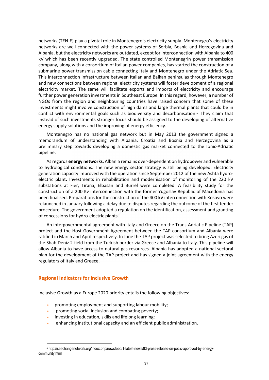networks (TEN-E) play a pivotal role in Montenegro's electricity supply. Montenegro's electricity networks are well connected with the power systems of Serbia, Bosnia and Herzegovina and Albania, but the electricity networks are outdated, except for interconnection with Albania to 400 kV which has been recently upgraded. The state controlled Montenegrin power transmission company, along with a consortium of Italian power companies, has started the construction of a submarine power transmission cable connecting Italy and Montenegro under the Adriatic Sea. This interconnection infrastructure between Italian and Balkan peninsulas through Montenegro and new connections between regional electricity systems will foster development of a regional electricity market. The same will facilitate exports and imports of electricity and encourage further power generation investments in Southeast Europe. In this regard, however, a number of NGOs from the region and neighbouring countries have raised concern that some of these investments might involve construction of high dams and large thermal plants that could be in conflict with environmental goals such as biodiversity and decarbonisation.5 They claim that instead of such investments stronger focus should be assigned to the developing of alternative energy supply solutions and the improving of energy efficiency.

Montenegro has no national gas network but in May 2013 the government signed a memorandum of understanding with Albania, Croatia and Bosnia and Herzegovina as a preliminary step towards developing a domestic gas market connected to the Ionic-Adriatic pipeline.

As regards **energy networks**, Albania remains over-dependent on hydropower and vulnerable to hydrological conditions. The new energy sector strategy is still being developed. Electricity generation capacity improved with the operation since September 2012 of the new Ashta hydroelectric plant. Investments in rehabilitation and modernisation of monitoring of the 220 kV substations at Fier, Tirana, Elbasan and Burrel were completed. A feasibility study for the construction of a 200 Kv interconnection with the former Yugoslav Republic of Macedonia has been finalised. Preparations for the construction of the 400 kV interconnection with Kosovo were relaunched in January following a delay due to disputes regarding the outcome of the first tender procedure. The government adopted a regulation on the identification, assessment and granting of concessions for hydro-electric plants.

An intergovernmental agreement with Italy and Greece on the Trans-Adriatic Pipeline (TAP) project and the Host Government Agreement between the TAP consortium and Albania were ratified in March and April respectively. In June the TAP project was selected to bring Azeri gas of the Shah Deniz 2 field from the Turkish border via Greece and Albania to Italy. This pipeline will allow Albania to have access to natural gas resources. Albania has adopted a national sectoral plan for the development of the TAP project and has signed a joint agreement with the energy regulators of Italy and Greece.

## **Regional Indicators for Inclusive Growth**

 $\overline{a}$ 

Inclusive Growth as a Europe 2020 priority entails the following objectives:

- promoting employment and supporting labour mobility;
- promoting social inclusion and combating poverty;
- investing in education, skills and lifelong learning;
- enhancing institutional capacity and an efficient public administration.

<sup>5</sup> http://seechangenetwork.org/index.php/newsfeed/1-latest-news/83-press-release-on-pecis-approved-by-energycommunity.html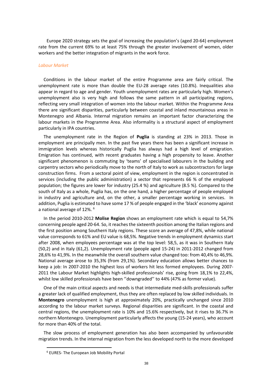Europe 2020 strategy sets the goal of increasing the population's (aged 20-64) employment rate from the current 69% to at least 75% through the greater involvement of women, older workers and the better integration of migrants in the work force.

#### *Labour Market*

Conditions in the labour market of the entire Programme area are fairly critical. The unemployment rate is more than double the EU-28 average rates (10.8%). Inequalities also appear in regard to age and gender. Youth unemployment rates are particularly high. Women's unemployment also is very high and follows the same pattern in all participating regions, reflecting very small integration of women into the labour market. Within the Programme Area there are significant disparities, particularly between coastal and inland mountainous areas in Montenegro and Albania. Internal migration remains an important factor characterizing the labour markets in the Programme Area. Also informality is a structural aspect of employment particularly in IPA countries.

The unemployment rate in the Region of **Puglia** is standing at 23% in 2013. Those in employment are principally men. In the past five years there has been a significant increase in immigration levels whereas historically Puglia has always had a high level of emigration. Emigration has continued, with recent graduates having a high propensity to leave. Another significant phenomenon is commuting by 'teams' of specialised labourers in the building and carpentry sectors who periodically move to the north of Italy to work as subcontractors for large construction firms. From a sectoral point of view, employment in the region is concentrated in services (including the public administration) a sector that represents 66 % of the employed population; the figures are lower for industry (25.4 %) and agriculture (8.5 %). Compared to the south of Italy as a whole, Puglia has, on the one hand, a higher percentage of people employed in industry and agriculture and, on the other, a smaller percentage working in services. In addition, Puglia is estimated to have some 17 % of people engaged in the 'black' economy against a national average of 12%. <sup>6</sup>

In the period 2010-2012 **Molise Region** shows an employment rate which is equal to 54,7% concerning people aged 20-64. So, it reaches the sixteenth position among the Italian regions and the first position among Southern Italy regions. These score an average of 47,8%, while national value corresponds to 61% and EU value is 68,5%. Negative trends in employment dynamics start after 2008, when employees percentage was at the top level: 58,5, as it was in Southern Italy (50,2) and in Italy (61,2). Unemployment rate (people aged 15-24) in 2011-2012 changed from 28,6% to 41,9%. In the meanwhile the overall southern value changed too: from 40,4% to 46,9%. National average arose to 35,3% (from 29,1%). Secondary education allows better chances to keep a job: In 2007-2010 the highest loss of workers hit less formed employees. During 2007- 2011 the Labour Market highlights high-skilled professionals' rise, going from 18,1% to 22,4%, whilst low skilled professionals have been ''downgraded'' to 44% (47% as former value).

One of the main critical aspects and needs is that intermediate med-skills professionals suffer a greater lack of qualified employment, thus they are often replaced by low skilled individuals. In **Montenegro** unemployment is high at approximately 20%, practically unchanged since 2010 according to the labour market surveys. Regional disparities are significant. In the coastal and central regions, the unemployment rate is 10% and 15.6% respectively, but it rises to 36.7% in northern Montenegro. Unemployment particularly affects the young (15-24 years), who account for more than 40% of the total.

The slow process of employment generation has also been accompanied by unfavourable migration trends. In the internal migration from the less developed north to the more developed

l

<sup>6</sup> EURES- The European Job Mobility Portal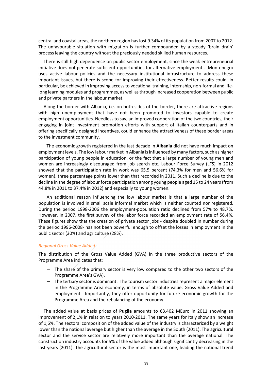central and coastal areas, the northern region has lost 9.34% of its population from 2007 to 2012. The unfavourable situation with migration is further compounded by a steady 'brain drain' process leaving the country without the preciously needed skilled human resources.

There is still high dependence on public sector employment, since the weak entrepreneurial initiative does not generate sufficient opportunities for alternative employment.. Montenegro uses active labour policies and the necessary institutional infrastructure to address these important issues, but there is scope for improving their effectiveness. Better results could, in particular, be achieved in improving access to vocational training, internship, non-formal and lifelong learning modules and programmes, as well as through increased cooperation between public and private partners in the labour market.

Along the border with Albania, i.e. on both sides of the border, there are attractive regions with high unemployment that have not been promoted to investors capable to create employment opportunities. Needless to say, an improved cooperation of the two countries, their engaging in joint investment promotion efforts with support of Italian counterparts and in offering specifically designed incentives, could enhance the attractiveness of these border areas to the investment community.

The economic growth registered in the last decade in **Albania** did not have much impact on employment levels. The low labour market in Albania is influenced by many factors, such as higher participation of young people in education, or the fact that a large number of young men and women are increasingly discouraged from job search etc. Labour Force Survey (LFS) in 2012 showed that the participation rate in work was 65.5 percent (74.3% for men and 56.6% for women), three percentage points lower than that recorded in 2011. Such a decline is due to the decline in the degree of labour force participation among young people aged 15 to 24 years (from 44.8% in 2011 to 37.4% in 2012) and especially to young women.

An additional reason influencing the low labour market is that a large number of the population is involved in small scale informal market which is neither counted nor registered. During the period 1998-2006 the employment-population ratio declined from 57% to 48.7%. However, in 2007, the first survey of the labor force recorded an employment rate of 56.4%. These figures show that the creation of private sector jobs - despite doubled in number during the period 1996-2008- has not been powerful enough to offset the losses in employment in the public sector (30%) and agriculture (28%).

## *Regional Gross Value Added*

The distribution of the Gross Value Added (GVA) in the three productive sectors of the Programme Area indicates that:

- − The share of the primary sector is very low compared to the other two sectors of the Programme Area's GVA).
- − The tertiary sector is dominant. The tourism sector industries represent a major element in the Programme Area economy, in terms of absolute value, Gross Value Added and employment. Importantly, they offer opportunity for future economic growth for the Programme Area and the rebalancing of the economy.

The added value at basis prices of **Puglia** amounts to 63.402 MEuro in 2011 showing an improvement of 2,1% in relation to years 2010-2011. The same years for Italy show an increase of 1,6%. The sectoral composition of the added value of the industry is characterized by a weight lower than the national average but higher than the average in the South (2011). The agricultural sector and the service sector are relatively more important than the average national. The construction industry accounts for 5% of the value added although significantly decreasing in the last years (2011). The agricultural sector is the most important one, leading the national trend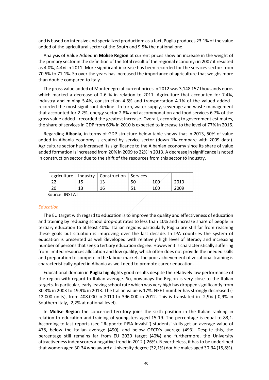and is based on intensive and specialized production: as a fact, Puglia produces 23.1% of the value added of the agricultural sector of the South and 9.5% the national one.

Analysis of Value Added in **Molise Region** at current prices show an increase in the weight of the primary sector in the definition of the total result of the regional economy: in 2007 it resulted as 4.0%, 4.4% in 2011. More significant increase has been recorded for the services sector: from 70.5% to 71.1%. So over the years has increased the importance of agriculture that weighs more than double compared to Italy.

The gross value added of Montenegro at current prices in 2012 was 3,148 157 thousands euros which marked a decrease of 2.6 % in relation to 2011. Agriculture that accounted for 7.4%, industry and mining 5.4%, construction 4.6% and transportation 4.1% of the valued added recorded the most significant decline. In turn, water supply, sewerage and waste management that accounted for 2.2%, energy sector 2.8% and accommodation and food services 6.7% of the gross value added - recorded the greatest increase. Overall, according to government estimates, the share of services in GDP from 69% in 2010 is expected to increase to the level of 77% in 2016.

Regarding **Albania**, in terms of GDP structure below table shows that in 2013, 50% of value added in Albania economy is created by service sector (down 1% compare with 2009 data). Agriculture sector has increased its significance to the Albanian economy since its share of value added formation is increased from 20% in 2009 to 22% in 2013. A decrease in significance is noted in construction sector due to the shift of the resources from this sector to industry.

|    | agriculture   Industry   Construction   Services |    |     |      |
|----|--------------------------------------------------|----|-----|------|
|    |                                                  | 50 | 100 | 2013 |
| 20 | 16                                               |    | 10C | 2009 |

Source: INSTAT

## *Education*

The EU target with regard to education is to improve the quality and effectiveness of education and training by reducing school drop-out rates to less than 10% and increase share of people in tertiary education to at least 40%. Italian regions particularly Puglia are still far from reaching these goals but situation is improving over the last decade. In IPA countries the system of education is presented as well developed with relatively high level of literacy and increasing number of persons that seek a tertiary education degree. However it is characteristically suffering from limited resources allocation and low quality, which often does not provide the needed skills and preparation to compete in the labour market. The poor achievement of vocational training is characteristically noted in Albania as well need to promote career education.

Educational domain in **Puglia** highlights good results despite the relatively low performance of the region with regard to Italian average. So, nowadays the Region is very close to the Italian targets. In particular, early leaving school rate which was very high has dropped significantly from 30,3% in 2003 to 19,9% in 2013. The Italian value is 17%. NEET number has strongly decreased (- 12.000 units), from 408.000 in 2010 to 396.000 in 2012. This is translated in -2,9% (-0,9% in Southern Italy, -2,2% at national level).

In **Molise Region** the concerned territory joins the sixth position in the Italian ranking in relation to education and training of youngsters aged 15-19. The percentage is equal to 83,1. According to last reports (see ''Rapporto PISA Invalsi'') students' skills get an average value of 478, below the Italian average (490), and below OECD's average (493). Despite this, the percentage still remains far from EU 2020 target (40%) and furthermore, the University attractiveness index scores a negative trend in 2012 (-26%). Nevertheless, it has to be underlined that women aged 30-34 who award a University degree (32,1%) double males aged 30-34 (15,8%).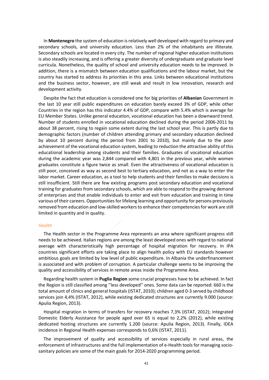In **Montenegro** the system of education is relatively well developed with regard to primary and secondary schools, and university education. Less than 2% of the inhabitants are illiterate. Secondary schools are located in every city. The number of regional higher education institutions is also steadily increasing, and is offering a greater diversity of undergraduate and graduate level curricula. Nonetheless, the quality of school and university education needs to be improved. In addition, there is a mismatch between education qualifications and the labour market, but the country has started to address its priorities in this area. Links between educational institutions and the business sector, however, are still weak and result in low innovation, research and development activity.

Despite the fact that education is considered one for big priorities of **Albanian** Government in the last 10 year still public expenditures on education barely exceed 3% of GDP, while other Countries in the region has this indicator 4.4% of GDP, compare with 5.4% which is average for EU Member States. Unlike general education, vocational education has been a downward trend. Number of students enrolled in vocational education declined during the period 2006-2011 by about 38 percent, rising to regain some extent during the last school year. This is partly due to demographic factors (number of children attending primary and secondary education declined by about 10 percent during the period from 2001 to 2010), but mainly due to the poor achievement of the vocational education system, leading to reduction the attractive ability of this educational leadership among students and their families. Graduates of vocational education during the academic year was 2,844 compared with 4,801 in the previous year, while women graduates constitute a figure twice as small. Even the attractiveness of vocational education is still poor, conceived as way as second best to tertiary education, and not as a way to enter the labor market. Career education, as a tool to help students and their families to make decisions is still insufficient. Still there are few existing programs post secondary education and vocational training for graduates from secondary schools, which are able to respond to the growing demand of enterprises and that enable individuals to enter and exit from education and training in time various of their careers. Opportunities for lifelong learning and opportunity for persons previously removed from education and low-skilled workers to enhance their competencies for work are still limited in quantity and in quality.

#### *Health*

The Health sector in the Programme Area represents an area where significant progress still needs to be achieved. Italian regions are among the least developed ones with regard to national average with characteristically high percentage of hospital migration for recovery. In IPA countries significant efforts are taking place to align health policy with EU standards however ambitious goals are limited by low level of public expenditure. In Albania the underfinancement is associated and with problem of corruption. A particular challenge seems to be improving the quality and accessibility of services in remote areas inside the Programme Area.

Regarding health system in **Puglia Region** some crucial progresses have to be achieved. In fact the Region is still classified among ''less developed'' ones. Some data can be reported: 660 is the total amount of clinics and general hospitals (ISTAT, 2010); children aged 0-3 served by childhood services join 4,4% (ISTAT, 2012), while existing dedicated structures are currently 9.000 (source: Apulia Region, 2013).

Hospital migration in terms of transfers for recovery reaches 7,3% (ISTAT, 2012); Integrated Domestic Elderly Assistance for people aged over 65 is equal to 2,2% (2012), while existing dedicated hosting structures are currently 1.200 (source: Apulia Region, 2013). Finally, IDEA incidence in Regional Health expenses corresponds to 0,6% (ISTAT, 2011).

The improvement of quality and accessibility of services especially in rural areas, the enforcement of infrastructures and the full implementation of e-Health tools for managing sociosanitary policies are some of the main goals for 2014-2020 programming period.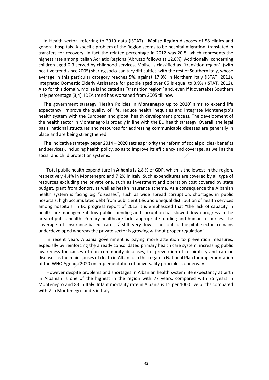In Health sector -referring to 2010 data (ISTAT)- **Molise Region** disposes of 58 clinics and general hospitals. A specific problem of the Region seems to be hospital migration, translated in transfers for recovery. In fact the related percentage in 2012 was 20,8, which represents the highest rate among Italian Adriatic Regions (Abruzzo follows at 12,8%). Additionally, concerning children aged 0-3 served by childhood services, Molise is classified as ''transition region'' (with positive trend since 2005) sharing socio-sanitary difficulties with the rest of Southern Italy, whose average in this particular category reaches 5%, against 17,9% in Northern Italy (ISTAT, 2011). Integrated Domestic Elderly Assistance for people aged over 65 is equal to 3,9% (ISTAT, 2012). Also for this domain, Molise is indicated as ''transition region'' and, even If it overtakes Southern Italy percentage (3,4), IDEA trend has worsened from 2005 till now.

The government strategy 'Health Policies in **Montenegro** up to 2020' aims to extend life expectancy, improve the quality of life, reduce health inequities and integrate Montenegro's health system with the European and global health development process. The development of the health sector in Montenegro is broadly in line with the EU health strategy. Overall, the legal basis, national structures and resources for addressing communicable diseases are generally in place and are being strengthened.

The Indicative strategy paper 2014 – 2020 sets as priority the reform of social policies (benefits and services), including health policy, so as to improve its efficiency and coverage, as well as the social and child protection systems.

Total public health expenditure in **Albania** is 2.8 % of GDP, which is the lowest in the region, respectively 4.4% in Montenegro and 7.2% in Italy. Such expenditures are covered by all type of resources excluding the private one, such as investment and operation cost covered by state budget, grant from donors, as well as health insurance scheme. As a consequence the Albanian health system is facing big "diseases", such as wide spread corruption, shortages in public hospitals, high accumulated debt from public entities and unequal distribution of health services among hospitals. In EC progress report of 2013 it is emphasized that "the lack of capacity in healthcare management, low public spending and corruption has slowed down progress in the area of public health. Primary healthcare lacks appropriate funding and human resources. The coverage of insurance-based care is still very low. The public hospital sector remains underdeveloped whereas the private sector is growing without proper regulation".

In recent years Albania government is paying more attention to prevention measures, especially by reinforcing the already consolidated primary health care system, increasing public awareness for causes of non community deceases, for prevention of respiratory and cardiac diseases as the main causes of death in Albania. In this regard a National Plan for implementation of the WHO Agenda 2020 on implementation of universality principle is underway.

However despite problems and shortages in Albanian health system life expectancy at birth in Albanian is one of the highest in the region with 77 years, compared with 75 years in Montenegro and 83 in Italy. Infant mortality rate in Albania is 15 per 1000 live births compared with 7 in Montenegro and 3 in Italy.

.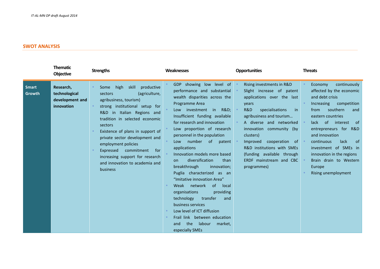# **SWOT ANALYSIS**

|                        | <b>Thematic</b><br><b>Objective</b>                         | <b>Strengths</b>                                                                                                                                                                                                                                                                                                                                                                                                       | Weaknesses                                                                                                                                                                                                                                                                                                                                                                                                                                                                                                                                                                                                                                                                                                                 | <b>Opportunities</b>                                                                                                                                                                                                                                                                                                                                           | <b>Threats</b>                                                                                                                                                                                                                                                                                                                                                               |
|------------------------|-------------------------------------------------------------|------------------------------------------------------------------------------------------------------------------------------------------------------------------------------------------------------------------------------------------------------------------------------------------------------------------------------------------------------------------------------------------------------------------------|----------------------------------------------------------------------------------------------------------------------------------------------------------------------------------------------------------------------------------------------------------------------------------------------------------------------------------------------------------------------------------------------------------------------------------------------------------------------------------------------------------------------------------------------------------------------------------------------------------------------------------------------------------------------------------------------------------------------------|----------------------------------------------------------------------------------------------------------------------------------------------------------------------------------------------------------------------------------------------------------------------------------------------------------------------------------------------------------------|------------------------------------------------------------------------------------------------------------------------------------------------------------------------------------------------------------------------------------------------------------------------------------------------------------------------------------------------------------------------------|
| <b>Smart</b><br>Growth | Research,<br>technological<br>development and<br>innovation | skill<br>productive<br>high<br>Some<br>(agriculture,<br>sectors<br>agribusiness, tourism)<br>strong institutional setup for<br>R&D in Italian Regions and<br>tradition in selected economic<br>sectors<br>Existence of plans in support of<br>private sector development and<br>employment policies<br>commitment<br>Expressed<br>for<br>increasing support for research<br>and innovation to academia and<br>business | GDP showing low level of<br>performance and substantial<br>wealth disparities across the<br>Programme Area<br><b>R&amp;D:</b><br>Low investment in<br>Insufficient funding available<br>for research and innovation<br>Low proportion of research<br>personnel in the population<br>Low number of<br>patent<br>applications<br>Innovation models more based<br>diversification<br>than<br>on.<br>breakthrough<br>innovation;<br>Puglia characterized as an<br>"Imitative innovation Area"<br>of local<br>Weak network<br>organisations<br>providing<br>transfer<br>technology<br>and<br>business services<br>Low level of ICT diffusion<br>Frail link between education<br>the<br>labour market,<br>and<br>especially SMEs | Rising investments in R&D<br>Slight increase of patent<br>applications over the last<br>years<br>R&D<br>specialisations<br>in<br>agribusiness and tourism<br>A diverse and networked<br>innovation community (by<br>clusters)<br>Improved cooperation of<br>R&D institutions with SMEs<br>(funding available through<br>ERDF mainstream and CBC<br>programmes) | continuously<br>Economy<br>affected by the economic<br>and debt crisis<br>Increasing<br>competition<br>southern<br>from<br>and<br>eastern countries<br>lack of<br>interest of<br>entrepreneurs for R&D<br>and innovation<br>continuous<br>lack<br>0t<br>investment of SMEs in<br>innovation in the regions<br>Brain drain to Western<br>Europe<br><b>Rising unemployment</b> |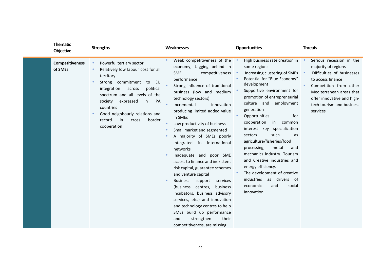| <b>Thematic</b><br><b>Objective</b> | <b>Strengths</b>                                                                                                                                                                                                                                                                                                                                  | <b>Weaknesses</b>                                                                                                                                                                                                                                                                                                                                                                                                                                                                                                                                                                                                                                                                                                                                                                                                           | <b>Opportunities</b>                                                                                                                                                                                                                                                                                                                                                                                                                                                                                                                                                                                         | <b>Threats</b>                                                                                                                                                                                                                  |
|-------------------------------------|---------------------------------------------------------------------------------------------------------------------------------------------------------------------------------------------------------------------------------------------------------------------------------------------------------------------------------------------------|-----------------------------------------------------------------------------------------------------------------------------------------------------------------------------------------------------------------------------------------------------------------------------------------------------------------------------------------------------------------------------------------------------------------------------------------------------------------------------------------------------------------------------------------------------------------------------------------------------------------------------------------------------------------------------------------------------------------------------------------------------------------------------------------------------------------------------|--------------------------------------------------------------------------------------------------------------------------------------------------------------------------------------------------------------------------------------------------------------------------------------------------------------------------------------------------------------------------------------------------------------------------------------------------------------------------------------------------------------------------------------------------------------------------------------------------------------|---------------------------------------------------------------------------------------------------------------------------------------------------------------------------------------------------------------------------------|
| <b>Competitiveness</b><br>of SMEs   | Powerful tertiary sector<br>$\bullet$<br>Relatively low labour cost for all<br>$\bullet$<br>territory<br>Strong commitment<br>to EU<br>integration<br>political<br>across<br>spectrum and all levels of the<br>IPA<br>society<br>expressed<br>in<br>countries<br>Good neighbourly relations and<br>border<br>record<br>in<br>cross<br>cooperation | Weak competitiveness of the<br>economy; Lagging behind in<br><b>SME</b><br>competitiveness •<br>performance<br>Strong influence of traditional<br>business (low and medium<br>technology sectors)<br>Incremental<br>innovation<br>producing limited added value<br>in SMEs<br>Low productivity of business<br>Small market and segmented<br>A majority of SMEs poorly<br>integrated<br>in international<br>networks<br>Inadequate and poor SME<br>access to finance and inexistent<br>risk capital, guarantee schemes<br>and venture capital<br><b>Business</b><br>support<br>services<br>centres,<br>business<br>(business<br>incubators, business advisory<br>services, etc.) and innovation<br>and technology centres to help<br>SMEs build up performance<br>strengthen<br>their<br>and<br>competitiveness, are missing | High business rate creation in<br>some regions<br>Increasing clustering of SMEs •<br>Potential for "Blue Economy"<br>development<br>Supportive environment for<br>promotion of entrepreneurial<br>culture and employment<br>generation<br>for<br>Opportunities<br>cooperation<br>in<br>common<br>interest key specialization<br>such<br>sectors<br>as<br>agriculture/fisheries/food<br>metal<br>processing,<br>and<br>mechanics industry. Tourism<br>and Creative industries and<br>energy efficiency.<br>The development of creative<br>industries as drivers of<br>economic<br>social<br>and<br>innovation | Serious recession in the<br>majority of regions<br>Difficulties of businesses<br>to access finance<br>Competition from other<br>Mediterranean areas that<br>offer innovative and high-<br>tech tourism and business<br>services |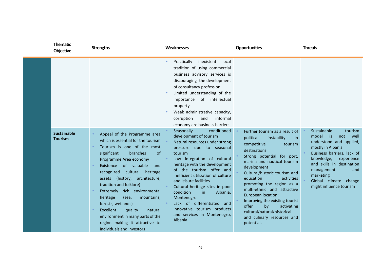| <b>Thematic</b><br><b>Objective</b>  | <b>Strengths</b>                                                                                                                                                                                                                                                                                                                                                                                                                                                                                                        | Weaknesses                                                                                                                                                                                                                                                                                                                                                                                                                                         | <b>Opportunities</b>                                                                                                                                                                                                                                                                                                                                                                                                                         | <b>Threats</b>                                                                                                                                                                                                                                             |
|--------------------------------------|-------------------------------------------------------------------------------------------------------------------------------------------------------------------------------------------------------------------------------------------------------------------------------------------------------------------------------------------------------------------------------------------------------------------------------------------------------------------------------------------------------------------------|----------------------------------------------------------------------------------------------------------------------------------------------------------------------------------------------------------------------------------------------------------------------------------------------------------------------------------------------------------------------------------------------------------------------------------------------------|----------------------------------------------------------------------------------------------------------------------------------------------------------------------------------------------------------------------------------------------------------------------------------------------------------------------------------------------------------------------------------------------------------------------------------------------|------------------------------------------------------------------------------------------------------------------------------------------------------------------------------------------------------------------------------------------------------------|
|                                      |                                                                                                                                                                                                                                                                                                                                                                                                                                                                                                                         | Practically<br>inexistent<br>local<br>$\bullet$<br>tradition of using commercial<br>business advisory services is<br>discouraging the development<br>of consultancy profession<br>Limited understanding of the<br>$\bullet$<br>importance of intellectual<br>property<br>Weak administrative capacity,<br>informal<br>corruption<br>and<br>economy are business barriers<br>conditioned<br>Seasonally                                              | Further tourism as a result of                                                                                                                                                                                                                                                                                                                                                                                                               | Sustainable<br>tourism                                                                                                                                                                                                                                     |
| <b>Sustainable</b><br><b>Tourism</b> | Appeal of the Programme area<br>which is essential for the tourism<br>Tourism is one of the most<br>significant<br>of<br>branches<br>Programme Area economy<br>Existence of valuable<br>and<br>recognized cultural heritage<br>assets (history, architecture,<br>tradition and folklore)<br>Extremely rich environmental<br>heritage<br>(sea,<br>mountains,<br>forests, wetlands)<br>Excellent<br>quality<br>natural<br>environment in many parts of the<br>region making it attractive to<br>individuals and investors | development of tourism<br>Natural resources under strong<br>pressure due to seasonal<br>tourism<br>Low integration of cultural<br>heritage with the development<br>of the tourism offer and<br>inefficient utilization of culture<br>and leisure facilities<br>Cultural heritage sites in poor<br>condition<br>in<br>Albania,<br>Montenegro<br>Lack of differentiated and<br>innovative tourism products<br>and services in Montenegro,<br>Albania | political<br>instability<br>in<br>competitive<br>tourism<br>destinations<br>Strong potential for port,<br>marina and nautical tourism<br>development<br>Cultural/historic tourism and<br>education<br>activities<br>promoting the region as a<br>multi-ethnic and attractive<br>European location;<br>Improving the existing tourist<br>offer<br>by<br>activating<br>cultural/natural/historical<br>and culinary resources and<br>potentials | model<br>is is<br>not<br>well<br>understood and applied,<br>mostly in Albania<br>Business barriers, lack of<br>knowledge,<br>experience<br>and skills in destination<br>management<br>and<br>marketing<br>Global climate change<br>might influence tourism |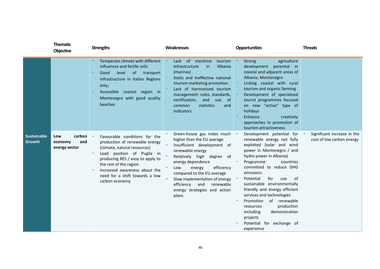|                                     | <b>Thematic</b><br><b>Objective</b>              | <b>Strengths</b>                                                                                                                                                                                                                                                                              | Weaknesses                                                                                                                                                                                                                                                                                                                                  | <b>Opportunities</b>                                                                                                                                                                                                                                                                                                                                                                                                                                                                        | <b>Threats</b>                                           |
|-------------------------------------|--------------------------------------------------|-----------------------------------------------------------------------------------------------------------------------------------------------------------------------------------------------------------------------------------------------------------------------------------------------|---------------------------------------------------------------------------------------------------------------------------------------------------------------------------------------------------------------------------------------------------------------------------------------------------------------------------------------------|---------------------------------------------------------------------------------------------------------------------------------------------------------------------------------------------------------------------------------------------------------------------------------------------------------------------------------------------------------------------------------------------------------------------------------------------------------------------------------------------|----------------------------------------------------------|
|                                     |                                                  | Temperate climate with different<br>influences and fertile soils<br>Good<br>level<br>of<br>transport<br>infrastructure in Italian Regions<br>only;<br>Accessible coastal region in<br>Montenegro with good quality<br>beaches                                                                 | Lack of maritime<br>tourism<br>Albania<br>infrastructure<br>in<br>(marinas)<br>Static and ineffective national<br>tourism marketing promotion<br>Lack of harmonised tourism<br>management: rules, standards,<br>certification, and use of<br>statistics<br>common<br>and<br>indicators                                                      | agriculture<br><b>Strong</b><br>development potential in<br>coastal and adjacent areas of<br>Albania, Montenegro<br>Linking coastal with rural<br>tourism and organic farming<br>Development of specialized<br>tourist programmes focused<br>on new "active" type of<br>holidays<br>Enhance<br>creativity<br>approaches in promotion of<br>tourism attractiveness                                                                                                                           |                                                          |
| <b>Sustainable</b><br><b>Growth</b> | carbon<br>Low<br>economy<br>and<br>energy sector | Favourable conditions for the<br>production of renewable energy<br>(climate, natural resources)<br>Lead position of Puglia in<br>producing RES / easy to apply to<br>the rest of the region<br>Increased awareness about the<br>$\bullet$<br>need for a shift towards a low<br>carbon economy | Green-house gas index much .<br>higher than the EU average<br>Insufficient development of<br>renewable energy<br>Relatively high<br>degree of<br>energy dependence<br>efficiency<br>Low<br>energy<br>compared to the EU average<br>Slow implementation of energy<br>and<br>renewable<br>efficiency<br>energy strategies and action<br>plans | Development potential for .<br>renewable energy not fully<br>exploited (solar and wind<br>power in Montenegro / and<br>hydro power in Albania)<br>Programme<br>countries<br>committed to reduce GHG<br>emissions<br>Potential<br>for<br>0f<br>use<br>sustainable environmentally<br>friendly and energy efficient<br>services and technologies<br>of renewable<br>Promotion<br>production<br>resources<br>demonstration<br>including<br>projects<br>Potential for exchange of<br>experience | Significant increase in the<br>cost of low carbon energy |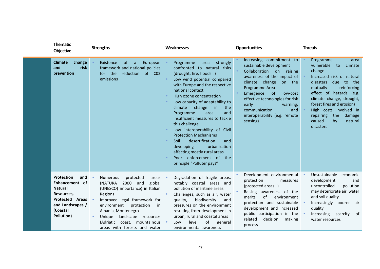| <b>Thematic</b><br><b>Objective</b>                                                                                                                | <b>Strengths</b>                                                                                                                                                                                                                                                                                                          | <b>Weaknesses</b>                                                                                                                                                                                                                                                                                                                                                                                                                                                                                                                                                                                  | <b>Opportunities</b>                                                                                                                                                                                                                                                                                                 | <b>Threats</b>                                                                                                                                                                                                                                                                                                                    |
|----------------------------------------------------------------------------------------------------------------------------------------------------|---------------------------------------------------------------------------------------------------------------------------------------------------------------------------------------------------------------------------------------------------------------------------------------------------------------------------|----------------------------------------------------------------------------------------------------------------------------------------------------------------------------------------------------------------------------------------------------------------------------------------------------------------------------------------------------------------------------------------------------------------------------------------------------------------------------------------------------------------------------------------------------------------------------------------------------|----------------------------------------------------------------------------------------------------------------------------------------------------------------------------------------------------------------------------------------------------------------------------------------------------------------------|-----------------------------------------------------------------------------------------------------------------------------------------------------------------------------------------------------------------------------------------------------------------------------------------------------------------------------------|
| change<br><b>Climate</b><br>and<br>risk<br>prevention                                                                                              | European<br>Existence<br><sub>of</sub><br>a<br>framework and national policies<br>the<br>reduction of C02<br>for<br>emissions                                                                                                                                                                                             | strongly<br>Programme<br>area<br>confronted to natural risks<br>(drought, fire, floods)<br>Low wind potential compared<br>with Europe and the respective<br>national context<br>High ozone concentration<br>Low capacity of adaptability to<br>climate<br>change<br>$\mathsf{in}$<br>the<br>Programme<br>area<br>and<br>insufficient measures to tackle<br>this challenge<br>Low interoperability of Civil<br><b>Protection Mechanisms</b><br>desertification<br>Soil<br>and<br>developing<br>urbanization<br>affecting mostly rural areas<br>Poor enforcement of the<br>principle "Polluter pays" | Increasing commitment to<br>sustainable development<br>Collaboration on raising<br>awareness of the impact of<br>climate change on the<br>Programme Area<br>Emergence<br>of<br>low-cost<br>effective technologies for risk<br>early<br>warning,<br>communication<br>and<br>interoperability (e.g. remote<br>sensing) | Programme<br>area<br>vulnerable<br>to<br>climate<br>change<br>Increased risk of natural<br>due to the<br>disasters<br>reinforcing<br>mutually<br>effect of hazards (e.g.<br>climate change, drought,<br>forest fires and erosion)<br>High costs involved in<br>repairing<br>the<br>damage<br>caused<br>by<br>natural<br>disasters |
| <b>Protection</b><br>and<br>Enhancement of<br><b>Natural</b><br>Resources,<br><b>Protected Areas</b><br>and Landscapes /<br>(Coastal<br>Pollution) | <b>Numerous</b><br>protected<br>areas<br>(NATURA<br>2000 and<br>global<br>(UNESCO) importance) in Italian<br>Regions<br>Improved legal framework for<br>environment<br>protection<br>in<br>Albania, Montenegro<br>Unique landscape resources<br>$\bullet$<br>(Adriatic coast, mountainous<br>areas with forests and water | Degradation of fragile areas,<br>$\bullet$<br>notably coastal areas and<br>pollution of maritime areas<br>Challenges, such as air, water<br>biodiversity<br>quality,<br>and<br>pressures on the environment<br>resulting from development in<br>urban, rural and coastal areas<br>of<br>level<br>Low<br>general<br>$\bullet$<br>environmental awareness                                                                                                                                                                                                                                            | Development environmental<br>protection<br>measures<br>(protected areas)<br>Raising awareness of the<br>of<br>merits<br>environment<br>protection and sustainable<br>development and increased<br>public participation in the<br>related<br>decision<br>making<br>process                                            | Unsustainable<br>economic<br>development<br>and<br>pollution<br>uncontrolled<br>may deteriorate air, water<br>and soil quality<br>Increasingly poorer air<br>quality<br>Increasing scarcity of<br>water resources                                                                                                                 |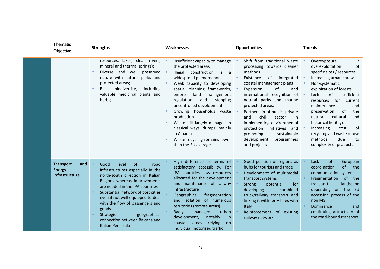| <b>Thematic</b><br><b>Objective</b>                               | <b>Strengths</b>                                                                                                                                                                                                                                                                                                                                                                   | <b>Weaknesses</b>                                                                                                                                                                                                                                                                                                                                                                                                                                                       | <b>Opportunities</b>                                                                                                                                                                                                                                                                                                                                                                                                                                    | <b>Threats</b>                                                                                                                                                                                                                                                                                                                                                                                                                                         |
|-------------------------------------------------------------------|------------------------------------------------------------------------------------------------------------------------------------------------------------------------------------------------------------------------------------------------------------------------------------------------------------------------------------------------------------------------------------|-------------------------------------------------------------------------------------------------------------------------------------------------------------------------------------------------------------------------------------------------------------------------------------------------------------------------------------------------------------------------------------------------------------------------------------------------------------------------|---------------------------------------------------------------------------------------------------------------------------------------------------------------------------------------------------------------------------------------------------------------------------------------------------------------------------------------------------------------------------------------------------------------------------------------------------------|--------------------------------------------------------------------------------------------------------------------------------------------------------------------------------------------------------------------------------------------------------------------------------------------------------------------------------------------------------------------------------------------------------------------------------------------------------|
|                                                                   | resources, lakes, clean rivers,<br>mineral and thermal springs);<br>Diverse and well preserved<br>nature with natural parks and<br>protected areas;<br>biodiversity,<br>including<br>Rich<br>$\bullet$<br>valuable medicinal plants and<br>herbs;                                                                                                                                  | Insufficient capacity to manage •<br>the protected areas<br>Illegal<br>construction<br>is<br>a a<br>widespread phenomenon<br>Weak capacity to developing<br>spatial planning frameworks,<br>enforce land<br>management<br>regulation<br>and<br>stopping<br>uncontrolled development.<br>Growing households waste<br>production<br>Waste still largely managed in<br>classical ways (dumps) mainly<br>in Albania<br>Waste recycling remains lower<br>than the EU average | Shift from traditional waste<br>processing towards cleaner<br>methods<br>Existence<br>of<br>integrated<br>coastal management plans<br>of<br>Expansion<br>and<br>international recognition of<br>natural parks and marine<br>protected areas;<br>Partnership of public, private<br>civil<br>sector<br>and<br>in.<br>implementing environmental<br>protection<br>initiatives and<br>promoting<br>sustainable<br>development<br>programmes<br>and projects | Overexposure<br>$\bullet$<br>of<br>overexploitation<br>specific sites / resources<br>Increasing urban sprawl<br>Non-systematic<br>exploitation of forests<br>of<br>Lack<br>sufficient<br>$\bullet$<br>for<br>current<br>resources<br>maintenance<br>and<br>preservation<br>0f<br>the<br>natural,<br>cultural<br>and<br>historical heritage<br>Increasing<br>οf<br>cost<br>recycling and waste re-use<br>methods<br>due<br>to<br>complexity of products |
| <b>Transport</b><br>and<br><b>Energy</b><br><b>Infrastructure</b> | level<br>of<br>Good<br>road<br>infrastructures especially in the<br>north-south direction in Italian<br>Regions whereas improvements<br>are needed in the IPA countries<br>Substantial network of port cities<br>even if not well equipped to deal<br>with the flow of passengers and<br>goods<br>geographical<br>Strategic<br>connection between Balcans and<br>Italian Peninsula | High difference in terms of<br>satisfactory accessibility, For<br>IPA countries Low resources<br>allocated for the development<br>and maintenance of railway<br>infrastructure<br>Geographical<br>fragmentation<br>and isolation of numerous<br>territories (remote areas)<br><b>Badly</b><br>managed<br>urban<br>development,<br>notably<br>in<br>coastal<br>relying<br>areas<br>on<br>individual motorised traffic                                                    | Good position of regions as<br>hubs for tourists and trade<br>Development of multimodal<br>transport systems<br><b>Strong</b><br>potential<br>for<br>developing<br>combined<br>truck/railway transport and<br>linking it with ferry lines with<br>Italy<br>Reinforcement of existing<br>railway network                                                                                                                                                 | Lack<br><sub>of</sub><br>European<br>of<br>coordination<br>the<br>communication system<br>of the<br>Fragmentation<br>transport<br>landscape<br>depending on the EU<br>accession process of the<br>non MS<br>Dominance<br>and<br>continuing attractivity of<br>the road-bound transport                                                                                                                                                                 |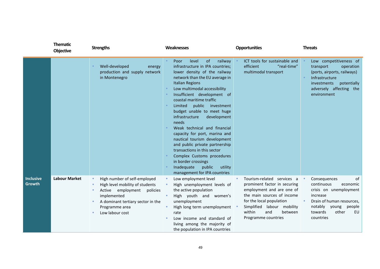|                            | <b>Thematic</b><br><b>Objective</b> | <b>Strengths</b>                                                                                                                                                                                          | Weaknesses                                                                                                                                                                                                                                                                                                                                                                                                                                                                                                                                                                                                                                                  | <b>Opportunities</b>                                                                                                                                                                                                                               | <b>Threats</b>                                                                                                                                                                 |
|----------------------------|-------------------------------------|-----------------------------------------------------------------------------------------------------------------------------------------------------------------------------------------------------------|-------------------------------------------------------------------------------------------------------------------------------------------------------------------------------------------------------------------------------------------------------------------------------------------------------------------------------------------------------------------------------------------------------------------------------------------------------------------------------------------------------------------------------------------------------------------------------------------------------------------------------------------------------------|----------------------------------------------------------------------------------------------------------------------------------------------------------------------------------------------------------------------------------------------------|--------------------------------------------------------------------------------------------------------------------------------------------------------------------------------|
|                            |                                     | Well-developed<br>energy<br>production and supply network<br>in Montenegro                                                                                                                                | of<br>railway<br>Poor<br>level<br>infrastructure in IPA countries;<br>lower density of the railway<br>network than the EU average in<br><b>Italian Regions</b><br>Low multimodal accessibility<br>Insufficient development of<br>coastal maritime traffic<br>public investment<br>Limited<br>budget unable to meet huge<br>infrastructure<br>development<br>needs<br>Weak technical and financial<br>capacity for port, marina and<br>nautical tourism development<br>and public private partnership<br>transactions in this sector<br>Complex Customs procedures<br>in border crossings<br>Inadequate<br>public<br>utility<br>management for IPA countries | ICT tools for sustainable and<br>efficient<br>"real-time"<br>multimodal transport                                                                                                                                                                  | Low competitiveness of<br>transport<br>operation<br>(ports, airports, railways)<br>Infrastructure<br>potentially<br>investments<br>adversely affecting the<br>environment      |
| <b>Inclusive</b><br>Growth | <b>Labour Market</b>                | High number of self-employed<br>$\bullet$<br>High level mobility of students<br>employment<br>policies<br>Active<br>implemented<br>A dominant tertiary sector in the<br>Programme area<br>Low labour cost | Low employment level<br>High unemployment levels of<br>the active population<br>High youth and women's<br>unemployment<br>High long term unemployment<br>rate<br>Low income and standard of<br>living among the majority of<br>the population in IPA countries                                                                                                                                                                                                                                                                                                                                                                                              | Tourism-related services a<br>$\bullet$<br>prominent factor in securing<br>employment and are one of<br>the main sources of income<br>for the local population<br>Simplified<br>labour mobility<br>within<br>and<br>between<br>Programme countries | Consequences<br>0f<br>continuous<br>economic<br>crisis on unemployment<br>increase<br>Drain of human resources,<br>notably young people<br>towards<br>other<br>EU<br>countries |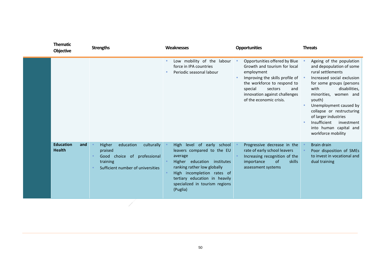| <b>Thematic</b><br>Objective             | <b>Strengths</b>                                                                                                                | <b>Weaknesses</b>                                                                                                                                                                                                                              | <b>Opportunities</b>                                                                                                                                                                                                                     | <b>Threats</b>                                                                                                                                                                                                                                                                                                                                               |
|------------------------------------------|---------------------------------------------------------------------------------------------------------------------------------|------------------------------------------------------------------------------------------------------------------------------------------------------------------------------------------------------------------------------------------------|------------------------------------------------------------------------------------------------------------------------------------------------------------------------------------------------------------------------------------------|--------------------------------------------------------------------------------------------------------------------------------------------------------------------------------------------------------------------------------------------------------------------------------------------------------------------------------------------------------------|
|                                          |                                                                                                                                 | Low mobility of the labour<br>$\bullet$<br>force in IPA countries<br>Periodic seasonal labour                                                                                                                                                  | Opportunities offered by Blue<br>Growth and tourism for local<br>employment<br>Improving the skills profile of •<br>the workforce to respond to<br>special<br>sectors<br>and<br>innovation against challenges<br>of the economic crisis. | Ageing of the population<br>and depopulation of some<br>rural settlements<br>Increased social exclusion<br>for some groups (persons<br>disabilities,<br>with<br>minorities, women and<br>youth)<br>Unemployment caused by<br>collapse or restructuring<br>of larger industries<br>Insufficient<br>investment<br>into human capital and<br>workforce mobility |
| <b>Education</b><br>and<br><b>Health</b> | Higher<br>education<br>culturally<br>praised<br>choice of professional<br>Good<br>training<br>Sufficient number of universities | High level of early school<br>leavers compared to the EU<br>average<br>Higher education institutes<br>ranking rather low globally<br>High incompletion rates of<br>tertiary education in heavily<br>specialized in tourism regions<br>(Puglia) | Progressive decrease in the<br>rate of early school leavers<br>Increasing recognition of the<br>$\circ$ f<br>skills<br>importance<br>assessment systems                                                                                  | <b>Brain drain</b><br>Poor disposition of SMEs<br>to invest in vocational and<br>dual training                                                                                                                                                                                                                                                               |

X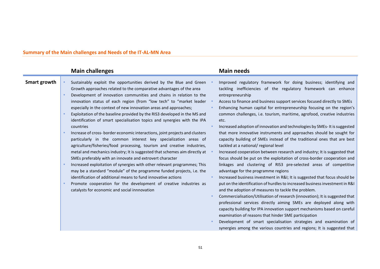## **Summary of the Main challenges and Needs of the IT-AL-MN Area**

| <b>Main needs</b>                                                                                                                                                                                                                                                                                                                                                                                                                                                                                                                                                                                                                                                                                                                                                                                                                                                                                                                                                                                                                                                                                                                                                                                                                                                                                                                                                                                                                                                                                                                                                                                                                                                                                                                                                                                                                                                                                                                                                                                                                                                                                                                                                                                                                                                                                                                                                                                                                                                                                                               |
|---------------------------------------------------------------------------------------------------------------------------------------------------------------------------------------------------------------------------------------------------------------------------------------------------------------------------------------------------------------------------------------------------------------------------------------------------------------------------------------------------------------------------------------------------------------------------------------------------------------------------------------------------------------------------------------------------------------------------------------------------------------------------------------------------------------------------------------------------------------------------------------------------------------------------------------------------------------------------------------------------------------------------------------------------------------------------------------------------------------------------------------------------------------------------------------------------------------------------------------------------------------------------------------------------------------------------------------------------------------------------------------------------------------------------------------------------------------------------------------------------------------------------------------------------------------------------------------------------------------------------------------------------------------------------------------------------------------------------------------------------------------------------------------------------------------------------------------------------------------------------------------------------------------------------------------------------------------------------------------------------------------------------------------------------------------------------------------------------------------------------------------------------------------------------------------------------------------------------------------------------------------------------------------------------------------------------------------------------------------------------------------------------------------------------------------------------------------------------------------------------------------------------------|
| Sustainably exploit the opportunities derived by the Blue and Green<br>Improved regulatory framework for doing business; identifying and<br>tackling inefficiencies of the regulatory framework can enhance<br>Development of innovation communities and chains in relation to the<br>entrepreneurship<br>innovation status of each region (from "low tech" to "market leader<br>Access to finance and business support services focused directly to SMEs<br>Enhancing human capital for entrepreneurship focusing on the region's<br>Exploitation of the baseline provided by the RIS3 developed in the MS and<br>common challenges, i.e. tourism, maritime, agrofood, creative industries<br>identification of smart specialisation topics and synergies with the IPA<br>etc.<br>Increased adoption of innovation and technologies by SMEs-It is suggested<br>Increase of cross-border economic interactions, joint projects and clusters<br>that more innovative instruments and approaches should be sought for<br>particularly in the common interest key specialization areas of<br>capacity building of SMEs instead of the traditional ones that are best<br>agriculture/fisheries/food processing, tourism and creative industries,<br>tackled at a national/ regional level<br>metal and mechanics industry; It is suggested that schemes aim directly at<br>Increased cooperation between research and industry; It is suggested that<br>focus should be put on the exploitation of cross-border cooperation and<br>linkages and clustering of RIS3 pre-selected areas of competitive<br>Increased exploitation of synergies with other relevant programmes; This<br>may be a standard "module" of the programme funded projects, i.e. the<br>advantage for the programme regions<br>Increased business investment in R&I It is suggested that focus should be<br>put on the identification of hurdles to increased business investment in R&I<br>Promote cooperation for the development of creative industries as<br>and the adoption of measures to tackle the problem.<br>Commercialisation/Utilisation of research (innovation); It is suggested that<br>professional services directly aiming SMEs are deployed along with<br>capacity building for IPA innovation support mechanisms based on careful<br>examination of reasons that hinder SME participation<br>Development of smart specialisation strategies and examination of<br>synergies among the various countries and regions; It is suggested that |
|                                                                                                                                                                                                                                                                                                                                                                                                                                                                                                                                                                                                                                                                                                                                                                                                                                                                                                                                                                                                                                                                                                                                                                                                                                                                                                                                                                                                                                                                                                                                                                                                                                                                                                                                                                                                                                                                                                                                                                                                                                                                                                                                                                                                                                                                                                                                                                                                                                                                                                                                 |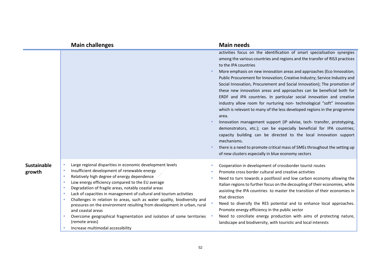|                              | <b>Main challenges</b>                                                                                                                                                                                                                                                                                                                                                                                                                                                                                                                                                                                                                                                                                                  |           | <b>Main needs</b>                                                                                                                                                                                                                                                                                                                                                                                                                                                                                                                                                                                                                                                                                                                                                                                                                                                                                                                                                                                                                                                                                          |
|------------------------------|-------------------------------------------------------------------------------------------------------------------------------------------------------------------------------------------------------------------------------------------------------------------------------------------------------------------------------------------------------------------------------------------------------------------------------------------------------------------------------------------------------------------------------------------------------------------------------------------------------------------------------------------------------------------------------------------------------------------------|-----------|------------------------------------------------------------------------------------------------------------------------------------------------------------------------------------------------------------------------------------------------------------------------------------------------------------------------------------------------------------------------------------------------------------------------------------------------------------------------------------------------------------------------------------------------------------------------------------------------------------------------------------------------------------------------------------------------------------------------------------------------------------------------------------------------------------------------------------------------------------------------------------------------------------------------------------------------------------------------------------------------------------------------------------------------------------------------------------------------------------|
|                              |                                                                                                                                                                                                                                                                                                                                                                                                                                                                                                                                                                                                                                                                                                                         |           | activities focus on the identification of smart specialisation synergies<br>among the various countries and regions and the transfer of RIS3 practices<br>to the IPA countries<br>More emphasis on new innovation areas and approaches (Eco Innovation;<br>Public Procurement for Innovation; Creative Industry; Service Industry and<br>Social Innovation, Procurement and Social Innovation); The promotion of<br>these new innovation areas and approaches can be beneficial both for<br>ERDF and IPA countries. In particular social innovation and creative<br>industry allow room for nurturing non- technological "soft" innovation<br>which is relevant to many of the less developed regions in the programme<br>area.<br>Innovation management support (IP advise, tech- transfer, prototyping,<br>demonstrators, etc.); can be especially beneficial for IPA countries;<br>capacity building can be directed to the local innovation support<br>mechanisms.<br>there is a need to promote critical mass of SMEs throughout the setting up<br>of new clusters especially in blue economy sectors |
| <b>Sustainable</b><br>growth | Large regional disparities in economic development levels<br>$\bullet$<br>Insufficient development of renewable energy<br>$\bullet$<br>Relatively high degree of energy dependence<br>$\bullet$<br>Low energy efficiency compared to the EU average<br>Degradation of fragile areas, notably coastal areas<br>$\bullet$<br>Lack of capacities in management of cultural and tourism activities<br>Challenges in relation to areas, such as water quality, biodiversity and<br>pressures on the environment resulting from development in urban, rural<br>and coastal areas<br>Overcome geographical fragmentation and isolation of some territories<br>$\bullet$<br>(remote areas)<br>Increase multimodal accessibility | $\bullet$ | Cooperation in development of crossborder tourist routes<br>Promote cross border cultural and creative activities<br>Need to turn towards a postfossil and low carbon economy allowing the<br>Italian regions to further focus on the decoupling of their economies, while<br>assisting the IPA countries to master the transition of their economies in<br>that direction<br>Need to diversify the RES potential and to enhance local approaches.<br>Promote energy efficiency in the public sector<br>Need to conciliate energy production with aims of protecting nature,<br>landscape and biodiversity, with touristic and local interests                                                                                                                                                                                                                                                                                                                                                                                                                                                             |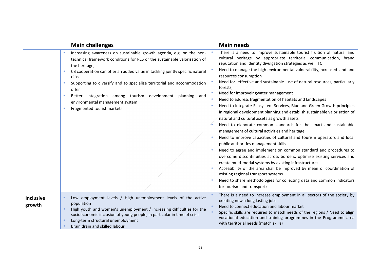|                            | <b>Main challenges</b>                                                                                                                                                                                                                                                                                                                                                                                                                                                                                    |                | <b>Main needs</b>                                                                                                                                                                                                                                                                                                                                                                                                                                                                                                                                                                                                                                                                                                                                                                                                                                                                                                                                                                                                                                                                                                                                                                                                                                                                                                                                                                          |
|----------------------------|-----------------------------------------------------------------------------------------------------------------------------------------------------------------------------------------------------------------------------------------------------------------------------------------------------------------------------------------------------------------------------------------------------------------------------------------------------------------------------------------------------------|----------------|--------------------------------------------------------------------------------------------------------------------------------------------------------------------------------------------------------------------------------------------------------------------------------------------------------------------------------------------------------------------------------------------------------------------------------------------------------------------------------------------------------------------------------------------------------------------------------------------------------------------------------------------------------------------------------------------------------------------------------------------------------------------------------------------------------------------------------------------------------------------------------------------------------------------------------------------------------------------------------------------------------------------------------------------------------------------------------------------------------------------------------------------------------------------------------------------------------------------------------------------------------------------------------------------------------------------------------------------------------------------------------------------|
|                            | Increasing awareness on sustainable growth agenda, e.g. on the non-<br>technical framework conditions for RES or the sustainable valorisation of<br>the heritage;<br>CB cooperation can offer an added value in tackling jointly specific natural<br>risks<br>Supporting to diversify and to specialize territorial and accommodation<br>offer<br>Better integration among tourism development<br>planning and<br>$\bullet$<br>environmental management system<br>Fragmented tourist markets<br>$\bullet$ | $\bullet$<br>۰ | There is a need to improve sustainable tourist fruition of natural and<br>cultural heritage by appropriate territorial communication, brand<br>reputation and identity divulgation strategies as well ITC<br>Need to manage the high environmental vulnerability, increased land and<br>resources consumption<br>Need for effective and sustainable use of natural resources, particularly<br>forests,<br>Need for improveingwater management<br>Need to address fragmentation of habitats and landscapes<br>Need to integrate Ecosystem Services, Blue and Green Growth principles<br>in regional development planning and establish sustainable valorisation of<br>natural and cultural assets as growth assets<br>Need to elaborate common standards for the smart and sustainable<br>management of cultural activities and heritage<br>Need to improve capacities of cultural and tourism operators and local<br>public authorities management skills<br>Need to agree and implement on common standard and procedures to<br>overcome discontinuities across borders, optimise existing services and<br>create multi-modal systems by existing infrastructures<br>Accessibility of the area shall be improved by mean of coordination of<br>existing regional transport systems<br>Need to share methodologies for collecting data and common indicators<br>for tourism and transport; |
| <b>Inclusive</b><br>growth | Low employment levels / High unemployment levels of the active<br>population<br>High youth and women's unemployment / increasing difficulties for the<br>$\bullet$<br>socioeconomic inclusion of young people, in particular in time of crisis<br>Long-term structural unemployment<br>$\bullet$<br>Brain drain and skilled labour                                                                                                                                                                        |                | There is a need to increase employment in all sectors of the society by<br>creating new a long lasting jobs<br>Need to connect education and labour market<br>Specific skills are required to match needs of the regions / Need to align<br>vocational education and training programmes in the Programme area<br>with territorial needs (match skills)                                                                                                                                                                                                                                                                                                                                                                                                                                                                                                                                                                                                                                                                                                                                                                                                                                                                                                                                                                                                                                    |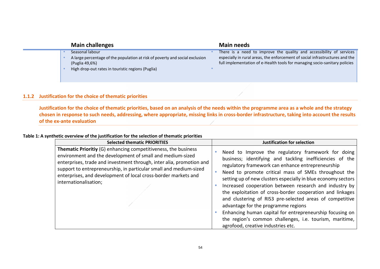|  | <b>Main challenges</b>                                                                         | <b>Main needs</b>                                                                                                                                          |
|--|------------------------------------------------------------------------------------------------|------------------------------------------------------------------------------------------------------------------------------------------------------------|
|  | Seasonal labour                                                                                | There is a need to improve the quality and accessibility of services                                                                                       |
|  | A large percentage of the population at risk of poverty and social exclusion<br>(Puglia 49,6%) | especially in rural areas, the enforcement of social infrastructures and the<br>full implementation of e-Health tools for managing socio-sanitary policies |
|  | High drop-out rates in touristic regions (Puglia)                                              |                                                                                                                                                            |

# **1.1.2 Justification for the choice of thematic priorities**

**Justification for the choice of thematic priorities, based on an analysis of the needs within the programme area as a whole and the strategy chosen in response to such needs, addressing, where appropriate, missing links in cross-border infrastructure, taking into account the results of the ex-ante evaluation** 

# **Table 1: A synthetic overview of the justification for the selection of thematic priorities**

| <b>Selected thematic PRIORITIES</b>                                                                                                                                                                                                                                                                                                                                        | <b>Justification for selection</b>                                                                                                                                                                                                                                                                                                                                                                                                                                                                                                                                                                                                                                                  |
|----------------------------------------------------------------------------------------------------------------------------------------------------------------------------------------------------------------------------------------------------------------------------------------------------------------------------------------------------------------------------|-------------------------------------------------------------------------------------------------------------------------------------------------------------------------------------------------------------------------------------------------------------------------------------------------------------------------------------------------------------------------------------------------------------------------------------------------------------------------------------------------------------------------------------------------------------------------------------------------------------------------------------------------------------------------------------|
| <b>Thematic Prioritiy (G) enhancing competitiveness, the business</b><br>environment and the development of small and medium-sized<br>enterprises, trade and investment through, inter alia, promotion and<br>support to entrepreneurship, in particular small and medium-sized<br>enterprises, and development of local cross-border markets and<br>internationalisation; | Need to Improve the regulatory framework for doing<br>business; identifying and tackling inefficiencies of the<br>regulatory framework can enhance entrepreneurship<br>Need to promote critical mass of SMEs throughout the<br>setting up of new clusters especially in blue economy sectors<br>Increased cooperation between research and industry by<br>the exploitation of cross-border cooperation and linkages<br>and clustering of RIS3 pre-selected areas of competitive<br>advantage for the programme regions<br>Enhancing human capital for entrepreneurship focusing on<br>the region's common challenges, i.e. tourism, maritime,<br>agrofood, creative industries etc. |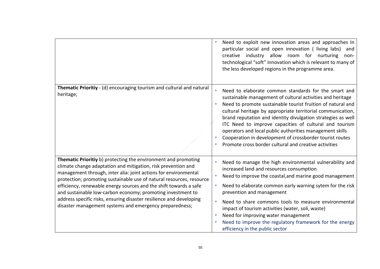|                                                                                                                                                                                                                                                                                                                                                                                                                                                                                                                                                  | Need to exploit new innovation areas and approaches In<br>particular social and open innovation (living labs)<br>and<br>creative industry allow room for nurturing<br>non-<br>technological "soft" innovation which is relevant to many of<br>the less developed regions in the programme area.                                                                                                                                                                                                                                                                          |
|--------------------------------------------------------------------------------------------------------------------------------------------------------------------------------------------------------------------------------------------------------------------------------------------------------------------------------------------------------------------------------------------------------------------------------------------------------------------------------------------------------------------------------------------------|--------------------------------------------------------------------------------------------------------------------------------------------------------------------------------------------------------------------------------------------------------------------------------------------------------------------------------------------------------------------------------------------------------------------------------------------------------------------------------------------------------------------------------------------------------------------------|
| Thematic Prioritiy - (d) encouraging tourism and cultural and natural<br>heritage;                                                                                                                                                                                                                                                                                                                                                                                                                                                               | Need to elaborate common standards for the smart and<br>sustainable management of cultural activities and heritage<br>Need to promote sustainable tourist fruition of natural and<br>cultural heritage by appropriate territorial communication,<br>brand reputation and identity divulgation strategies as well<br>ITC Need to improve capacities of cultural and tourism<br>operators and local public authorities management skills<br>Cooperation in development of crossborder tourist routes<br>$\bullet$<br>Promote cross border cultural and creative activities |
| Thematic Prioritiy b) protecting the environment and promoting<br>climate change adaptation and mitigation, risk prevention and<br>management through, inter alia: joint actions for environmental<br>protection; promoting sustainable use of natural resources, resource<br>efficiency, renewable energy sources and the shift towards a safe<br>and sustainable low-carbon economy; promoting investment to<br>address specific risks, ensuring disaster resilience and developing<br>disaster management systems and emergency preparedness; | Need to manage the high environmental vulnerability and<br>$\bullet$<br>increased land and resources consumption<br>Need to improve the coastal, and marine good management<br>Need to elaborate common early warning sytem for the risk<br>٠<br>prevention and management<br>Need to share commons tools to measure environmental<br>impact of tourism activities (water, soli, waste)<br>Need for improving water management<br>$\bullet$<br>Need to improve the regulatory framework for the energy<br>efficiency in the public sector                                |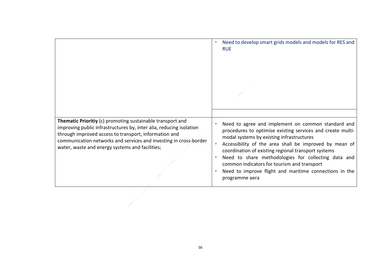|                                                                                                                                                                                                                                                                                                                    | Need to develop smart grids models and models for RES and<br><b>RUE</b>                                                                                                                                                                                                                                                                                                                                                                                          |
|--------------------------------------------------------------------------------------------------------------------------------------------------------------------------------------------------------------------------------------------------------------------------------------------------------------------|------------------------------------------------------------------------------------------------------------------------------------------------------------------------------------------------------------------------------------------------------------------------------------------------------------------------------------------------------------------------------------------------------------------------------------------------------------------|
|                                                                                                                                                                                                                                                                                                                    |                                                                                                                                                                                                                                                                                                                                                                                                                                                                  |
| Thematic Prioritiy (c) promoting sustainable transport and<br>improving public infrastructures by, inter alia, reducing isolation<br>through improved access to transport, information and<br>communication networks and services and investing in cross-border<br>water, waste and energy systems and facilities; | Need to agree and implement on common standard and<br>procedures to optimise existing services and create multi-<br>modal systems by existing infrastructures<br>Accessibility of the area shall be improved by mean of<br>coordination of existing regional transport systems<br>Need to share methodologies for collecting data and<br>common indicators for tourism and transport<br>Need to improve flight and maritime connections in the<br>programme aera |
|                                                                                                                                                                                                                                                                                                                    |                                                                                                                                                                                                                                                                                                                                                                                                                                                                  |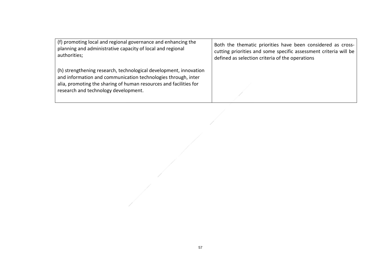| (f) promoting local and regional governance and enhancing the                                                                                                                                                                                   | Both the thematic priorities have been considered as cross-      |
|-------------------------------------------------------------------------------------------------------------------------------------------------------------------------------------------------------------------------------------------------|------------------------------------------------------------------|
| planning and administrative capacity of local and regional                                                                                                                                                                                      | cutting priorities and some specific assessment criteria will be |
| authorities;                                                                                                                                                                                                                                    | defined as selection criteria of the operations                  |
| (h) strengthening research, technological development, innovation<br>and information and communication technologies through, inter<br>alia, promoting the sharing of human resources and facilities for<br>research and technology development. |                                                                  |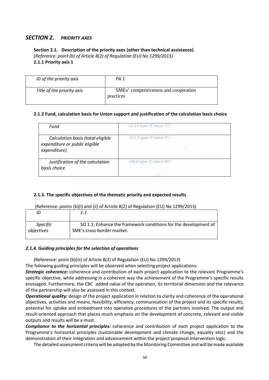# *SECTION 2. PRIORITY AXES*

# **Section 2.1. Description of the priority axes (other than technical assistance)**  *(Reference: point (b) of Article 8(2) of Regulation (EU) No 1299/2013)*  **2.1.1 Priority axis 1**

| ID of the priority axis    | PA 1                                               |
|----------------------------|----------------------------------------------------|
| Title of the priority axis | SMEs' competitiveness and cooperation<br>practices |

# **2.1.2 Fund, calculation basis for Union support and justification of the calculation basis choice**

| Fund                                                                                | $\langle 2.1.6 \text{ type} = \text{S}' \text{ input} = \text{S}' \rangle$ |
|-------------------------------------------------------------------------------------|----------------------------------------------------------------------------|
| Calculation basis (total eligible<br>expenditure or public eligible<br>expenditure) | $\langle 2.1.7 \text{ type} = \text{S}' \text{ input} = \text{S}' \rangle$ |
| Justification of the calculation<br>basis choice                                    | $\langle$ 2A.8 type='S' input='M'>                                         |

## **2.1.3. The specific objectives of the thematic priority and expected results**

(Reference: points (b)(i) and (ii) of Article 8(2) of Regulation (EU) No 1299/2013)

|                 | 1.1                                                             |
|-----------------|-----------------------------------------------------------------|
| <b>Specific</b> | SO 1.1: Enhance the framework conditions for the development of |
| objectives      | SME's cross-border market.                                      |

## *2.1.4. Guiding principles for the selection of operations*

(Reference: point (b)(iii) of Article 8(2) of Regulation (EU) No 1299/2013)

The following guiding principles will be observed when selecting project applications:

*Strategic coherence:* coherence and contribution of each project application to the relevant Programme's specific objective, while addressing in a coherent way the achievement of the Programme's specific results envisaged. Furthermore, the CBC added value of the operation, its territorial dimension and the relevance of the partnership will also be assessed in this context.

*Operational quality:* design of the project application in relation to clarity and coherence of the operational objectives, activities and means, feasibility, efficiency, communication of the project and its specific results, potential for uptake and embedment into operative procedures of the partners involved. The output and result-oriented approach that places much emphasis on the development of concrete, relevant and visible outputs and results will be a must.

*Compliance to the horizontal principles:* coherence and contribution of each project application to the Programme's horizontal principles (sustainable development and climate change, equality etcc) and the demonstration of their integration and advancement within the project proposal intervention logic.

The detailed assessment criteria will be adopted by the Monitoring Committee and will be made available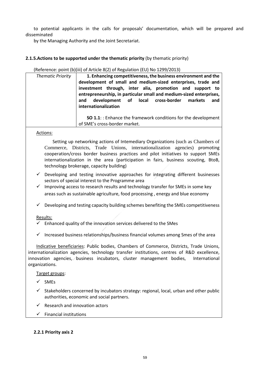to potential applicants in the calls for proposals' documentation, which will be prepared and disseminated

by the Managing Authority and the Joint Secretariat.

# **2.1.5.Actions to be supported under the thematic priority** (by thematic priority)

(Reference: point (b)(iii) of Article 8(2) of Regulation (EU) No 1299/2013)

| <b>Thematic Priority</b> | 1. Enhancing competitiveness, the business environment and the<br>development of small and medium-sized enterprises, trade and<br>investment through, inter alia, promotion and support to<br>entrepreneurship, in particular small and medium-sized enterprises,<br>and development of local cross-border markets<br>and<br>internationalization |
|--------------------------|---------------------------------------------------------------------------------------------------------------------------------------------------------------------------------------------------------------------------------------------------------------------------------------------------------------------------------------------------|
|                          | <b>SO 1.1:</b> : Enhance the framework conditions for the development<br>of SME's cross-border market.                                                                                                                                                                                                                                            |

Actions:

Setting up networking actions of Intemediary Organizations (such as Chambers of Commerce, Districts, Trade Unions, internationalization agencies) promoting cooperation/cross border business practices and pilot initiatives to support SMEs internationalization in the area (participation in fairs, business scouting, BtoB, technology brokerage, capacity building)

- $\checkmark$  Developing and testing innovative approaches for integrating different businesses sectors of special interest to the Programme area
- $\checkmark$  Improving access to research results and technology transfer for SMEs in some key areas such as sustainable agriculture, food processing , energy and blue economy
- $\checkmark$  Developing and testing capacity building schemes benefiting the SMEs competitiveness

Results:

- $\checkmark$  Enhanced quality of the innovation services delivered to the SMes
- $\checkmark$  Increased business relationships/business financial volumes among Smes of the area

Indicative beneficiaries: Public bodies, Chambers of Commerce, Districts, Trade Unions, internationalization agencies, technology transfer institutions, centres of R&D excellence, innovation agencies, business incubators, cluster management bodies, International organizations.

Target groups:

- $\checkmark$  SMFs
- $\checkmark$  Stakeholders concerned by incubators strategy: regional, local, urban and other public authorities, economic and social partners.
- $\checkmark$  Research and innovation actors
- $\checkmark$  Financial institutions

## **2.2.1 Priority axis 2**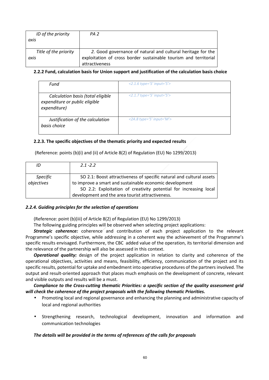| ID of the priority<br>axis    | PA <sub>2</sub>                                                                                                                                   |
|-------------------------------|---------------------------------------------------------------------------------------------------------------------------------------------------|
| Title of the priority<br>axis | 2. Good governance of natural and cultural heritage for the<br>exploitation of cross border sustainable tourism and territorial<br>attractiveness |

# **2.2.2 Fund, calculation basis for Union support and justification of the calculation basis choice**

| Fund                                                                                | $\langle 2.1.6 \text{ type} = \text{S}' \text{ input} = \text{S}' \rangle$ |
|-------------------------------------------------------------------------------------|----------------------------------------------------------------------------|
| Calculation basis (total eligible<br>expenditure or public eligible<br>expenditure) | $\langle 2.1.7 \text{ type} = \text{S}' \text{ input} = \text{S}' \rangle$ |
| Justification of the calculation<br>basis choice                                    | $\langle$ 2A.8 type='S' input='M'>                                         |

# **2.2.3. The specific objectives of the thematic priority and expected results**

(Reference: points (b)(i) and (ii) of Article 8(2) of Regulation (EU) No 1299/2013)

| ID         | $2.1 - 2.2$                                                          |
|------------|----------------------------------------------------------------------|
|            |                                                                      |
| Specific   | SO 2.1: Boost attractiveness of specific natural and cultural assets |
| objectives | to improve a smart and sustainable economic development              |
|            | SO 2.2: Exploitation of creativity potential for increasing local    |
|            | development and the area tourist attractiveness.                     |

# *2.2.4. Guiding principles for the selection of operations*

(Reference: point (b)(iii) of Article 8(2) of Regulation (EU) No 1299/2013)

The following guiding principles will be observed when selecting project applications:

**Strategic coherence:** coherence and contribution of each project application to the relevant Programme's specific objective, while addressing in a coherent way the achievement of the Programme's specific results envisaged. Furthermore, the CBC added value of the operation, its territorial dimension and the relevance of the partnership will also be assessed in this context.

*Operational quality:* design of the project application in relation to clarity and coherence of the operational objectives, activities and means, feasibility, efficiency, communication of the project and its specific results, potential for uptake and embedment into operative procedures of the partners involved. The output and result-oriented approach that places much emphasis on the development of concrete, relevant and visible outputs and results will be a must.

*Compliance to the Cross-cutting thematic Priorities: a specific section of the quality assessment grid will check the coherence of the project proposals with the following thematic Priorities.* 

- Promoting local and regional governance and enhancing the planning and administrative capacity of local and regional authorities
- Strengthening research, technological development, innovation and information and communication technologies

# *The details will be provided in the terms of references of the calls for proposals*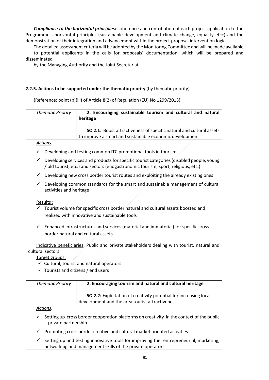*Compliance to the horizontal principles:* coherence and contribution of each project application to the Programme's horizontal principles (sustainable development and climate change, equality etcc) and the demonstration of their integration and advancement within the project proposal intervention logic.

The detailed assessment criteria will be adopted by the Monitoring Committee and will be made available to potential applicants in the calls for proposals' documentation, which will be prepared and disseminated

by the Managing Authority and the Joint Secretariat.

# **2.2.5. Actions to be supported under the thematic priority** (by thematic priority)

(Reference: point (b)(iii) of Article 8(2) of Regulation (EU) No 1299/2013)

| <b>Thematic Priority</b>                       | 2. Encouraging sustainable tourism and cultural and natural                                                                                                                   |  |  |
|------------------------------------------------|-------------------------------------------------------------------------------------------------------------------------------------------------------------------------------|--|--|
|                                                | heritage                                                                                                                                                                      |  |  |
|                                                | SO 2.1: Boost attractiveness of specific natural and cultural assets                                                                                                          |  |  |
|                                                | to improve a smart and sustainable economic development                                                                                                                       |  |  |
| Actions:                                       |                                                                                                                                                                               |  |  |
| ✓                                              | Developing and testing common ITC promotional tools in tourism                                                                                                                |  |  |
| ✓                                              | Developing services and products for specific tourist categories (disabled people, young<br>/ old tourist, etc.) and sectors (enogastronomic tourism, sport, religious, etc.) |  |  |
|                                                | $\checkmark$ Developing new cross border tourist routes and exploiting the already existing ones                                                                              |  |  |
| activities and heritage                        | $\checkmark$ Developing common standards for the smart and sustainable management of cultural                                                                                 |  |  |
| Results:                                       |                                                                                                                                                                               |  |  |
|                                                | Tourist volume for specific cross border natural and cultural assets boosted and                                                                                              |  |  |
|                                                | realized with innovative and sustainable tools                                                                                                                                |  |  |
|                                                | $\checkmark$ Enhanced infrastructures and services (material and immaterial) for specific cross                                                                               |  |  |
|                                                | border natural and cultural assets.                                                                                                                                           |  |  |
|                                                |                                                                                                                                                                               |  |  |
| cultural sectors.                              | Indicative beneficiaries: Public and private stakeholders dealing with tourist, natural and                                                                                   |  |  |
| Target groups:                                 |                                                                                                                                                                               |  |  |
|                                                | $\checkmark$ Cultural, tourist and natural operators                                                                                                                          |  |  |
| $\checkmark$ Tourists and citizens / end users |                                                                                                                                                                               |  |  |
|                                                |                                                                                                                                                                               |  |  |
| <b>Thematic Priority</b>                       | 2. Encouraging tourism and natural and cultural heritage                                                                                                                      |  |  |
|                                                | SO 2.2: Exploitation of creativity potential for increasing local<br>development and the area tourist attractiveness                                                          |  |  |
| Actions:                                       |                                                                                                                                                                               |  |  |
| - private partnership.                         | Setting up cross border cooperation platforms on creativity in the context of the public                                                                                      |  |  |
| ✓                                              | Promoting cross border creative and cultural market oriented activities                                                                                                       |  |  |
| ✓                                              | Setting up and testing innovative tools for improving the entrepreneurial, marketing,<br>networking and management skills of the private operators                            |  |  |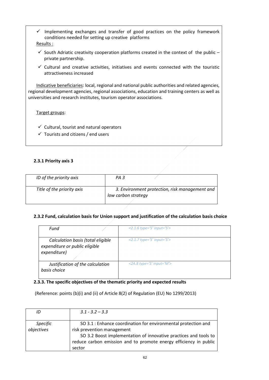- $\checkmark$  Implementing exchanges and transfer of good practices on the policy framework conditions needed for setting up creative platforms Results :
- $\checkmark$  South Adriatic creativity cooperation platforms created in the context of the public private partnership.
- $\checkmark$  Cultural and creative activities, initiatives and events connected with the touristic attractiveness increased

Indicative beneficiaries: local, regional and national public authorities and related agencies, regional development agencies, regional associations, education and training centers as well as universities and research institutes, tourism operator associations.

Target groups:

- $\checkmark$  Cultural, tourist and natural operators
- $\checkmark$  Tourists and citizens / end users

# **2.3.1 Priority axis 3**

| ID of the priority axis    | PA 3                                                                  |
|----------------------------|-----------------------------------------------------------------------|
| Title of the priority axis | 3. Environment protection, risk management and<br>low carbon strategy |

## **2.3.2 Fund, calculation basis for Union support and justification of the calculation basis choice**

| Fund                                                                                | $\langle 2.1.6 \text{ type} = \text{S}' \text{ input} = \text{S}' \rangle$ |
|-------------------------------------------------------------------------------------|----------------------------------------------------------------------------|
| Calculation basis (total eligible<br>expenditure or public eligible<br>expenditure) | $\langle 2.1.7 \text{ type} = S' \text{ input} = S' \rangle$               |
| Justification of the calculation<br>basis choice                                    | $\langle$ 2A.8 type='S' input='M'>                                         |

# **2.3.3. The specific objectives of the thematic priority and expected results**

(Reference: points (b)(i) and (ii) of Article 8(2) of Regulation (EU) No 1299/2013)

| ID                            | $3.1 - 3.2 - 3.3$                                                                                                                                                                                                                               |
|-------------------------------|-------------------------------------------------------------------------------------------------------------------------------------------------------------------------------------------------------------------------------------------------|
| <b>Specific</b><br>objectives | SO 3.1 : Enhance coordination for environmental protection and<br>risk prevention management<br>SO 3.2 Boost implementation of innovative practices and tools to<br>reduce carbon emission and to promote energy efficiency in public<br>sector |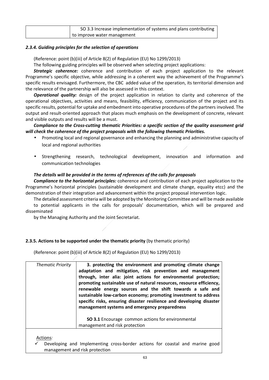| SO 3.3 Increase implementation of systems and plans contributing |
|------------------------------------------------------------------|
| to improve water management                                      |

## *2.3.4. Guiding principles for the selection of operations*

(Reference: point (b)(iii) of Article 8(2) of Regulation (EU) No 1299/2013)

The following guiding principles will be observed when selecting project applications:

*Strategic coherence:* coherence and contribution of each project application to the relevant Programme's specific objective, while addressing in a coherent way the achievement of the Programme's specific results envisaged. Furthermore, the CBC added value of the operation, its territorial dimension and the relevance of the partnership will also be assessed in this context.

*Operational quality:* design of the project application in relation to clarity and coherence of the operational objectives, activities and means, feasibility, efficiency, communication of the project and its specific results, potential for uptake and embedment into operative procedures of the partners involved. The output and result-oriented approach that places much emphasis on the development of concrete, relevant and visible outputs and results will be a must.

*Compliance to the Cross-cutting thematic Priorities: a specific section of the quality assessment grid will check the coherence of the project proposals with the following thematic Priorities.* 

- Promoting local and regional governance and enhancing the planning and administrative capacity of local and regional authorities
- Strengthening research, technological development, innovation and information and communication technologies

# *The details will be provided in the terms of references of the calls for proposals*

*Compliance to the horizontal principles:* coherence and contribution of each project application to the Programme's horizontal principles (sustainable development and climate change, equality etcc) and the demonstration of their integration and advancement within the project proposal intervention logic.

The detailed assessment criteria will be adopted by the Monitoring Committee and will be made available to potential applicants in the calls for proposals' documentation, which will be prepared and disseminated

by the Managing Authority and the Joint Secretariat.

# **2.3.5. Actions to be supported under the thematic priority** (by thematic priority)

(Reference: point (b)(iii) of Article 8(2) of Regulation (EU) No 1299/2013)

| <b>Thematic Priority</b> | 3. protecting the environment and promoting climate change<br>adaptation and mitigation, risk prevention and management<br>through, inter alia: joint actions for environmental protection;<br>promoting sustainable use of natural resources, resource efficiency,<br>renewable energy sources and the shift towards a safe and<br>sustainable low-carbon economy; promoting investment to address<br>specific risks, ensuring disaster resilience and developing disaster<br>management systems and emergency preparedness |
|--------------------------|------------------------------------------------------------------------------------------------------------------------------------------------------------------------------------------------------------------------------------------------------------------------------------------------------------------------------------------------------------------------------------------------------------------------------------------------------------------------------------------------------------------------------|
|                          | <b>SO 3.1</b> Encourage common actions for environmental<br>management and risk protection                                                                                                                                                                                                                                                                                                                                                                                                                                   |
| Actions:                 |                                                                                                                                                                                                                                                                                                                                                                                                                                                                                                                              |

 Developing and Implementing cross-border actions for coastal and marine good management and risk protection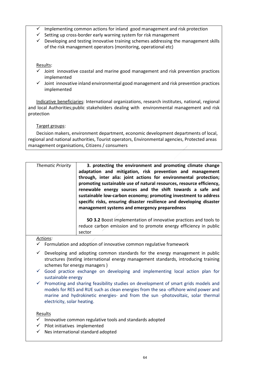- Implementing common actions for inland good management and risk protection
- $\checkmark$  Setting up cross-border early warning system for risk management
- $\checkmark$  Developing and testing innovative training schemes addressing the management skills of the risk management operators (monitoring, operational etc)

# Results:

- $\checkmark$  Joint innovative coastal and marine good management and risk prevention practices implemented
- $\checkmark$  Joint innovative inland environmental good management and risk prevention practices implemented

Indicative beneficiaries: International organizations, research institutes, national, regional and local Authorities;public stakeholders dealing with environmental management and risk protection

Target groups:

Decision makers, environment department, economic development departments of local, regional and national authorities, Tourist operators, Environmental agencies, Protected areas management organisations, Citizens / consumers

| <b>Thematic Priority</b> | 3. protecting the environment and promoting climate change<br>adaptation and mitigation, risk prevention and management<br>through, inter alia: joint actions for environmental protection;<br>promoting sustainable use of natural resources, resource efficiency,<br>renewable energy sources and the shift towards a safe and<br>sustainable low-carbon economy; promoting investment to address<br>specific risks, ensuring disaster resilience and developing disaster<br>management systems and emergency preparedness |
|--------------------------|------------------------------------------------------------------------------------------------------------------------------------------------------------------------------------------------------------------------------------------------------------------------------------------------------------------------------------------------------------------------------------------------------------------------------------------------------------------------------------------------------------------------------|
|                          | SO 3.2 Boost implementation of innovative practices and tools to<br>reduce carbon emission and to promote energy efficiency in public<br>sector                                                                                                                                                                                                                                                                                                                                                                              |
| .                        |                                                                                                                                                                                                                                                                                                                                                                                                                                                                                                                              |

# *Actions:*

- Formulation and adoption of innovative common regulative framework
- $\checkmark$  Developing and adopting common standards for the energy management in public structures (testing international energy management standards, introducing training schemes for energy managers )
- $\checkmark$  Good practice exchange on developing and implementing local action plan for sustainable energy
- $\checkmark$  Promoting and sharing feasibility studies on development of smart grids models and models for RES and RUE such as clean energies from the sea -offshore wind power and marine and hydrokinetic energies- and from the sun -photovoltaic, solar thermal electricity, solar heating.

# Results

- $\checkmark$  Innovative common regulative tools and standards adopted
- $\checkmark$  Pilot initiatives implemented
- $\checkmark$  Nes international standard adopted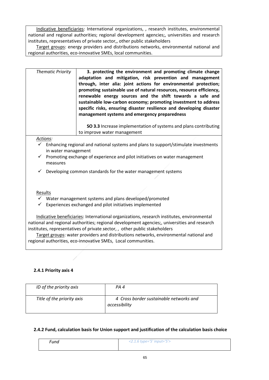Indicative beneficiaries: International organizations, , research institutes, environmental national and regional authorities; regional development agencies;, universities and research institutes, representatives of private sector,, other public stakeholders

Target groups: energy providers and distributions networks, environmental national and regional authorities, eco-innovative SMEs, local communities.

| <b>Thematic Priority</b> | 3. protecting the environment and promoting climate change<br>adaptation and mitigation, risk prevention and management<br>through, inter alia: joint actions for environmental protection;<br>promoting sustainable use of natural resources, resource efficiency,<br>renewable energy sources and the shift towards a safe and<br>sustainable low-carbon economy; promoting investment to address<br>specific risks, ensuring disaster resilience and developing disaster<br>management systems and emergency preparedness |
|--------------------------|------------------------------------------------------------------------------------------------------------------------------------------------------------------------------------------------------------------------------------------------------------------------------------------------------------------------------------------------------------------------------------------------------------------------------------------------------------------------------------------------------------------------------|
|                          | SO 3.3 Increase implementation of systems and plans contributing<br>to improve water management                                                                                                                                                                                                                                                                                                                                                                                                                              |

*Actions:*

- $\checkmark$  Enhancing regional and national systems and plans to support/stimulate investments in water management
- $\checkmark$  Promoting exchange of experience and pilot initiatives on water management measures
- $\checkmark$  Developing common standards for the water management systems

# Results

- Water management systems and plans developed/promoted
- $\checkmark$  Experiences exchanged and pilot initiatives implemented

Indicative beneficiaries: International organizations, research institutes, environmental national and regional authorities; regional development agencies;, universities and research institutes, representatives of private sector, , other public stakeholders

Target groups: water providers and distributions networks, environmental national and regional authorities, eco-innovative SMEs, Local communities.

# **2.4.1 Priority axis 4**

| ID of the priority axis    | PA 4                                                     |
|----------------------------|----------------------------------------------------------|
| Title of the priority axis | 4 Cross border sustainable networks and<br>accessibility |

## **2.4.2 Fund, calculation basis for Union support and justification of the calculation basis choice**

| Fund | <2.1.6 type='S' input='S'> |
|------|----------------------------|
|      |                            |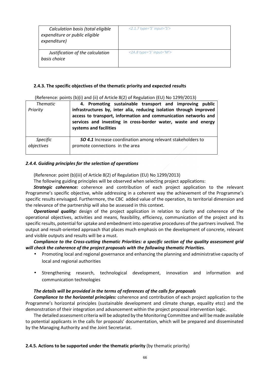| Calculation basis (total eligible<br>expenditure or public eligible<br>expenditure) | $\langle 2.1.7 \text{ type} = \text{S}' \text{ input} = \text{S}' \rangle$ |
|-------------------------------------------------------------------------------------|----------------------------------------------------------------------------|
| Justification of the calculation<br>basis choice                                    | $\langle$ 2A.8 type='S' input='M'>                                         |

# **2.4.3. The specific objectives of the thematic priority and expected results**

| <b>Thematic</b><br>Priority | 4. Promoting sustainable transport and improving public<br>infrastructures by, inter alia, reducing isolation through improved<br>access to transport, information and communication networks and<br>services and investing in cross-border water, waste and energy<br>systems and facilities |
|-----------------------------|-----------------------------------------------------------------------------------------------------------------------------------------------------------------------------------------------------------------------------------------------------------------------------------------------|
| <b>Specific</b>             | <b>SO 4.1</b> Increase coordination among relevant stakeholders to                                                                                                                                                                                                                            |
| objectives                  | promote connections in the area                                                                                                                                                                                                                                                               |

(Reference: points (b)(i) and (ii) of Article 8(2) of Regulation (EU) No 1299/2013)

## *2.4.4. Guiding principles for the selection of operations*

(Reference: point (b)(iii) of Article 8(2) of Regulation (EU) No 1299/2013)

The following guiding principles will be observed when selecting project applications:

*Strategic coherence:* coherence and contribution of each project application to the relevant Programme's specific objective, while addressing in a coherent way the achievement of the Programme's specific results envisaged. Furthermore, the CBC added value of the operation, its territorial dimension and the relevance of the partnership will also be assessed in this context.

*Operational quality:* design of the project application in relation to clarity and coherence of the operational objectives, activities and means, feasibility, efficiency, communication of the project and its specific results, potential for uptake and embedment into operative procedures of the partners involved. The output and result-oriented approach that places much emphasis on the development of concrete, relevant and visible outputs and results will be a must.

*Compliance to the Cross-cutting thematic Priorities: a specific section of the quality assessment grid will check the coherence of the project proposals with the following thematic Priorities.* 

- Promoting local and regional governance and enhancing the planning and administrative capacity of local and regional authorities
- Strengthening research, technological development, innovation and information and communication technologies

# *The details will be provided in the terms of references of the calls for proposals*

*Compliance to the horizontal principles:* coherence and contribution of each project application to the Programme's horizontal principles (sustainable development and climate change, equality etcc) and the demonstration of their integration and advancement within the project proposal intervention logic.

The detailed assessment criteria will be adopted by the Monitoring Committee and will be made available to potential applicants in the calls for proposals' documentation, which will be prepared and disseminated by the Managing Authority and the Joint Secretariat.

## **2.4.5. Actions to be supported under the thematic priority** (by thematic priority)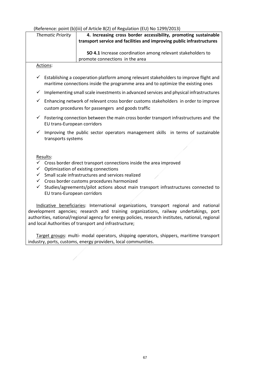|              |                             | (Reference: point (b)(iii) of Article 8(2) of Regulation (EU) No 1299/2013)                                                                                                            |
|--------------|-----------------------------|----------------------------------------------------------------------------------------------------------------------------------------------------------------------------------------|
|              | <b>Thematic Priority</b>    | 4. Increasing cross border accessibility, promoting sustainable                                                                                                                        |
|              |                             | transport service and facilities and improving public infrastructures                                                                                                                  |
|              |                             |                                                                                                                                                                                        |
|              |                             | SO 4.1 Increase coordination among relevant stakeholders to<br>promote connections in the area                                                                                         |
|              | Actions:                    |                                                                                                                                                                                        |
|              |                             |                                                                                                                                                                                        |
|              |                             | $\checkmark$ Establishing a cooperation platform among relevant stakeholders to improve flight and<br>maritime connections inside the programme area and to optimize the existing ones |
| $\checkmark$ |                             | Implementing small scale investments in advanced services and physical infrastructures                                                                                                 |
| $\checkmark$ |                             | Enhancing network of relevant cross border customs stakeholders in order to improve<br>custom procedures for passengers and goods traffic                                              |
| $\checkmark$ | EU trans-European corridors | Fostering connection between the main cross border transport infrastructures and the                                                                                                   |
| $\checkmark$ | transports systems          | Improving the public sector operators management skills in terms of sustainable                                                                                                        |
|              |                             |                                                                                                                                                                                        |
|              |                             |                                                                                                                                                                                        |
|              | Results:                    | $\checkmark$ Cross border direct transport connections inside the area improved                                                                                                        |
| $\checkmark$ |                             | Optimization of existing connections                                                                                                                                                   |
| ✓            |                             | Small scale infrastructures and services realized                                                                                                                                      |
|              |                             | $\checkmark$ Cross border customs procedures harmonized                                                                                                                                |
| ✓            |                             | Studies/agreements/pilot actions about main transport infrastructures connected to                                                                                                     |
|              | EU trans-European corridors |                                                                                                                                                                                        |
|              |                             |                                                                                                                                                                                        |
|              |                             | Indicative beneficiaries: International organizations, transport regional and national                                                                                                 |
|              |                             | development agencies; research and training organizations, railway undertakings, port                                                                                                  |
|              |                             | authorities, national/regional agency for energy policies, research institutes, national, regional                                                                                     |

and local Authorities of transport and infrastructure;

Target groups: multi- modal operators, shipping operators, shippers, maritime transport industry, ports, customs, energy providers, local communities.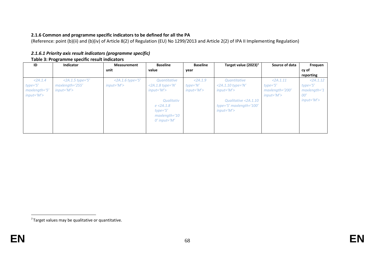# **2.1.6 Common and programme specific indicators to be defined for all the PA**

(Reference: point (b)(ii) and (b)(iv) of Article 8(2) of Regulation (EU) No 1299/2013 and Article 2(2) of IPA II Implementing Regulation)

| 2.1.6.1 Priority axis result indicators (programme specific) |
|--------------------------------------------------------------|
| Table 3: Programme specific result indicators                |

| ID             | <b>Indicator</b>    | <b>Measurement</b>  | <b>Baseline</b>     | <b>Baseline</b> | Target value (2023) <sup>7</sup> | Source of data  | Frequen       |
|----------------|---------------------|---------------------|---------------------|-----------------|----------------------------------|-----------------|---------------|
|                |                     | unit                | value               | year            |                                  |                 | cy of         |
|                |                     |                     |                     |                 |                                  |                 | reporting     |
| < 2A.1.4       | $<$ 2A.1.5 type='S' | $<$ 2A.1.6 type='S' | Quantitative        | $<$ 2A.1.9      | Quantitative                     | <2A.1.11        | < 2A.1.12     |
| $type = 'S'$   | maxlength='255'     | $input = 'M'$       | $<$ 2A.1.8 type='N' | type='N'        | $<$ 2A.1.10 type='N'             | type='S'        | $type = 'S'$  |
| $maxlength=5'$ | $input = M'$        |                     | $input = 'M'$       | $input = 'M'$   | $input = M'$                     | maxlength='200' | $maxlength=1$ |
| input='M'>     |                     |                     |                     |                 |                                  | $input = M'$    | 00'           |
|                |                     |                     | Qualitativ          |                 | Qualitative <2A.1.10             |                 | $input = M'$  |
|                |                     |                     | $e$ <2A.1.8         |                 | type='S' maxlength= $100'$       |                 |               |
|                |                     |                     | $type = 'S'$        |                 | $input = M'$                     |                 |               |
|                |                     |                     | $maxlength=10$      |                 |                                  |                 |               |
|                |                     |                     | $0'$ input= $'M'$   |                 |                                  |                 |               |
|                |                     |                     |                     |                 |                                  |                 |               |
|                |                     |                     |                     |                 |                                  |                 |               |

 $7$  Target values may be qualitative or quantitative.